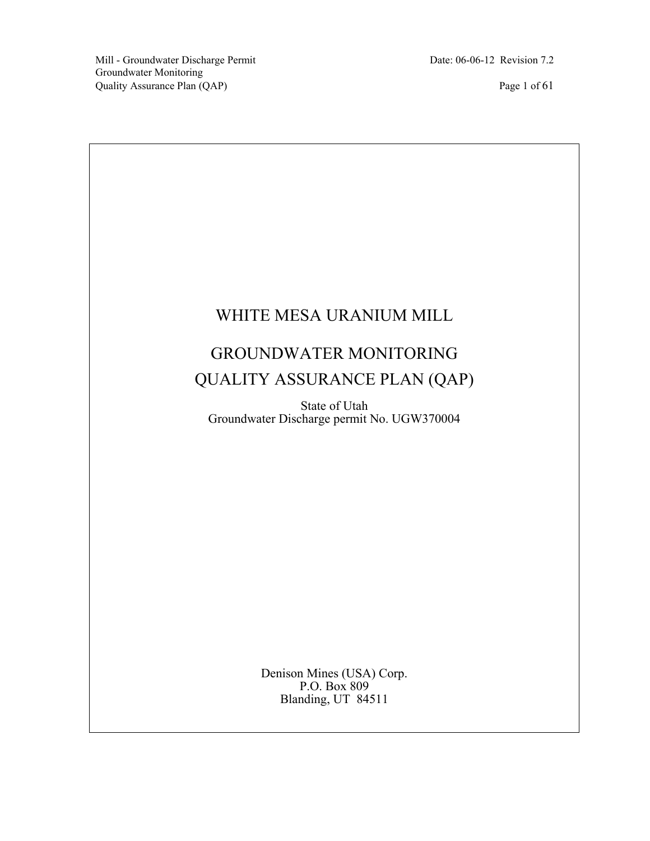# WHITE MESA URANIUM MILL

## GROUNDWATER MONITORING QUALITY ASSURANCE PLAN (QAP)

State of Utah Groundwater Discharge permit No. UGW370004

> Denison Mines (USA) Corp. P.O. Box 809 Blanding, UT 84511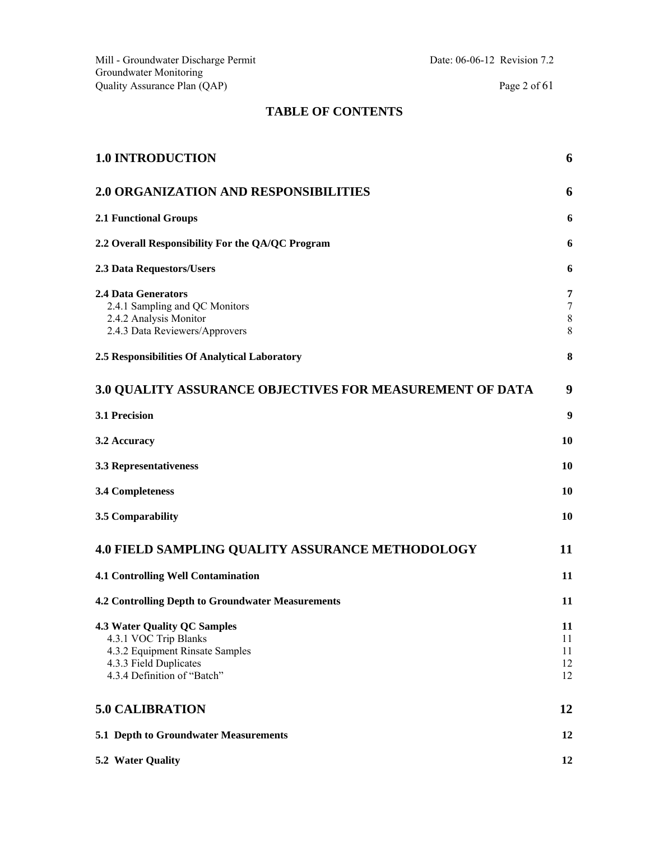#### **TABLE OF CONTENTS**

| <b>1.0 INTRODUCTION</b>                                                                                                                                  | 6                          |
|----------------------------------------------------------------------------------------------------------------------------------------------------------|----------------------------|
| <b>2.0 ORGANIZATION AND RESPONSIBILITIES</b>                                                                                                             | 6                          |
| <b>2.1 Functional Groups</b>                                                                                                                             | 6                          |
| 2.2 Overall Responsibility For the QA/QC Program                                                                                                         | 6                          |
| 2.3 Data Requestors/Users                                                                                                                                | 6                          |
| <b>2.4 Data Generators</b><br>2.4.1 Sampling and QC Monitors<br>2.4.2 Analysis Monitor<br>2.4.3 Data Reviewers/Approvers                                 | 7<br>7<br>8<br>8           |
| 2.5 Responsibilities Of Analytical Laboratory                                                                                                            | 8                          |
| 3.0 QUALITY ASSURANCE OBJECTIVES FOR MEASUREMENT OF DATA                                                                                                 | 9                          |
| 3.1 Precision                                                                                                                                            | 9                          |
| 3.2 Accuracy                                                                                                                                             | 10                         |
| 3.3 Representativeness                                                                                                                                   | 10                         |
| <b>3.4 Completeness</b>                                                                                                                                  | 10                         |
| 3.5 Comparability                                                                                                                                        | 10                         |
| <b>4.0 FIELD SAMPLING QUALITY ASSURANCE METHODOLOGY</b>                                                                                                  | 11                         |
| <b>4.1 Controlling Well Contamination</b>                                                                                                                | 11                         |
| <b>4.2 Controlling Depth to Groundwater Measurements</b>                                                                                                 | 11                         |
| <b>4.3 Water Quality QC Samples</b><br>4.3.1 VOC Trip Blanks<br>4.3.2 Equipment Rinsate Samples<br>4.3.3 Field Duplicates<br>4.3.4 Definition of "Batch" | 11<br>11<br>11<br>12<br>12 |
| <b>5.0 CALIBRATION</b>                                                                                                                                   | 12                         |
| 5.1 Depth to Groundwater Measurements                                                                                                                    | 12                         |
| 5.2 Water Quality                                                                                                                                        | 12                         |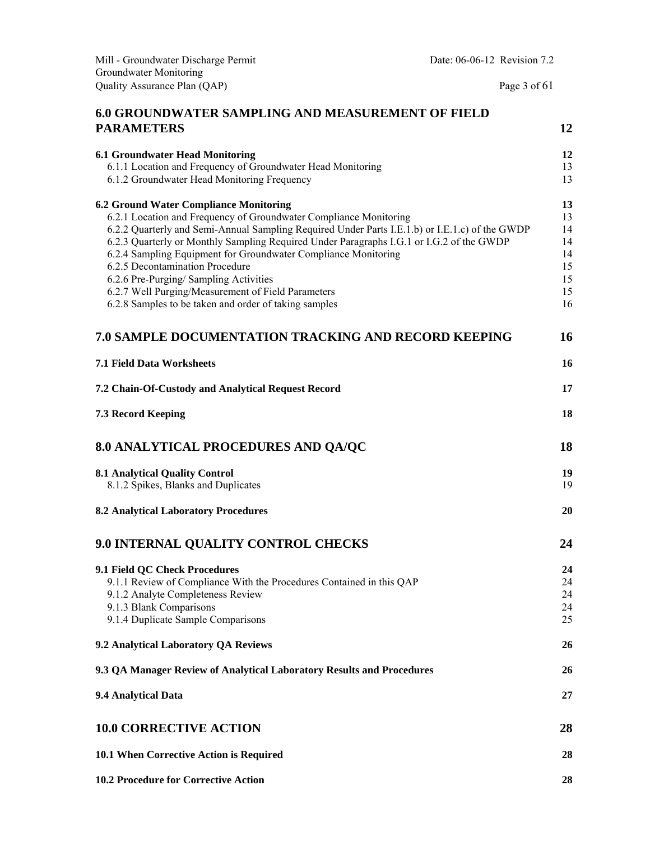| Mill - Groundwater Discharge Permit                                                                                                                                                                                                                                                                                                                                                                                                                                                                                                                                            | Date: 06-06-12 Revision 7.2 |                                                    |
|--------------------------------------------------------------------------------------------------------------------------------------------------------------------------------------------------------------------------------------------------------------------------------------------------------------------------------------------------------------------------------------------------------------------------------------------------------------------------------------------------------------------------------------------------------------------------------|-----------------------------|----------------------------------------------------|
| Groundwater Monitoring<br>Quality Assurance Plan (QAP)                                                                                                                                                                                                                                                                                                                                                                                                                                                                                                                         | Page 3 of $61$              |                                                    |
| 6.0 GROUNDWATER SAMPLING AND MEASUREMENT OF FIELD                                                                                                                                                                                                                                                                                                                                                                                                                                                                                                                              |                             |                                                    |
| <b>PARAMETERS</b>                                                                                                                                                                                                                                                                                                                                                                                                                                                                                                                                                              |                             | 12                                                 |
| <b>6.1 Groundwater Head Monitoring</b><br>6.1.1 Location and Frequency of Groundwater Head Monitoring<br>6.1.2 Groundwater Head Monitoring Frequency                                                                                                                                                                                                                                                                                                                                                                                                                           |                             | 12<br>13<br>13                                     |
| <b>6.2 Ground Water Compliance Monitoring</b><br>6.2.1 Location and Frequency of Groundwater Compliance Monitoring<br>6.2.2 Quarterly and Semi-Annual Sampling Required Under Parts I.E.1.b) or I.E.1.c) of the GWDP<br>6.2.3 Quarterly or Monthly Sampling Required Under Paragraphs I.G.1 or I.G.2 of the GWDP<br>6.2.4 Sampling Equipment for Groundwater Compliance Monitoring<br>6.2.5 Decontamination Procedure<br>6.2.6 Pre-Purging/ Sampling Activities<br>6.2.7 Well Purging/Measurement of Field Parameters<br>6.2.8 Samples to be taken and order of taking samples |                             | 13<br>13<br>14<br>14<br>14<br>15<br>15<br>15<br>16 |
| 7.0 SAMPLE DOCUMENTATION TRACKING AND RECORD KEEPING                                                                                                                                                                                                                                                                                                                                                                                                                                                                                                                           |                             | 16                                                 |
| <b>7.1 Field Data Worksheets</b>                                                                                                                                                                                                                                                                                                                                                                                                                                                                                                                                               |                             | 16                                                 |
| 7.2 Chain-Of-Custody and Analytical Request Record                                                                                                                                                                                                                                                                                                                                                                                                                                                                                                                             |                             | 17                                                 |
| 7.3 Record Keeping                                                                                                                                                                                                                                                                                                                                                                                                                                                                                                                                                             |                             | 18                                                 |
| <b>8.0 ANALYTICAL PROCEDURES AND QA/QC</b>                                                                                                                                                                                                                                                                                                                                                                                                                                                                                                                                     |                             | 18                                                 |
| <b>8.1 Analytical Quality Control</b><br>8.1.2 Spikes, Blanks and Duplicates                                                                                                                                                                                                                                                                                                                                                                                                                                                                                                   |                             | 19<br>19                                           |
| <b>8.2 Analytical Laboratory Procedures</b>                                                                                                                                                                                                                                                                                                                                                                                                                                                                                                                                    |                             | 20                                                 |
| 9.0 INTERNAL QUALITY CONTROL CHECKS                                                                                                                                                                                                                                                                                                                                                                                                                                                                                                                                            |                             | 24                                                 |
| 9.1 Field QC Check Procedures<br>9.1.1 Review of Compliance With the Procedures Contained in this QAP<br>9.1.2 Analyte Completeness Review<br>9.1.3 Blank Comparisons<br>9.1.4 Duplicate Sample Comparisons                                                                                                                                                                                                                                                                                                                                                                    |                             | 24<br>24<br>24<br>24<br>25                         |
| 9.2 Analytical Laboratory QA Reviews                                                                                                                                                                                                                                                                                                                                                                                                                                                                                                                                           |                             | 26                                                 |
| 9.3 QA Manager Review of Analytical Laboratory Results and Procedures                                                                                                                                                                                                                                                                                                                                                                                                                                                                                                          |                             | 26                                                 |
| 9.4 Analytical Data                                                                                                                                                                                                                                                                                                                                                                                                                                                                                                                                                            |                             | 27                                                 |
| <b>10.0 CORRECTIVE ACTION</b>                                                                                                                                                                                                                                                                                                                                                                                                                                                                                                                                                  |                             | 28                                                 |
| 10.1 When Corrective Action is Required                                                                                                                                                                                                                                                                                                                                                                                                                                                                                                                                        |                             | 28                                                 |
| 10.2 Procedure for Corrective Action                                                                                                                                                                                                                                                                                                                                                                                                                                                                                                                                           |                             | 28                                                 |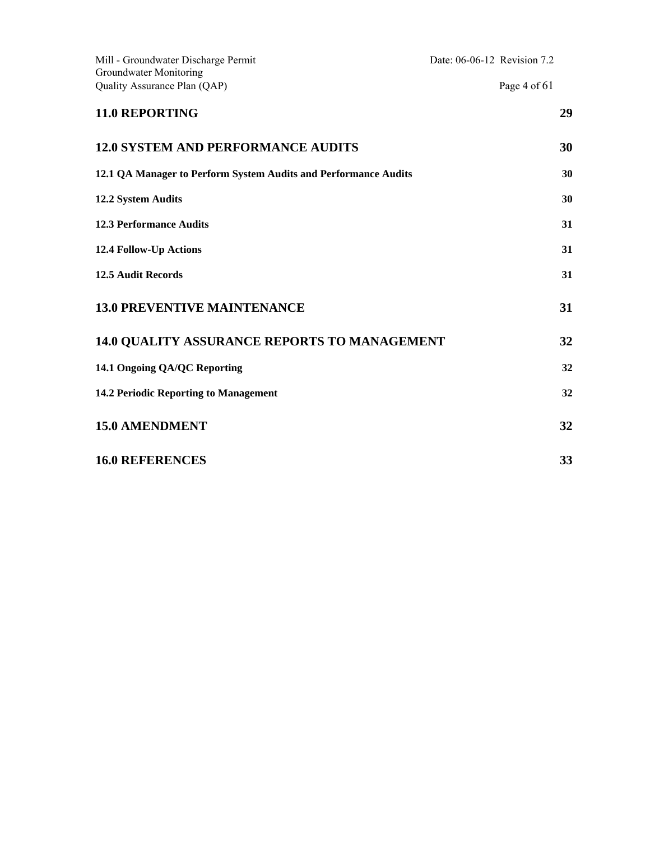| Mill - Groundwater Discharge Permit<br>Groundwater Monitoring   | Date: 06-06-12 Revision 7.2 |              |    |
|-----------------------------------------------------------------|-----------------------------|--------------|----|
| Quality Assurance Plan (QAP)                                    |                             | Page 4 of 61 |    |
| <b>11.0 REPORTING</b>                                           |                             |              | 29 |
| <b>12.0 SYSTEM AND PERFORMANCE AUDITS</b>                       |                             |              | 30 |
| 12.1 QA Manager to Perform System Audits and Performance Audits |                             |              | 30 |
| 12.2 System Audits                                              |                             |              | 30 |
| <b>12.3 Performance Audits</b>                                  |                             |              | 31 |
| 12.4 Follow-Up Actions                                          |                             |              | 31 |
| <b>12.5 Audit Records</b>                                       |                             |              | 31 |
| <b>13.0 PREVENTIVE MAINTENANCE</b>                              |                             |              | 31 |
| <b>14.0 QUALITY ASSURANCE REPORTS TO MANAGEMENT</b>             |                             |              | 32 |
| 14.1 Ongoing QA/QC Reporting                                    |                             |              | 32 |
| 14.2 Periodic Reporting to Management                           |                             |              | 32 |
| <b>15.0 AMENDMENT</b>                                           |                             |              | 32 |
| <b>16.0 REFERENCES</b>                                          |                             |              | 33 |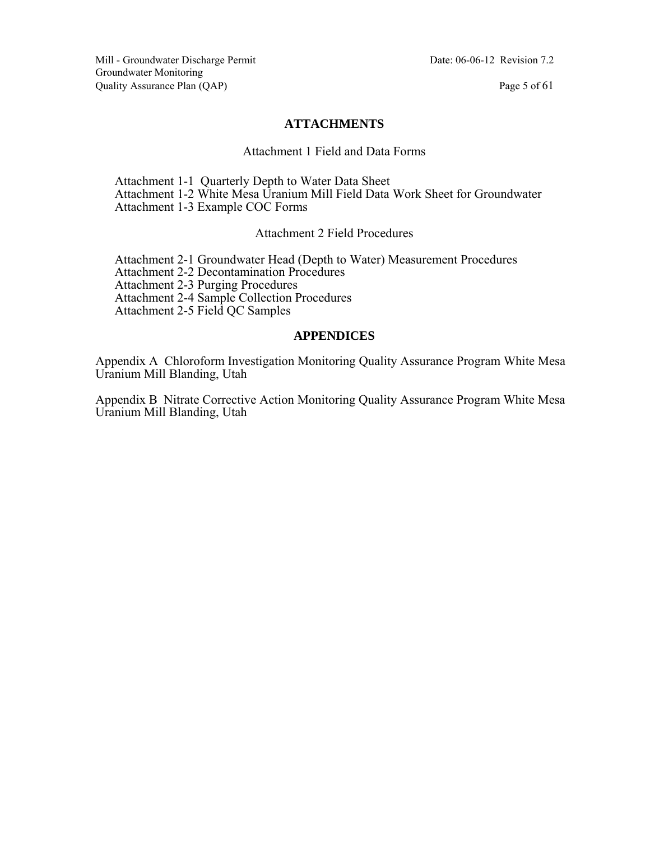#### **ATTACHMENTS**

#### Attachment 1 Field and Data Forms

 Attachment 1-1 Quarterly Depth to Water Data Sheet Attachment 1-2 White Mesa Uranium Mill Field Data Work Sheet for Groundwater Attachment 1-3 Example COC Forms

#### Attachment 2 Field Procedures

 Attachment 2-1 Groundwater Head (Depth to Water) Measurement Procedures Attachment 2-2 Decontamination Procedures Attachment 2-3 Purging Procedures Attachment 2-4 Sample Collection Procedures Attachment 2-5 Field QC Samples

#### **APPENDICES**

Appendix A Chloroform Investigation Monitoring Quality Assurance Program White Mesa Uranium Mill Blanding, Utah

Appendix B Nitrate Corrective Action Monitoring Quality Assurance Program White Mesa Uranium Mill Blanding, Utah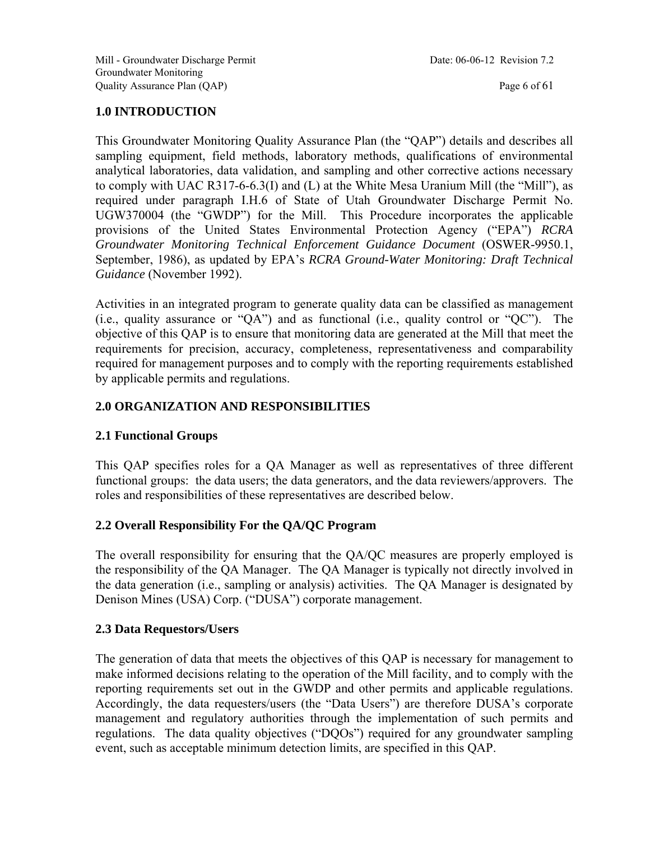### **1.0 INTRODUCTION**

This Groundwater Monitoring Quality Assurance Plan (the "QAP") details and describes all sampling equipment, field methods, laboratory methods, qualifications of environmental analytical laboratories, data validation, and sampling and other corrective actions necessary to comply with UAC R317-6-6.3(I) and (L) at the White Mesa Uranium Mill (the "Mill"), as required under paragraph I.H.6 of State of Utah Groundwater Discharge Permit No. UGW370004 (the "GWDP") for the Mill. This Procedure incorporates the applicable provisions of the United States Environmental Protection Agency ("EPA") *RCRA Groundwater Monitoring Technical Enforcement Guidance Document* (OSWER-9950.1, September, 1986), as updated by EPA's *RCRA Ground-Water Monitoring: Draft Technical Guidance* (November 1992).

Activities in an integrated program to generate quality data can be classified as management (i.e., quality assurance or "QA") and as functional (i.e., quality control or "QC"). The objective of this QAP is to ensure that monitoring data are generated at the Mill that meet the requirements for precision, accuracy, completeness, representativeness and comparability required for management purposes and to comply with the reporting requirements established by applicable permits and regulations.

#### **2.0 ORGANIZATION AND RESPONSIBILITIES**

#### **2.1 Functional Groups**

This QAP specifies roles for a QA Manager as well as representatives of three different functional groups: the data users; the data generators, and the data reviewers/approvers. The roles and responsibilities of these representatives are described below.

#### **2.2 Overall Responsibility For the QA/QC Program**

The overall responsibility for ensuring that the QA/QC measures are properly employed is the responsibility of the QA Manager. The QA Manager is typically not directly involved in the data generation (i.e., sampling or analysis) activities. The QA Manager is designated by Denison Mines (USA) Corp. ("DUSA") corporate management.

#### **2.3 Data Requestors/Users**

The generation of data that meets the objectives of this QAP is necessary for management to make informed decisions relating to the operation of the Mill facility, and to comply with the reporting requirements set out in the GWDP and other permits and applicable regulations. Accordingly, the data requesters/users (the "Data Users") are therefore DUSA's corporate management and regulatory authorities through the implementation of such permits and regulations. The data quality objectives ("DQOs") required for any groundwater sampling event, such as acceptable minimum detection limits, are specified in this QAP.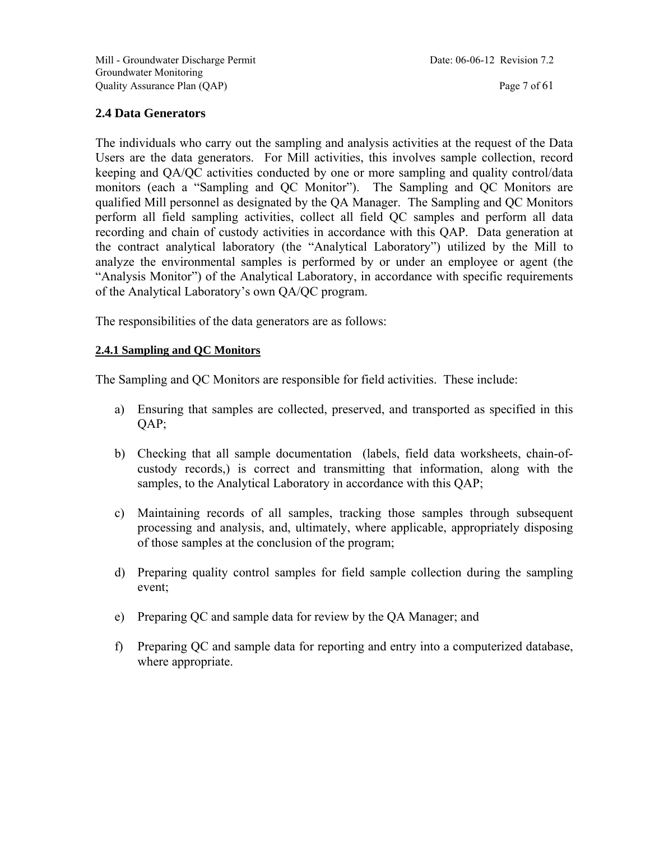#### **2.4 Data Generators**

The individuals who carry out the sampling and analysis activities at the request of the Data Users are the data generators. For Mill activities, this involves sample collection, record keeping and QA/QC activities conducted by one or more sampling and quality control/data monitors (each a "Sampling and QC Monitor"). The Sampling and QC Monitors are qualified Mill personnel as designated by the QA Manager. The Sampling and QC Monitors perform all field sampling activities, collect all field QC samples and perform all data recording and chain of custody activities in accordance with this QAP. Data generation at the contract analytical laboratory (the "Analytical Laboratory") utilized by the Mill to analyze the environmental samples is performed by or under an employee or agent (the "Analysis Monitor") of the Analytical Laboratory, in accordance with specific requirements of the Analytical Laboratory's own QA/QC program.

The responsibilities of the data generators are as follows:

#### **2.4.1 Sampling and QC Monitors**

The Sampling and QC Monitors are responsible for field activities. These include:

- a) Ensuring that samples are collected, preserved, and transported as specified in this QAP;
- b) Checking that all sample documentation (labels, field data worksheets, chain-ofcustody records,) is correct and transmitting that information, along with the samples, to the Analytical Laboratory in accordance with this QAP;
- c) Maintaining records of all samples, tracking those samples through subsequent processing and analysis, and, ultimately, where applicable, appropriately disposing of those samples at the conclusion of the program;
- d) Preparing quality control samples for field sample collection during the sampling event;
- e) Preparing QC and sample data for review by the QA Manager; and
- f) Preparing QC and sample data for reporting and entry into a computerized database, where appropriate.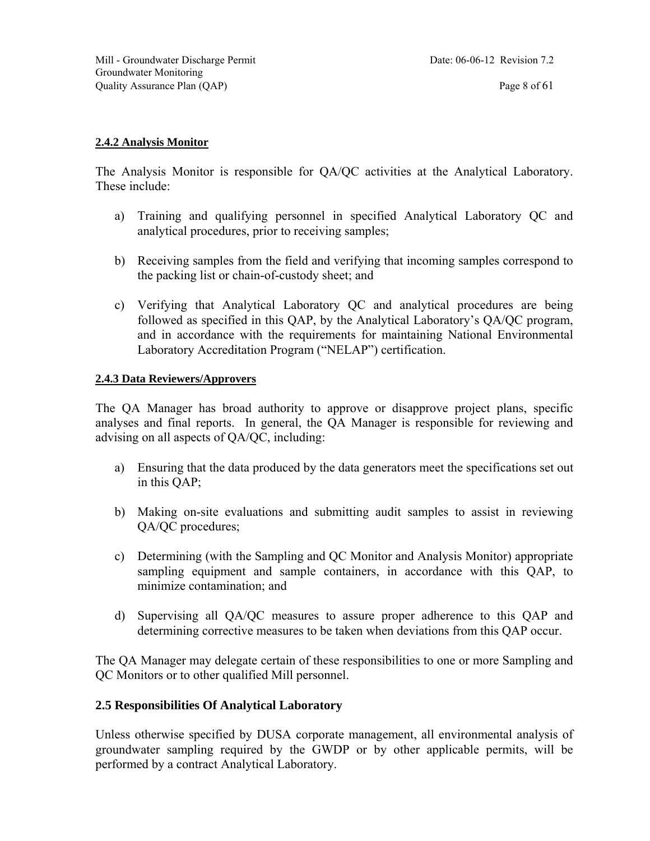#### **2.4.2 Analysis Monitor**

The Analysis Monitor is responsible for QA/QC activities at the Analytical Laboratory. These include:

- a) Training and qualifying personnel in specified Analytical Laboratory QC and analytical procedures, prior to receiving samples;
- b) Receiving samples from the field and verifying that incoming samples correspond to the packing list or chain-of-custody sheet; and
- c) Verifying that Analytical Laboratory QC and analytical procedures are being followed as specified in this QAP, by the Analytical Laboratory's QA/QC program, and in accordance with the requirements for maintaining National Environmental Laboratory Accreditation Program ("NELAP") certification.

#### **2.4.3 Data Reviewers/Approvers**

The QA Manager has broad authority to approve or disapprove project plans, specific analyses and final reports. In general, the QA Manager is responsible for reviewing and advising on all aspects of QA/QC, including:

- a) Ensuring that the data produced by the data generators meet the specifications set out in this QAP;
- b) Making on-site evaluations and submitting audit samples to assist in reviewing QA/QC procedures;
- c) Determining (with the Sampling and QC Monitor and Analysis Monitor) appropriate sampling equipment and sample containers, in accordance with this QAP, to minimize contamination; and
- d) Supervising all QA/QC measures to assure proper adherence to this QAP and determining corrective measures to be taken when deviations from this QAP occur.

The QA Manager may delegate certain of these responsibilities to one or more Sampling and QC Monitors or to other qualified Mill personnel.

#### **2.5 Responsibilities Of Analytical Laboratory**

Unless otherwise specified by DUSA corporate management, all environmental analysis of groundwater sampling required by the GWDP or by other applicable permits, will be performed by a contract Analytical Laboratory.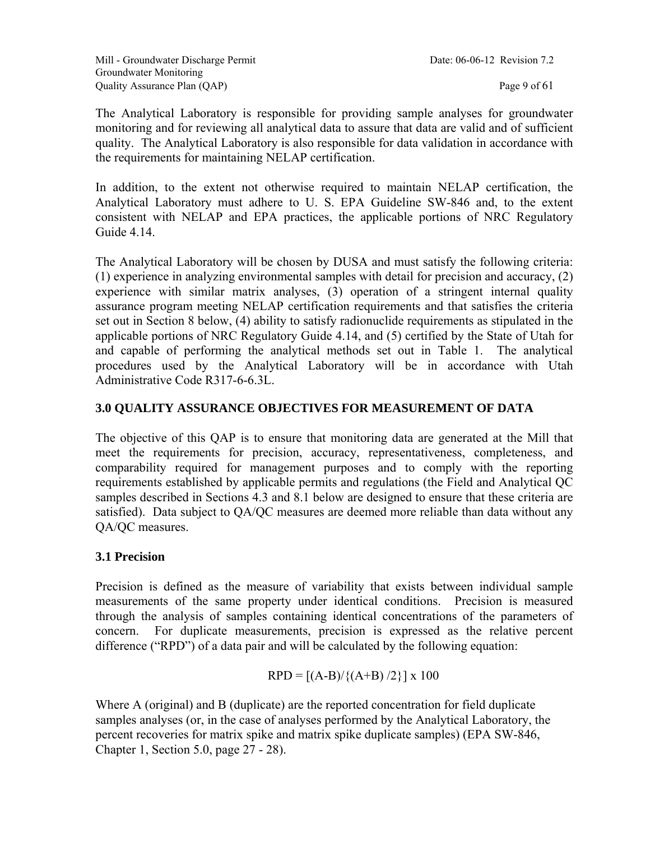The Analytical Laboratory is responsible for providing sample analyses for groundwater monitoring and for reviewing all analytical data to assure that data are valid and of sufficient quality. The Analytical Laboratory is also responsible for data validation in accordance with the requirements for maintaining NELAP certification.

In addition, to the extent not otherwise required to maintain NELAP certification, the Analytical Laboratory must adhere to U. S. EPA Guideline SW-846 and, to the extent consistent with NELAP and EPA practices, the applicable portions of NRC Regulatory Guide 4.14.

The Analytical Laboratory will be chosen by DUSA and must satisfy the following criteria: (1) experience in analyzing environmental samples with detail for precision and accuracy, (2) experience with similar matrix analyses, (3) operation of a stringent internal quality assurance program meeting NELAP certification requirements and that satisfies the criteria set out in Section 8 below, (4) ability to satisfy radionuclide requirements as stipulated in the applicable portions of NRC Regulatory Guide 4.14, and (5) certified by the State of Utah for and capable of performing the analytical methods set out in Table 1. The analytical procedures used by the Analytical Laboratory will be in accordance with Utah Administrative Code R317-6-6.3L.

#### **3.0 QUALITY ASSURANCE OBJECTIVES FOR MEASUREMENT OF DATA**

The objective of this QAP is to ensure that monitoring data are generated at the Mill that meet the requirements for precision, accuracy, representativeness, completeness, and comparability required for management purposes and to comply with the reporting requirements established by applicable permits and regulations (the Field and Analytical QC samples described in Sections 4.3 and 8.1 below are designed to ensure that these criteria are satisfied). Data subject to QA/QC measures are deemed more reliable than data without any QA/QC measures.

#### **3.1 Precision**

Precision is defined as the measure of variability that exists between individual sample measurements of the same property under identical conditions. Precision is measured through the analysis of samples containing identical concentrations of the parameters of concern. For duplicate measurements, precision is expressed as the relative percent difference ("RPD") of a data pair and will be calculated by the following equation:

$$
RPD = [(A-B)/{(A+B)/2}] x 100
$$

Where A (original) and B (duplicate) are the reported concentration for field duplicate samples analyses (or, in the case of analyses performed by the Analytical Laboratory, the percent recoveries for matrix spike and matrix spike duplicate samples) (EPA SW-846, Chapter 1, Section 5.0, page 27 - 28).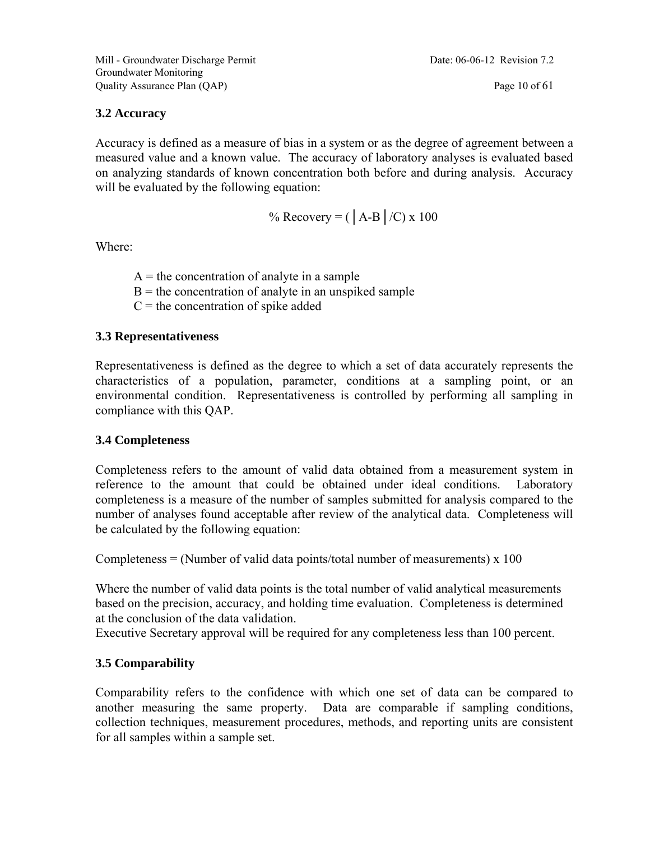#### **3.2 Accuracy**

Accuracy is defined as a measure of bias in a system or as the degree of agreement between a measured value and a known value. The accuracy of laboratory analyses is evaluated based on analyzing standards of known concentration both before and during analysis. Accuracy will be evaluated by the following equation:

% Recovery = (
$$
|A-B|/C
$$
) x 100

Where:

 $A =$  the concentration of analyte in a sample  $B =$  the concentration of analyte in an unspiked sample  $C =$  the concentration of spike added

#### **3.3 Representativeness**

Representativeness is defined as the degree to which a set of data accurately represents the characteristics of a population, parameter, conditions at a sampling point, or an environmental condition. Representativeness is controlled by performing all sampling in compliance with this QAP.

#### **3.4 Completeness**

Completeness refers to the amount of valid data obtained from a measurement system in reference to the amount that could be obtained under ideal conditions. Laboratory completeness is a measure of the number of samples submitted for analysis compared to the number of analyses found acceptable after review of the analytical data. Completeness will be calculated by the following equation:

Completeness = (Number of valid data points/total number of measurements)  $x$  100

Where the number of valid data points is the total number of valid analytical measurements based on the precision, accuracy, and holding time evaluation. Completeness is determined at the conclusion of the data validation.

Executive Secretary approval will be required for any completeness less than 100 percent.

#### **3.5 Comparability**

Comparability refers to the confidence with which one set of data can be compared to another measuring the same property. Data are comparable if sampling conditions, collection techniques, measurement procedures, methods, and reporting units are consistent for all samples within a sample set.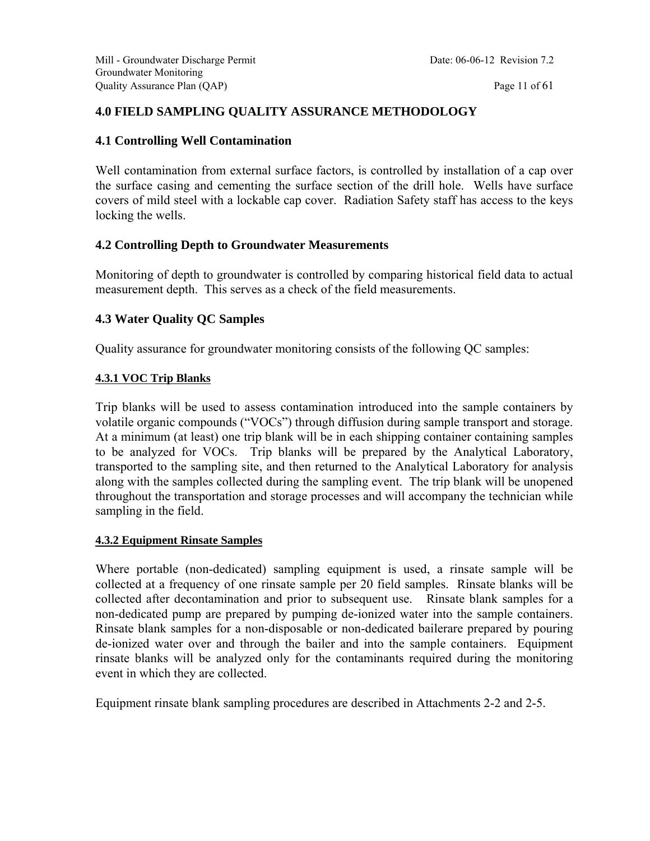#### **4.0 FIELD SAMPLING QUALITY ASSURANCE METHODOLOGY**

#### **4.1 Controlling Well Contamination**

Well contamination from external surface factors, is controlled by installation of a cap over the surface casing and cementing the surface section of the drill hole. Wells have surface covers of mild steel with a lockable cap cover. Radiation Safety staff has access to the keys locking the wells.

#### **4.2 Controlling Depth to Groundwater Measurements**

Monitoring of depth to groundwater is controlled by comparing historical field data to actual measurement depth. This serves as a check of the field measurements.

#### **4.3 Water Quality QC Samples**

Quality assurance for groundwater monitoring consists of the following QC samples:

#### **4.3.1 VOC Trip Blanks**

Trip blanks will be used to assess contamination introduced into the sample containers by volatile organic compounds ("VOCs") through diffusion during sample transport and storage. At a minimum (at least) one trip blank will be in each shipping container containing samples to be analyzed for VOCs. Trip blanks will be prepared by the Analytical Laboratory, transported to the sampling site, and then returned to the Analytical Laboratory for analysis along with the samples collected during the sampling event. The trip blank will be unopened throughout the transportation and storage processes and will accompany the technician while sampling in the field.

#### **4.3.2 Equipment Rinsate Samples**

Where portable (non-dedicated) sampling equipment is used, a rinsate sample will be collected at a frequency of one rinsate sample per 20 field samples. Rinsate blanks will be collected after decontamination and prior to subsequent use. Rinsate blank samples for a non-dedicated pump are prepared by pumping de-ionized water into the sample containers. Rinsate blank samples for a non-disposable or non-dedicated bailerare prepared by pouring de-ionized water over and through the bailer and into the sample containers. Equipment rinsate blanks will be analyzed only for the contaminants required during the monitoring event in which they are collected.

Equipment rinsate blank sampling procedures are described in Attachments 2-2 and 2-5.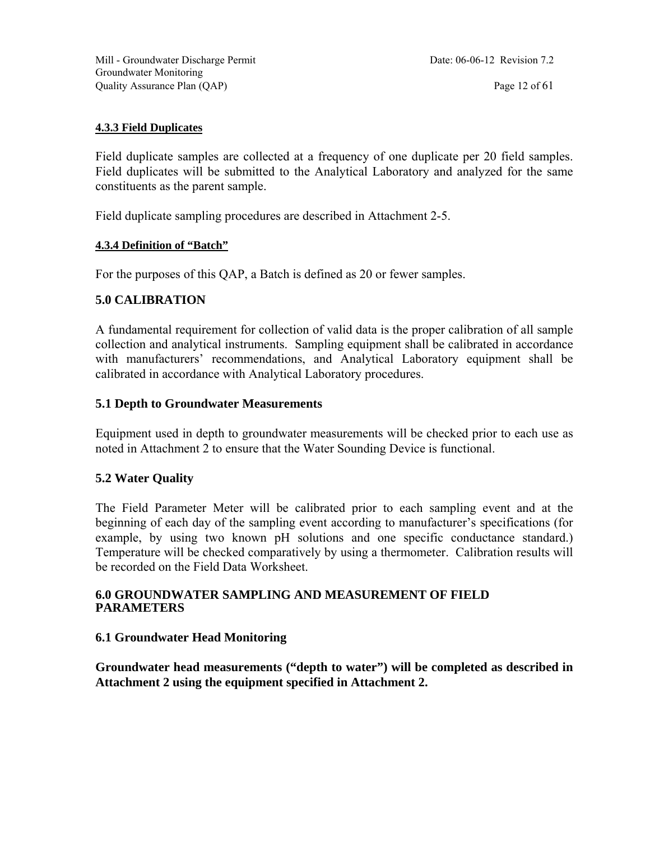#### **4.3.3 Field Duplicates**

Field duplicate samples are collected at a frequency of one duplicate per 20 field samples. Field duplicates will be submitted to the Analytical Laboratory and analyzed for the same constituents as the parent sample.

Field duplicate sampling procedures are described in Attachment 2-5.

#### **4.3.4 Definition of "Batch"**

For the purposes of this QAP, a Batch is defined as 20 or fewer samples.

#### **5.0 CALIBRATION**

A fundamental requirement for collection of valid data is the proper calibration of all sample collection and analytical instruments. Sampling equipment shall be calibrated in accordance with manufacturers' recommendations, and Analytical Laboratory equipment shall be calibrated in accordance with Analytical Laboratory procedures.

#### **5.1 Depth to Groundwater Measurements**

Equipment used in depth to groundwater measurements will be checked prior to each use as noted in Attachment 2 to ensure that the Water Sounding Device is functional.

#### **5.2 Water Quality**

The Field Parameter Meter will be calibrated prior to each sampling event and at the beginning of each day of the sampling event according to manufacturer's specifications (for example, by using two known pH solutions and one specific conductance standard.) Temperature will be checked comparatively by using a thermometer. Calibration results will be recorded on the Field Data Worksheet.

#### **6.0 GROUNDWATER SAMPLING AND MEASUREMENT OF FIELD PARAMETERS**

#### **6.1 Groundwater Head Monitoring**

**Groundwater head measurements ("depth to water") will be completed as described in Attachment 2 using the equipment specified in Attachment 2.**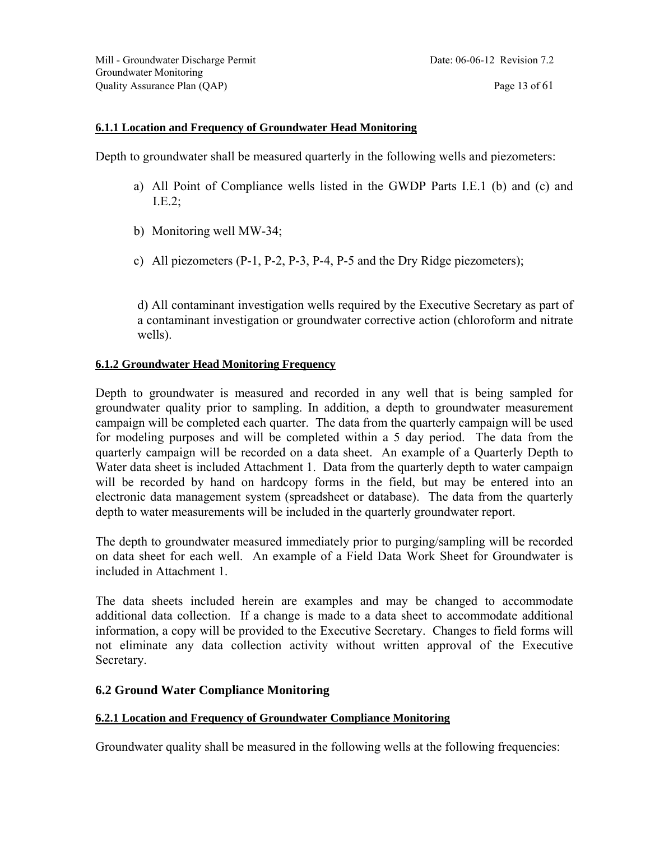#### **6.1.1 Location and Frequency of Groundwater Head Monitoring**

Depth to groundwater shall be measured quarterly in the following wells and piezometers:

- a) All Point of Compliance wells listed in the GWDP Parts I.E.1 (b) and (c) and I.E.2;
- b) Monitoring well MW-34;
- c) All piezometers (P-1, P-2, P-3, P-4, P-5 and the Dry Ridge piezometers);

d) All contaminant investigation wells required by the Executive Secretary as part of a contaminant investigation or groundwater corrective action (chloroform and nitrate wells).

#### **6.1.2 Groundwater Head Monitoring Frequency**

Depth to groundwater is measured and recorded in any well that is being sampled for groundwater quality prior to sampling. In addition, a depth to groundwater measurement campaign will be completed each quarter. The data from the quarterly campaign will be used for modeling purposes and will be completed within a 5 day period. The data from the quarterly campaign will be recorded on a data sheet. An example of a Quarterly Depth to Water data sheet is included Attachment 1. Data from the quarterly depth to water campaign will be recorded by hand on hardcopy forms in the field, but may be entered into an electronic data management system (spreadsheet or database). The data from the quarterly depth to water measurements will be included in the quarterly groundwater report.

The depth to groundwater measured immediately prior to purging/sampling will be recorded on data sheet for each well. An example of a Field Data Work Sheet for Groundwater is included in Attachment 1.

The data sheets included herein are examples and may be changed to accommodate additional data collection. If a change is made to a data sheet to accommodate additional information, a copy will be provided to the Executive Secretary. Changes to field forms will not eliminate any data collection activity without written approval of the Executive Secretary.

#### **6.2 Ground Water Compliance Monitoring**

#### **6.2.1 Location and Frequency of Groundwater Compliance Monitoring**

Groundwater quality shall be measured in the following wells at the following frequencies: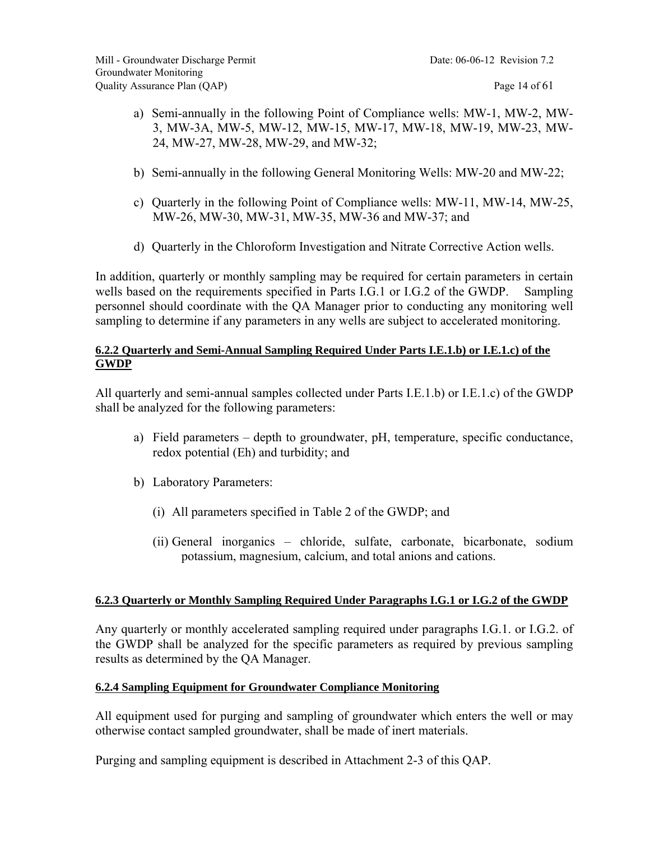- a) Semi-annually in the following Point of Compliance wells: MW-1, MW-2, MW-3, MW-3A, MW-5, MW-12, MW-15, MW-17, MW-18, MW-19, MW-23, MW-24, MW-27, MW-28, MW-29, and MW-32;
- b) Semi-annually in the following General Monitoring Wells: MW-20 and MW-22;
- c) Quarterly in the following Point of Compliance wells: MW-11, MW-14, MW-25, MW-26, MW-30, MW-31, MW-35, MW-36 and MW-37; and
- d) Quarterly in the Chloroform Investigation and Nitrate Corrective Action wells.

In addition, quarterly or monthly sampling may be required for certain parameters in certain wells based on the requirements specified in Parts I.G.1 or I.G.2 of the GWDP. Sampling personnel should coordinate with the QA Manager prior to conducting any monitoring well sampling to determine if any parameters in any wells are subject to accelerated monitoring.

#### **6.2.2 Quarterly and Semi-Annual Sampling Required Under Parts I.E.1.b) or I.E.1.c) of the GWDP**

All quarterly and semi-annual samples collected under Parts I.E.1.b) or I.E.1.c) of the GWDP shall be analyzed for the following parameters:

- a) Field parameters depth to groundwater, pH, temperature, specific conductance, redox potential (Eh) and turbidity; and
- b) Laboratory Parameters:
	- (i) All parameters specified in Table 2 of the GWDP; and
	- (ii) General inorganics chloride, sulfate, carbonate, bicarbonate, sodium potassium, magnesium, calcium, and total anions and cations.

#### **6.2.3 Quarterly or Monthly Sampling Required Under Paragraphs I.G.1 or I.G.2 of the GWDP**

Any quarterly or monthly accelerated sampling required under paragraphs I.G.1. or I.G.2. of the GWDP shall be analyzed for the specific parameters as required by previous sampling results as determined by the QA Manager.

#### **6.2.4 Sampling Equipment for Groundwater Compliance Monitoring**

All equipment used for purging and sampling of groundwater which enters the well or may otherwise contact sampled groundwater, shall be made of inert materials.

Purging and sampling equipment is described in Attachment 2-3 of this QAP.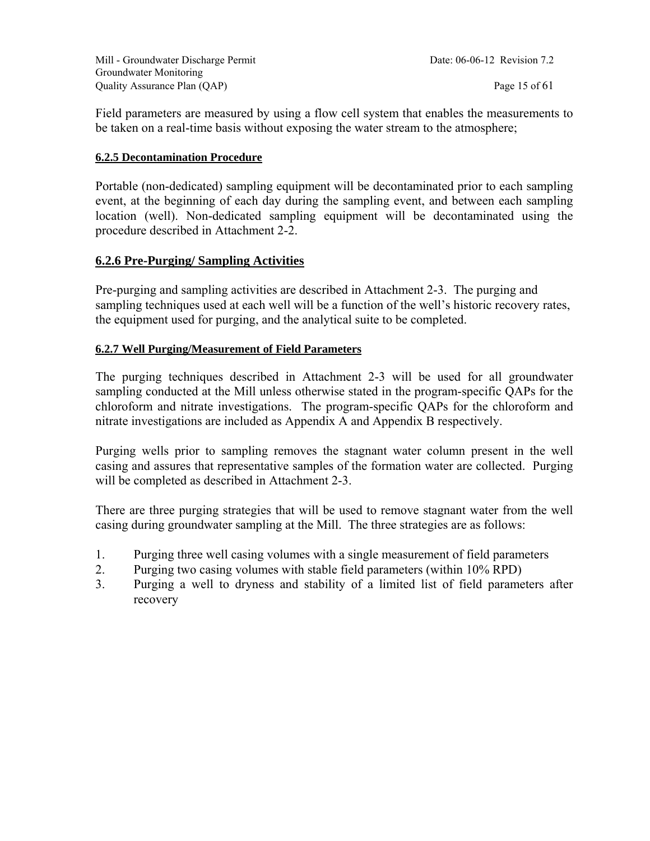Mill - Groundwater Discharge Permit Date: 06-06-12 Revision 7.2 Groundwater Monitoring Quality Assurance Plan (QAP) Page 15 of 61

Field parameters are measured by using a flow cell system that enables the measurements to be taken on a real-time basis without exposing the water stream to the atmosphere;

#### **6.2.5 Decontamination Procedure**

Portable (non-dedicated) sampling equipment will be decontaminated prior to each sampling event, at the beginning of each day during the sampling event, and between each sampling location (well). Non-dedicated sampling equipment will be decontaminated using the procedure described in Attachment 2-2.

#### **6.2.6 Pre-Purging/ Sampling Activities**

Pre-purging and sampling activities are described in Attachment 2-3. The purging and sampling techniques used at each well will be a function of the well's historic recovery rates, the equipment used for purging, and the analytical suite to be completed.

#### **6.2.7 Well Purging/Measurement of Field Parameters**

The purging techniques described in Attachment 2-3 will be used for all groundwater sampling conducted at the Mill unless otherwise stated in the program-specific QAPs for the chloroform and nitrate investigations. The program-specific QAPs for the chloroform and nitrate investigations are included as Appendix A and Appendix B respectively.

Purging wells prior to sampling removes the stagnant water column present in the well casing and assures that representative samples of the formation water are collected. Purging will be completed as described in Attachment 2-3.

There are three purging strategies that will be used to remove stagnant water from the well casing during groundwater sampling at the Mill. The three strategies are as follows:

- 1. Purging three well casing volumes with a single measurement of field parameters
- 2. Purging two casing volumes with stable field parameters (within 10% RPD)
- 3. Purging a well to dryness and stability of a limited list of field parameters after recovery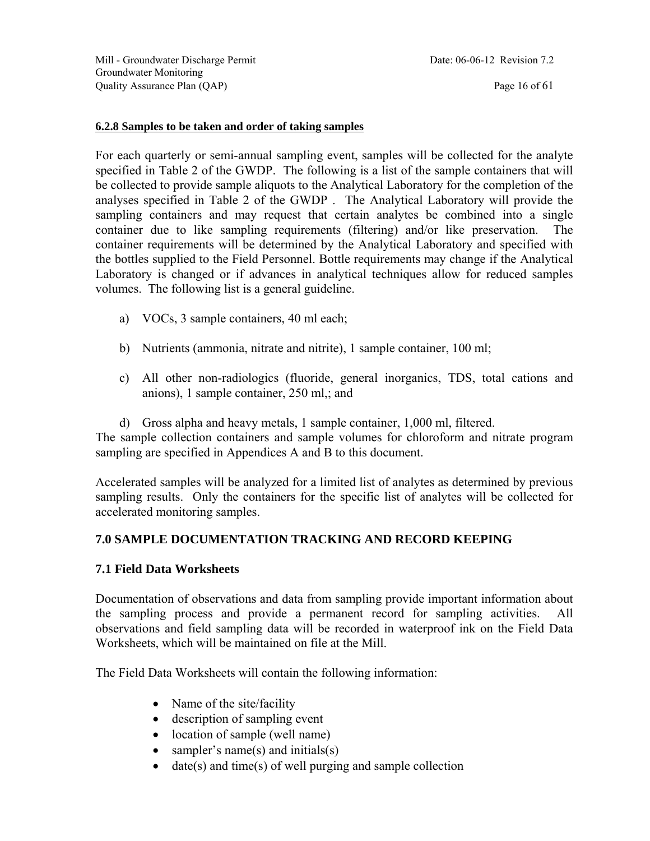Mill - Groundwater Discharge Permit Date: 06-06-12 Revision 7.2 Groundwater Monitoring Quality Assurance Plan (QAP) Page 16 of 61

#### **6.2.8 Samples to be taken and order of taking samples**

For each quarterly or semi-annual sampling event, samples will be collected for the analyte specified in Table 2 of the GWDP. The following is a list of the sample containers that will be collected to provide sample aliquots to the Analytical Laboratory for the completion of the analyses specified in Table 2 of the GWDP . The Analytical Laboratory will provide the sampling containers and may request that certain analytes be combined into a single container due to like sampling requirements (filtering) and/or like preservation. The container requirements will be determined by the Analytical Laboratory and specified with the bottles supplied to the Field Personnel. Bottle requirements may change if the Analytical Laboratory is changed or if advances in analytical techniques allow for reduced samples volumes. The following list is a general guideline.

- a) VOCs, 3 sample containers, 40 ml each;
- b) Nutrients (ammonia, nitrate and nitrite), 1 sample container, 100 ml;
- c) All other non-radiologics (fluoride, general inorganics, TDS, total cations and anions), 1 sample container, 250 ml,; and
- d) Gross alpha and heavy metals, 1 sample container, 1,000 ml, filtered.

The sample collection containers and sample volumes for chloroform and nitrate program sampling are specified in Appendices A and B to this document.

Accelerated samples will be analyzed for a limited list of analytes as determined by previous sampling results. Only the containers for the specific list of analytes will be collected for accelerated monitoring samples.

#### **7.0 SAMPLE DOCUMENTATION TRACKING AND RECORD KEEPING**

#### **7.1 Field Data Worksheets**

Documentation of observations and data from sampling provide important information about the sampling process and provide a permanent record for sampling activities. All observations and field sampling data will be recorded in waterproof ink on the Field Data Worksheets, which will be maintained on file at the Mill.

The Field Data Worksheets will contain the following information:

- Name of the site/facility
- description of sampling event
- location of sample (well name)
- sampler's name(s) and initials(s)
- $\bullet$  date(s) and time(s) of well purging and sample collection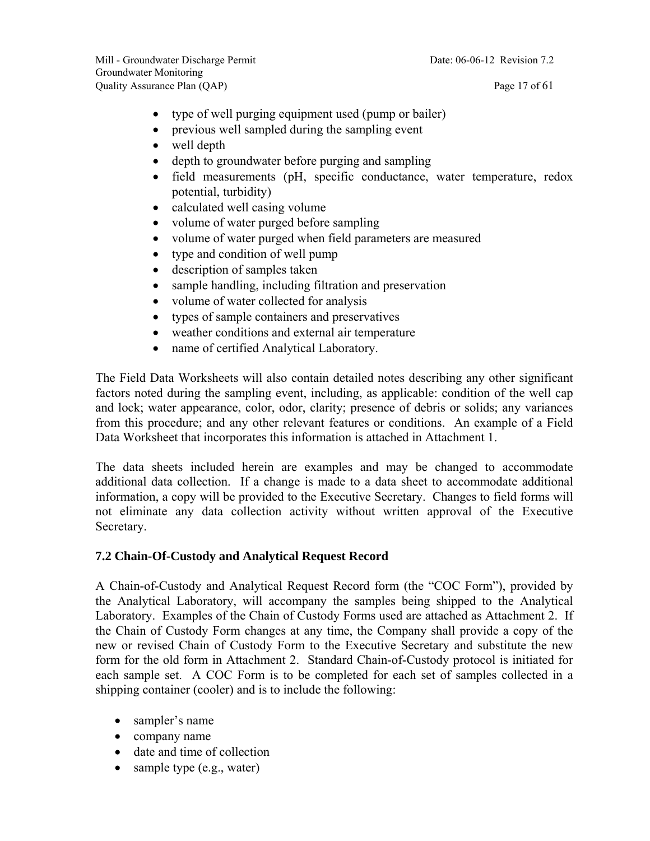- type of well purging equipment used (pump or bailer)
- previous well sampled during the sampling event
- well depth
- depth to groundwater before purging and sampling
- field measurements (pH, specific conductance, water temperature, redox potential, turbidity)
- calculated well casing volume
- volume of water purged before sampling
- volume of water purged when field parameters are measured
- type and condition of well pump
- description of samples taken
- sample handling, including filtration and preservation
- volume of water collected for analysis
- types of sample containers and preservatives
- weather conditions and external air temperature
- name of certified Analytical Laboratory.

The Field Data Worksheets will also contain detailed notes describing any other significant factors noted during the sampling event, including, as applicable: condition of the well cap and lock; water appearance, color, odor, clarity; presence of debris or solids; any variances from this procedure; and any other relevant features or conditions. An example of a Field Data Worksheet that incorporates this information is attached in Attachment 1.

The data sheets included herein are examples and may be changed to accommodate additional data collection. If a change is made to a data sheet to accommodate additional information, a copy will be provided to the Executive Secretary. Changes to field forms will not eliminate any data collection activity without written approval of the Executive Secretary.

#### **7.2 Chain-Of-Custody and Analytical Request Record**

A Chain-of-Custody and Analytical Request Record form (the "COC Form"), provided by the Analytical Laboratory, will accompany the samples being shipped to the Analytical Laboratory. Examples of the Chain of Custody Forms used are attached as Attachment 2. If the Chain of Custody Form changes at any time, the Company shall provide a copy of the new or revised Chain of Custody Form to the Executive Secretary and substitute the new form for the old form in Attachment 2. Standard Chain-of-Custody protocol is initiated for each sample set. A COC Form is to be completed for each set of samples collected in a shipping container (cooler) and is to include the following:

- sampler's name
- company name
- date and time of collection
- sample type (e.g., water)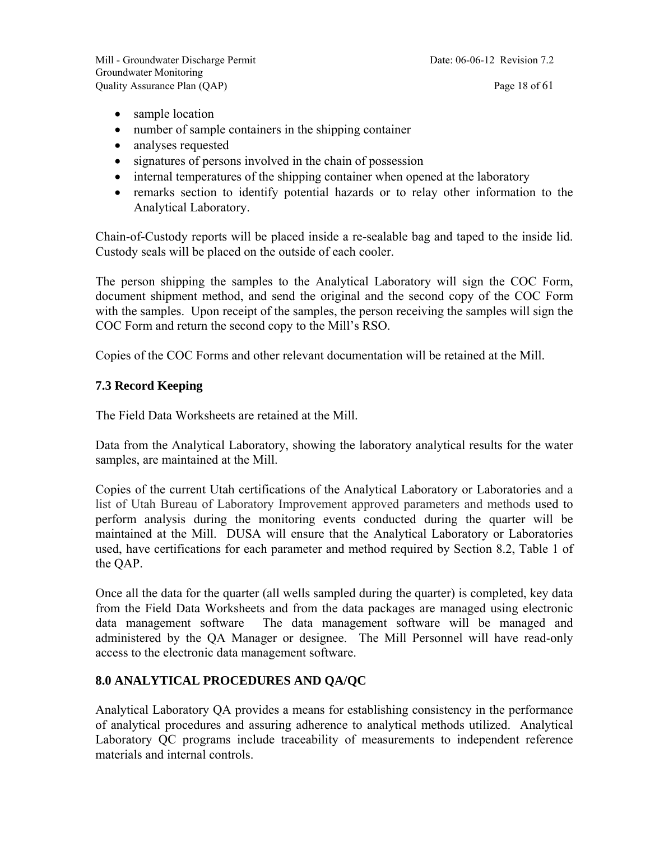- sample location
- number of sample containers in the shipping container
- analyses requested
- signatures of persons involved in the chain of possession
- internal temperatures of the shipping container when opened at the laboratory
- remarks section to identify potential hazards or to relay other information to the Analytical Laboratory.

Chain-of-Custody reports will be placed inside a re-sealable bag and taped to the inside lid. Custody seals will be placed on the outside of each cooler.

The person shipping the samples to the Analytical Laboratory will sign the COC Form, document shipment method, and send the original and the second copy of the COC Form with the samples. Upon receipt of the samples, the person receiving the samples will sign the COC Form and return the second copy to the Mill's RSO.

Copies of the COC Forms and other relevant documentation will be retained at the Mill.

#### **7.3 Record Keeping**

The Field Data Worksheets are retained at the Mill.

Data from the Analytical Laboratory, showing the laboratory analytical results for the water samples, are maintained at the Mill.

Copies of the current Utah certifications of the Analytical Laboratory or Laboratories and a list of Utah Bureau of Laboratory Improvement approved parameters and methods used to perform analysis during the monitoring events conducted during the quarter will be maintained at the Mill. DUSA will ensure that the Analytical Laboratory or Laboratories used, have certifications for each parameter and method required by Section 8.2, Table 1 of the QAP.

Once all the data for the quarter (all wells sampled during the quarter) is completed, key data from the Field Data Worksheets and from the data packages are managed using electronic data management software The data management software will be managed and administered by the QA Manager or designee. The Mill Personnel will have read-only access to the electronic data management software.

#### **8.0 ANALYTICAL PROCEDURES AND QA/QC**

Analytical Laboratory QA provides a means for establishing consistency in the performance of analytical procedures and assuring adherence to analytical methods utilized. Analytical Laboratory QC programs include traceability of measurements to independent reference materials and internal controls.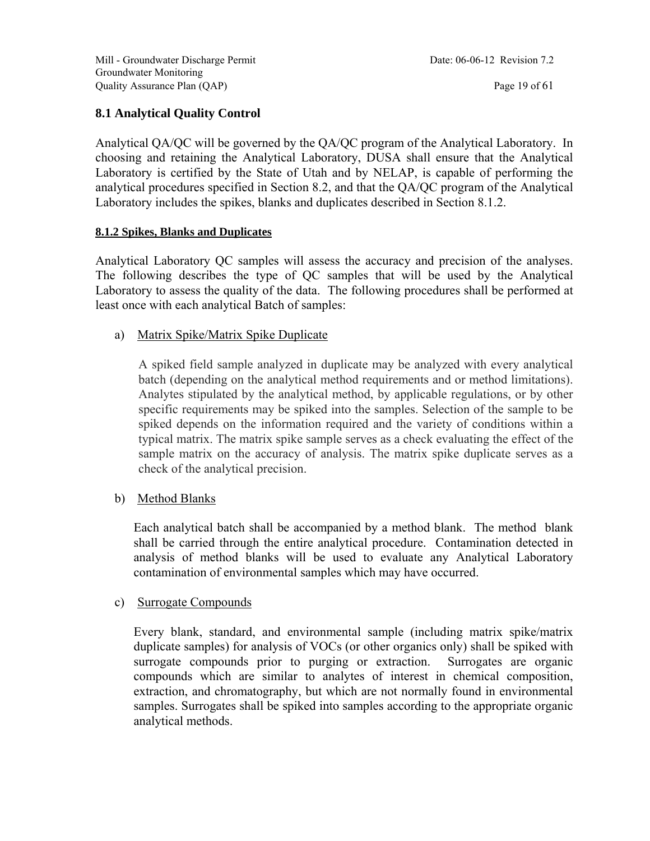#### **8.1 Analytical Quality Control**

Analytical QA/QC will be governed by the QA/QC program of the Analytical Laboratory. In choosing and retaining the Analytical Laboratory, DUSA shall ensure that the Analytical Laboratory is certified by the State of Utah and by NELAP, is capable of performing the analytical procedures specified in Section 8.2, and that the QA/QC program of the Analytical Laboratory includes the spikes, blanks and duplicates described in Section 8.1.2.

#### **8.1.2 Spikes, Blanks and Duplicates**

Analytical Laboratory QC samples will assess the accuracy and precision of the analyses. The following describes the type of QC samples that will be used by the Analytical Laboratory to assess the quality of the data. The following procedures shall be performed at least once with each analytical Batch of samples:

a) Matrix Spike/Matrix Spike Duplicate

A spiked field sample analyzed in duplicate may be analyzed with every analytical batch (depending on the analytical method requirements and or method limitations). Analytes stipulated by the analytical method, by applicable regulations, or by other specific requirements may be spiked into the samples. Selection of the sample to be spiked depends on the information required and the variety of conditions within a typical matrix. The matrix spike sample serves as a check evaluating the effect of the sample matrix on the accuracy of analysis. The matrix spike duplicate serves as a check of the analytical precision.

#### b) Method Blanks

Each analytical batch shall be accompanied by a method blank. The method blank shall be carried through the entire analytical procedure. Contamination detected in analysis of method blanks will be used to evaluate any Analytical Laboratory contamination of environmental samples which may have occurred.

#### c) Surrogate Compounds

Every blank, standard, and environmental sample (including matrix spike/matrix duplicate samples) for analysis of VOCs (or other organics only) shall be spiked with surrogate compounds prior to purging or extraction. Surrogates are organic compounds which are similar to analytes of interest in chemical composition, extraction, and chromatography, but which are not normally found in environmental samples. Surrogates shall be spiked into samples according to the appropriate organic analytical methods.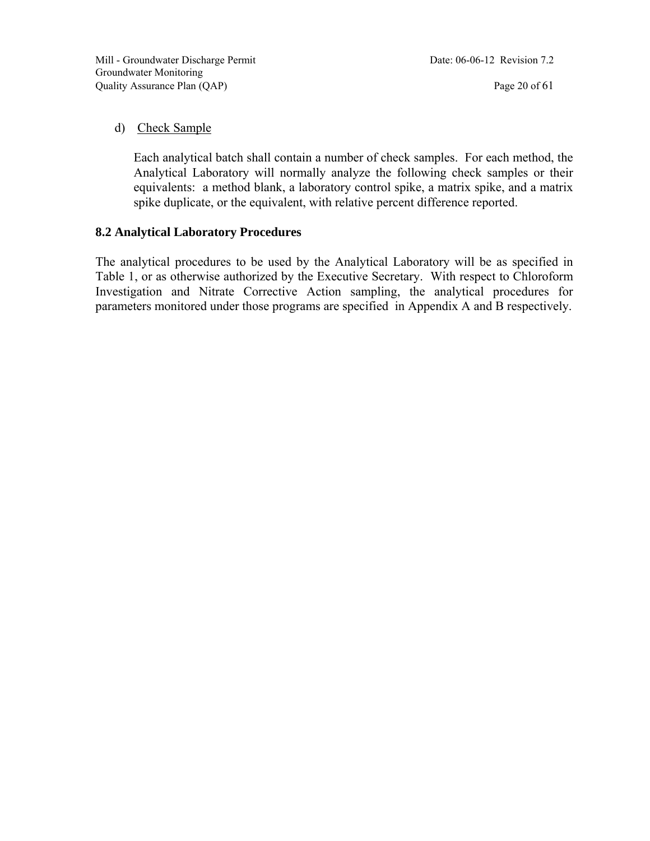#### d) Check Sample

Each analytical batch shall contain a number of check samples. For each method, the Analytical Laboratory will normally analyze the following check samples or their equivalents: a method blank, a laboratory control spike, a matrix spike, and a matrix spike duplicate, or the equivalent, with relative percent difference reported.

#### **8.2 Analytical Laboratory Procedures**

The analytical procedures to be used by the Analytical Laboratory will be as specified in Table 1, or as otherwise authorized by the Executive Secretary. With respect to Chloroform Investigation and Nitrate Corrective Action sampling, the analytical procedures for parameters monitored under those programs are specified in Appendix A and B respectively.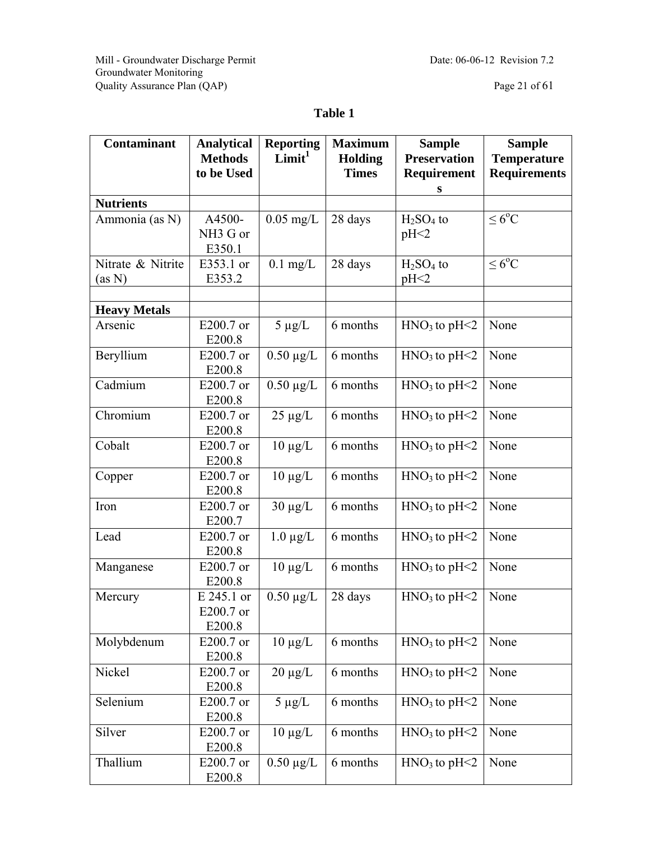Mill - Groundwater Discharge Permit Date: 06-06-12 Revision 7.2 Groundwater Monitoring Quality Assurance Plan (QAP) Page 21 of 61

### **Table 1**

| <b>Contaminant</b>          | <b>Analytical</b><br><b>Methods</b>      | <b>Reporting</b><br>Limit <sup>1</sup> | <b>Maximum</b><br><b>Holding</b> | <b>Sample</b><br><b>Preservation</b> | <b>Sample</b><br><b>Temperature</b> |  |
|-----------------------------|------------------------------------------|----------------------------------------|----------------------------------|--------------------------------------|-------------------------------------|--|
|                             | to be Used                               |                                        | <b>Times</b>                     | Requirement<br>S                     | <b>Requirements</b>                 |  |
| <b>Nutrients</b>            |                                          |                                        |                                  |                                      |                                     |  |
| Ammonia (as N)              | A4500-<br>NH <sub>3</sub> G or<br>E350.1 | $0.05$ mg/L                            | 28 days                          | $H2SO4$ to<br>pH<2                   | $\leq 6^{\circ}C$                   |  |
| Nitrate & Nitrite<br>(as N) | E353.1 or<br>E353.2                      | $0.1$ mg/L                             | 28 days                          | $H2SO4$ to<br>pH<2                   | $\leq 6^{\circ}C$                   |  |
|                             |                                          |                                        |                                  |                                      |                                     |  |
| <b>Heavy Metals</b>         |                                          |                                        |                                  |                                      |                                     |  |
| Arsenic                     | E200.7 or<br>E200.8                      | $5 \mu g/L$                            | 6 months                         | $HNO3$ to pH<2                       | None                                |  |
| Beryllium                   | E200.7 or<br>E200.8                      | $0.50 \mu g/L$                         | 6 months                         | $HNO3$ to pH<2                       | None                                |  |
| Cadmium                     | E200.7 or<br>E200.8                      | $0.50 \mu g/L$                         | 6 months                         | $HNO3$ to pH<2                       | None                                |  |
| Chromium                    | E200.7 or<br>E200.8                      | $25 \mu g/L$                           | 6 months                         | $HNO3$ to pH<2                       | None                                |  |
| Cobalt                      | E200.7 or<br>E200.8                      | $10 \mu g/L$                           | 6 months                         | $HNO3$ to pH<2                       | None                                |  |
| Copper                      | E200.7 or<br>E200.8                      | $10 \mu g/L$                           | 6 months                         | $HNO3$ to pH<2                       | None                                |  |
| Iron                        | E200.7 or<br>E200.7                      | $30 \mu g/L$                           | 6 months                         | $HNO3$ to pH<2                       | None                                |  |
| Lead                        | E200.7 or<br>E200.8                      | $1.0 \mu g/L$                          | 6 months                         | $HNO3$ to pH<2                       | None                                |  |
| Manganese                   | E200.7 or<br>E200.8                      | $10 \mu g/L$                           | 6 months                         | $HNO3$ to pH<2                       | None                                |  |
| Mercury                     | E 245.1 or<br>E200.7 or<br>E200.8        | $0.50 \mu g/L$                         | 28 days                          | $HNO3$ to pH<2                       | None                                |  |
| Molybdenum                  | E200.7 or<br>E200.8                      | $10 \mu g/L$                           | 6 months                         | $HNO3$ to pH<2                       | None                                |  |
| Nickel                      | E200.7 or<br>E200.8                      | $20 \mu g/L$                           | 6 months                         | $HNO3$ to pH<2                       | None                                |  |
| Selenium                    | E200.7 or<br>E200.8                      | $5 \mu g/L$                            | 6 months                         | $HNO3$ to pH<2                       | None                                |  |
| Silver                      | E200.7 or<br>E200.8                      | $10 \mu g/L$                           | 6 months                         | $HNO3$ to pH<2                       | None                                |  |
| Thallium                    | E200.7 or<br>E200.8                      | $0.50 \ \mu g/L$                       | 6 months                         | $HNO3$ to pH<2                       | None                                |  |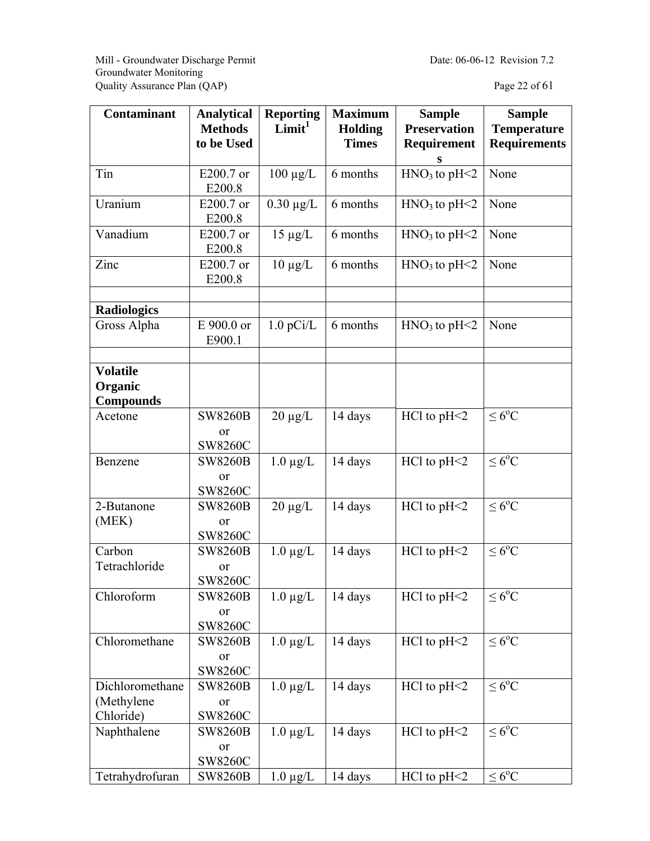Mill - Groundwater Discharge Permit Date: 06-06-12 Revision 7.2 Groundwater Monitoring Quality Assurance Plan (QAP) Page 22 of 61

| <b>Contaminant</b> | <b>Analytical</b>    | <b>Reporting</b>   | <b>Maximum</b> | <b>Sample</b>       | <b>Sample</b>       |
|--------------------|----------------------|--------------------|----------------|---------------------|---------------------|
|                    | <b>Methods</b>       | Limit <sup>1</sup> | <b>Holding</b> | <b>Preservation</b> | <b>Temperature</b>  |
|                    | to be Used           |                    | <b>Times</b>   | Requirement         | <b>Requirements</b> |
|                    |                      |                    |                | S                   |                     |
| Tin                | E200.7 or            | $100 \mu g/L$      | 6 months       | $HNO3$ to pH<2      | None                |
|                    | E200.8               |                    |                |                     |                     |
| Uranium            | E200.7 or            | $0.30 \mu g/L$     | 6 months       | $HNO3$ to pH<2      | None                |
|                    | E200.8               |                    |                |                     |                     |
| Vanadium           | E200.7 or            | $15 \mu g/L$       | 6 months       | $HNO3$ to pH<2      | None                |
|                    | E200.8               |                    |                |                     |                     |
| Zinc               | E200.7 or            | $10 \mu g/L$       | 6 months       | $HNO3$ to pH<2      | None                |
|                    | E200.8               |                    |                |                     |                     |
|                    |                      |                    |                |                     |                     |
| <b>Radiologics</b> |                      |                    |                |                     |                     |
| Gross Alpha        | E 900.0 or           | $1.0$ pCi/L        | 6 months       | $HNO3$ to pH<2      | None                |
|                    | E900.1               |                    |                |                     |                     |
|                    |                      |                    |                |                     |                     |
| <b>Volatile</b>    |                      |                    |                |                     |                     |
| Organic            |                      |                    |                |                     |                     |
| <b>Compounds</b>   |                      |                    |                |                     |                     |
| Acetone            | <b>SW8260B</b>       | $20 \mu g/L$       | 14 days        | $HC1$ to $pH<2$     | $\leq 6^{\circ}C$   |
|                    | or<br><b>SW8260C</b> |                    |                |                     |                     |
| Benzene            | <b>SW8260B</b>       | $1.0 \mu g/L$      | 14 days        | $HC1$ to $pH<2$     | $\leq 6^{\circ}C$   |
|                    | or                   |                    |                |                     |                     |
|                    | SW8260C              |                    |                |                     |                     |
| 2-Butanone         | <b>SW8260B</b>       | $20 \mu g/L$       | 14 days        | $HC1$ to $pH<2$     | $\leq 6^{\circ}C$   |
| (MEK)              | or                   |                    |                |                     |                     |
|                    | <b>SW8260C</b>       |                    |                |                     |                     |
| Carbon             | <b>SW8260B</b>       | $1.0 \mu g/L$      | 14 days        | $HC1$ to $pH<2$     | $\leq 6^{\circ}C$   |
| Tetrachloride      | or                   |                    |                |                     |                     |
|                    | SW8260C              |                    |                |                     |                     |
| Chloroform         | <b>SW8260B</b>       | $1.0 \mu g/L$      | 14 days        | $HC1$ to $pH<2$     | $\leq 6^{\circ}C$   |
|                    | or                   |                    |                |                     |                     |
|                    | SW8260C              |                    |                |                     |                     |
| Chloromethane      | <b>SW8260B</b>       | $1.0 \mu g/L$      | 14 days        | $HC1$ to $pH<2$     | $\leq 6^{\rm o}C$   |
|                    | <sub>or</sub>        |                    |                |                     |                     |
|                    | SW8260C              |                    |                |                     |                     |
| Dichloromethane    | <b>SW8260B</b>       | $1.0 \mu g/L$      | 14 days        | $HC1$ to $pH<2$     | $\leq 6^{\circ}C$   |
| (Methylene         | or                   |                    |                |                     |                     |
| Chloride)          | SW8260C              |                    |                |                     |                     |
| Naphthalene        | <b>SW8260B</b>       | $1.0 \mu g/L$      | 14 days        | $HC1$ to $pH<2$     | $\leq 6^{\circ}C$   |
|                    | or                   |                    |                |                     |                     |
|                    | SW8260C              |                    |                |                     |                     |
| Tetrahydrofuran    | <b>SW8260B</b>       | $1.0 \mu g/L$      | 14 days        | $HC1$ to $pH<2$     | $\leq 6^{\circ}C$   |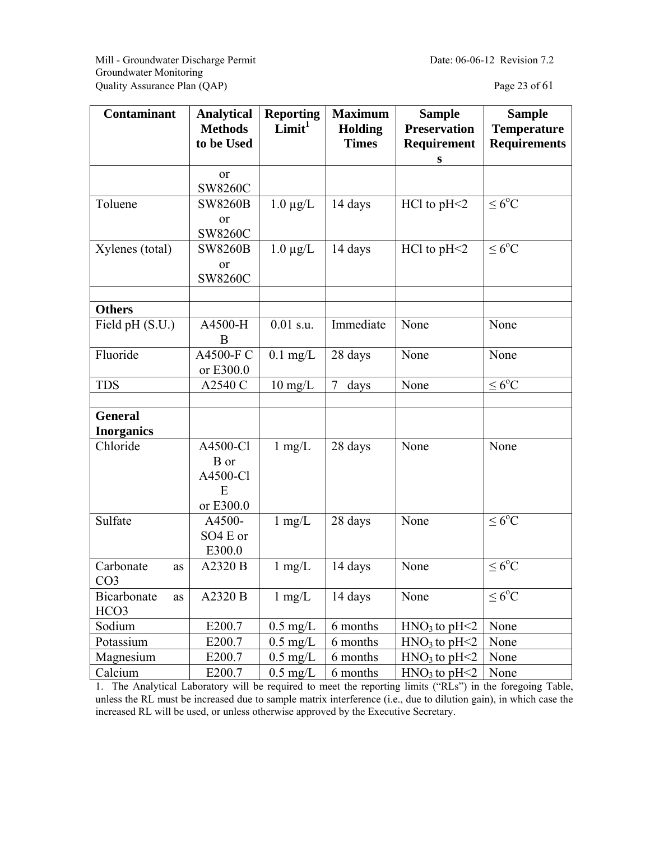Mill - Groundwater Discharge Permit Date: 06-06-12 Revision 7.2 Groundwater Monitoring Quality Assurance Plan (QAP) Page 23 of 61

| Contaminant                           | <b>Analytical</b><br><b>Methods</b><br>to be Used | <b>Reporting</b><br>Limit <sup>1</sup> | <b>Maximum</b><br>Holding<br><b>Times</b> | <b>Sample</b><br><b>Preservation</b><br>Requirement | <b>Sample</b><br><b>Temperature</b><br><b>Requirements</b> |
|---------------------------------------|---------------------------------------------------|----------------------------------------|-------------------------------------------|-----------------------------------------------------|------------------------------------------------------------|
|                                       |                                                   |                                        |                                           | S                                                   |                                                            |
|                                       | <sub>or</sub><br><b>SW8260C</b>                   |                                        |                                           |                                                     |                                                            |
| Toluene                               | <b>SW8260B</b><br>or<br><b>SW8260C</b>            | $1.0 \mu g/L$                          | 14 days                                   | $HC1$ to $pH<2$                                     | $\leq 6^{\circ}C$                                          |
| Xylenes (total)                       | <b>SW8260B</b><br><sub>or</sub><br><b>SW8260C</b> | $1.0 \mu g/L$                          | 14 days                                   | $HC1$ to $pH<2$                                     | $\leq 6^{\circ}C$                                          |
| <b>Others</b>                         |                                                   |                                        |                                           |                                                     |                                                            |
| Field pH (S.U.)                       | A4500-H<br>B                                      | $0.01$ s.u.                            | Immediate                                 | None                                                | None                                                       |
| Fluoride                              | A4500-F C<br>or E300.0                            | $0.1$ mg/L                             | 28 days                                   | None                                                | None                                                       |
| <b>TDS</b>                            | A2540 C                                           | $10 \text{ mg/L}$                      | 7<br>days                                 | None                                                | $\leq 6^oC$                                                |
|                                       |                                                   |                                        |                                           |                                                     |                                                            |
| <b>General</b>                        |                                                   |                                        |                                           |                                                     |                                                            |
| <b>Inorganics</b>                     |                                                   |                                        |                                           |                                                     |                                                            |
| Chloride                              | A4500-Cl<br>B or<br>A4500-Cl<br>E<br>or E300.0    | $1$ mg/L                               | 28 days                                   | None                                                | None                                                       |
| Sulfate                               | A4500-<br>SO4 E or<br>E300.0                      | $1$ mg/L                               | 28 days                                   | None                                                | $\leq 6^{\circ}C$                                          |
| Carbonate<br>as<br>CO <sub>3</sub>    | A2320 B                                           | $1 \text{ mg/L}$                       | 14 days                                   | None                                                | $\leq 6^{\circ}C$                                          |
| Bicarbonate<br>as<br>HCO <sub>3</sub> | A2320 B                                           | $1 \text{ mg/L}$                       | 14 days                                   | None                                                | $\leq 6^{\circ}C$                                          |
| Sodium                                | E200.7                                            | $0.5 \text{ mg/L}$                     | 6 months                                  | $HNO3$ to pH<2                                      | None                                                       |
| Potassium                             | E200.7                                            | $0.5$ mg/L                             | 6 months                                  | $HNO3$ to pH<2                                      | None                                                       |
| Magnesium                             | E200.7                                            | $0.5$ mg/L                             | 6 months                                  | $HNO3$ to pH<2                                      | None                                                       |
| Calcium                               | E200.7                                            | $0.5 \text{ mg/L}$                     | 6 months                                  | $HNO3$ to pH<2                                      | None                                                       |

1. The Analytical Laboratory will be required to meet the reporting limits ("RLs") in the foregoing Table, unless the RL must be increased due to sample matrix interference (i.e., due to dilution gain), in which case the increased RL will be used, or unless otherwise approved by the Executive Secretary.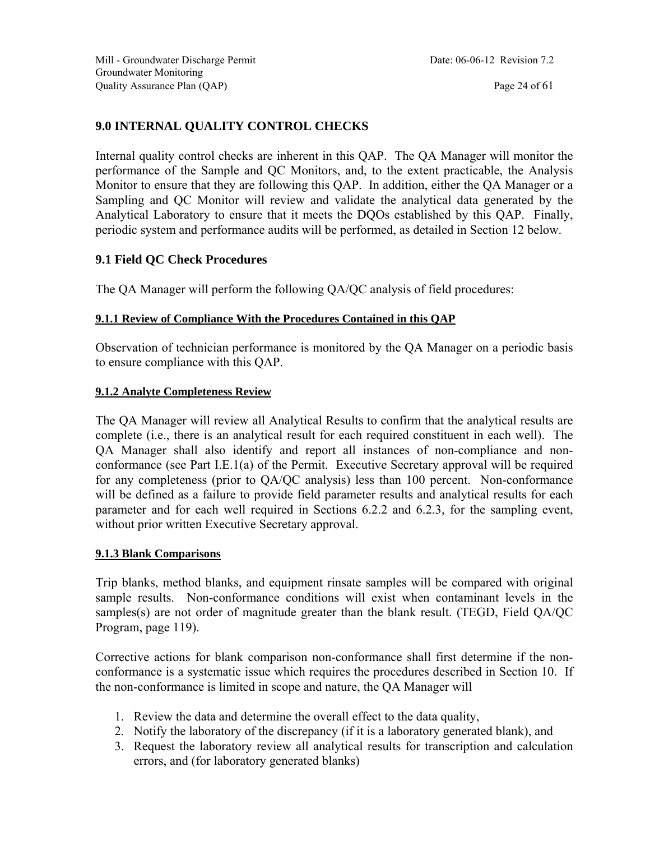#### **9.0 INTERNAL QUALITY CONTROL CHECKS**

Internal quality control checks are inherent in this QAP. The QA Manager will monitor the performance of the Sample and QC Monitors, and, to the extent practicable, the Analysis Monitor to ensure that they are following this QAP. In addition, either the QA Manager or a Sampling and QC Monitor will review and validate the analytical data generated by the Analytical Laboratory to ensure that it meets the DQOs established by this QAP. Finally, periodic system and performance audits will be performed, as detailed in Section 12 below.

#### **9.1 Field QC Check Procedures**

The QA Manager will perform the following QA/QC analysis of field procedures:

#### **9.1.1 Review of Compliance With the Procedures Contained in this QAP**

Observation of technician performance is monitored by the QA Manager on a periodic basis to ensure compliance with this QAP.

#### **9.1.2 Analyte Completeness Review**

The QA Manager will review all Analytical Results to confirm that the analytical results are complete (i.e., there is an analytical result for each required constituent in each well). The QA Manager shall also identify and report all instances of non-compliance and nonconformance (see Part I.E.1(a) of the Permit. Executive Secretary approval will be required for any completeness (prior to QA/QC analysis) less than 100 percent. Non-conformance will be defined as a failure to provide field parameter results and analytical results for each parameter and for each well required in Sections 6.2.2 and 6.2.3, for the sampling event, without prior written Executive Secretary approval.

#### **9.1.3 Blank Comparisons**

Trip blanks, method blanks, and equipment rinsate samples will be compared with original sample results. Non-conformance conditions will exist when contaminant levels in the samples(s) are not order of magnitude greater than the blank result. (TEGD, Field QA/QC Program, page 119).

Corrective actions for blank comparison non-conformance shall first determine if the nonconformance is a systematic issue which requires the procedures described in Section 10. If the non-conformance is limited in scope and nature, the QA Manager will

- 1. Review the data and determine the overall effect to the data quality,
- 2. Notify the laboratory of the discrepancy (if it is a laboratory generated blank), and
- 3. Request the laboratory review all analytical results for transcription and calculation errors, and (for laboratory generated blanks)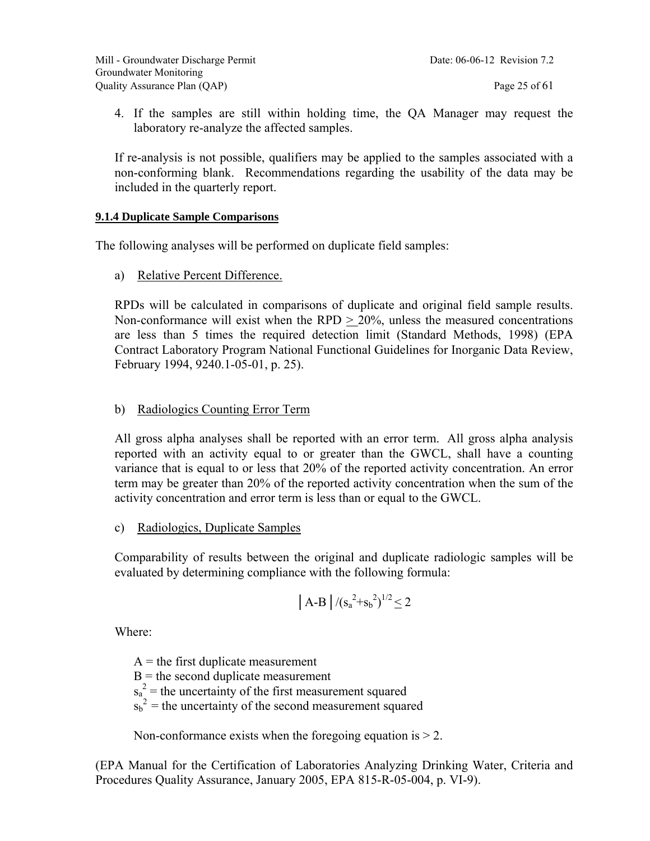4. If the samples are still within holding time, the QA Manager may request the laboratory re-analyze the affected samples.

If re-analysis is not possible, qualifiers may be applied to the samples associated with a non-conforming blank. Recommendations regarding the usability of the data may be included in the quarterly report.

#### **9.1.4 Duplicate Sample Comparisons**

The following analyses will be performed on duplicate field samples:

a) Relative Percent Difference.

RPDs will be calculated in comparisons of duplicate and original field sample results. Non-conformance will exist when the RPD  $\geq$  20%, unless the measured concentrations are less than 5 times the required detection limit (Standard Methods, 1998) (EPA Contract Laboratory Program National Functional Guidelines for Inorganic Data Review, February 1994, 9240.1-05-01, p. 25).

#### b) Radiologics Counting Error Term

All gross alpha analyses shall be reported with an error term. All gross alpha analysis reported with an activity equal to or greater than the GWCL, shall have a counting variance that is equal to or less that 20% of the reported activity concentration. An error term may be greater than 20% of the reported activity concentration when the sum of the activity concentration and error term is less than or equal to the GWCL.

c) Radiologics, Duplicate Samples

Comparability of results between the original and duplicate radiologic samples will be evaluated by determining compliance with the following formula:

$$
|A-B|/(s_a^2+s_b^2)^{1/2}\leq 2
$$

Where:

 $A =$  the first duplicate measurement  $B =$  the second duplicate measurement  $s_a^2$  = the uncertainty of the first measurement squared  $s_b^2$  = the uncertainty of the second measurement squared

Non-conformance exists when the foregoing equation is  $> 2$ .

(EPA Manual for the Certification of Laboratories Analyzing Drinking Water, Criteria and Procedures Quality Assurance, January 2005, EPA 815-R-05-004, p. VI-9).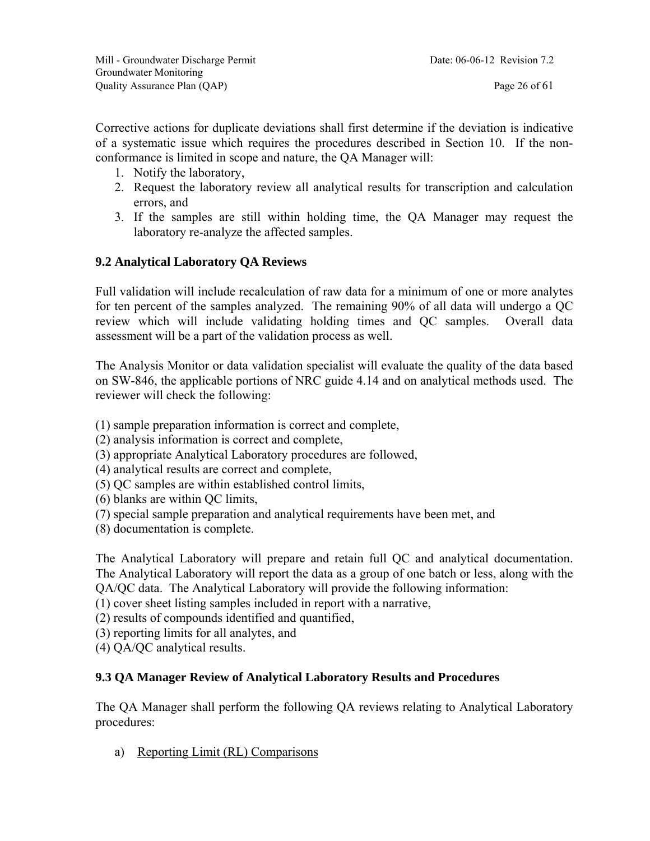Corrective actions for duplicate deviations shall first determine if the deviation is indicative of a systematic issue which requires the procedures described in Section 10. If the nonconformance is limited in scope and nature, the QA Manager will:

- 1. Notify the laboratory,
- 2. Request the laboratory review all analytical results for transcription and calculation errors, and
- 3. If the samples are still within holding time, the QA Manager may request the laboratory re-analyze the affected samples.

#### **9.2 Analytical Laboratory QA Reviews**

Full validation will include recalculation of raw data for a minimum of one or more analytes for ten percent of the samples analyzed. The remaining 90% of all data will undergo a QC review which will include validating holding times and QC samples. Overall data assessment will be a part of the validation process as well.

The Analysis Monitor or data validation specialist will evaluate the quality of the data based on SW-846, the applicable portions of NRC guide 4.14 and on analytical methods used. The reviewer will check the following:

(1) sample preparation information is correct and complete,

(2) analysis information is correct and complete,

(3) appropriate Analytical Laboratory procedures are followed,

(4) analytical results are correct and complete,

(5) QC samples are within established control limits,

(6) blanks are within QC limits,

- (7) special sample preparation and analytical requirements have been met, and
- (8) documentation is complete.

The Analytical Laboratory will prepare and retain full QC and analytical documentation. The Analytical Laboratory will report the data as a group of one batch or less, along with the QA/QC data. The Analytical Laboratory will provide the following information:

(1) cover sheet listing samples included in report with a narrative,

(2) results of compounds identified and quantified,

(3) reporting limits for all analytes, and

(4) QA/QC analytical results.

#### **9.3 QA Manager Review of Analytical Laboratory Results and Procedures**

The QA Manager shall perform the following QA reviews relating to Analytical Laboratory procedures:

a) Reporting Limit (RL) Comparisons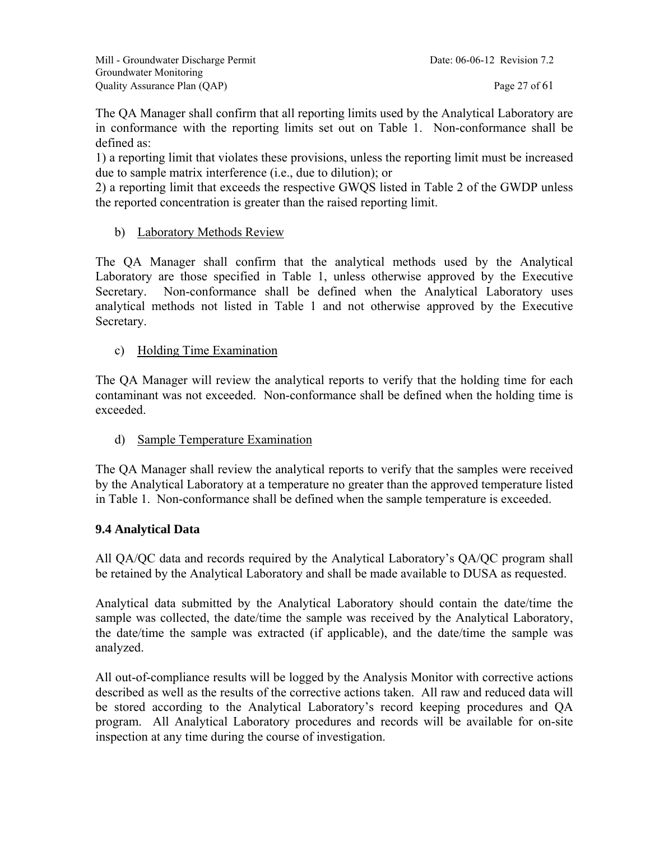The QA Manager shall confirm that all reporting limits used by the Analytical Laboratory are in conformance with the reporting limits set out on Table 1. Non-conformance shall be defined as:

1) a reporting limit that violates these provisions, unless the reporting limit must be increased due to sample matrix interference (i.e., due to dilution); or

2) a reporting limit that exceeds the respective GWQS listed in Table 2 of the GWDP unless the reported concentration is greater than the raised reporting limit.

b) Laboratory Methods Review

The QA Manager shall confirm that the analytical methods used by the Analytical Laboratory are those specified in Table 1, unless otherwise approved by the Executive Secretary. Non-conformance shall be defined when the Analytical Laboratory uses analytical methods not listed in Table 1 and not otherwise approved by the Executive Secretary.

c) Holding Time Examination

The QA Manager will review the analytical reports to verify that the holding time for each contaminant was not exceeded. Non-conformance shall be defined when the holding time is exceeded.

d) Sample Temperature Examination

The QA Manager shall review the analytical reports to verify that the samples were received by the Analytical Laboratory at a temperature no greater than the approved temperature listed in Table 1. Non-conformance shall be defined when the sample temperature is exceeded.

#### **9.4 Analytical Data**

All QA/QC data and records required by the Analytical Laboratory's QA/QC program shall be retained by the Analytical Laboratory and shall be made available to DUSA as requested.

Analytical data submitted by the Analytical Laboratory should contain the date/time the sample was collected, the date/time the sample was received by the Analytical Laboratory, the date/time the sample was extracted (if applicable), and the date/time the sample was analyzed.

All out-of-compliance results will be logged by the Analysis Monitor with corrective actions described as well as the results of the corrective actions taken. All raw and reduced data will be stored according to the Analytical Laboratory's record keeping procedures and QA program. All Analytical Laboratory procedures and records will be available for on-site inspection at any time during the course of investigation.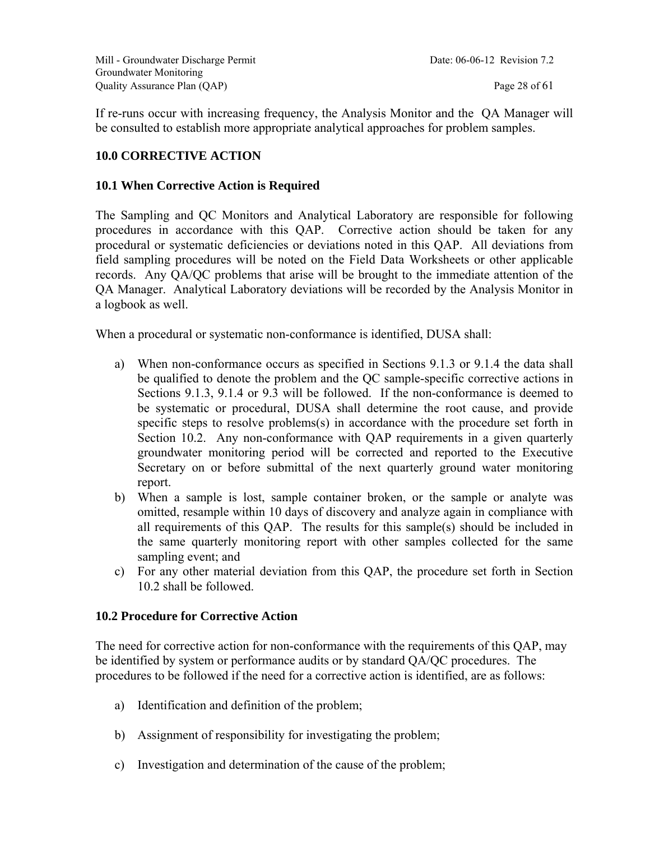If re-runs occur with increasing frequency, the Analysis Monitor and the QA Manager will be consulted to establish more appropriate analytical approaches for problem samples.

#### **10.0 CORRECTIVE ACTION**

#### **10.1 When Corrective Action is Required**

The Sampling and QC Monitors and Analytical Laboratory are responsible for following procedures in accordance with this QAP. Corrective action should be taken for any procedural or systematic deficiencies or deviations noted in this QAP. All deviations from field sampling procedures will be noted on the Field Data Worksheets or other applicable records. Any QA/QC problems that arise will be brought to the immediate attention of the QA Manager. Analytical Laboratory deviations will be recorded by the Analysis Monitor in a logbook as well.

When a procedural or systematic non-conformance is identified, DUSA shall:

- a) When non-conformance occurs as specified in Sections 9.1.3 or 9.1.4 the data shall be qualified to denote the problem and the QC sample-specific corrective actions in Sections 9.1.3, 9.1.4 or 9.3 will be followed. If the non-conformance is deemed to be systematic or procedural, DUSA shall determine the root cause, and provide specific steps to resolve problems(s) in accordance with the procedure set forth in Section 10.2. Any non-conformance with QAP requirements in a given quarterly groundwater monitoring period will be corrected and reported to the Executive Secretary on or before submittal of the next quarterly ground water monitoring report.
- b) When a sample is lost, sample container broken, or the sample or analyte was omitted, resample within 10 days of discovery and analyze again in compliance with all requirements of this QAP. The results for this sample(s) should be included in the same quarterly monitoring report with other samples collected for the same sampling event; and
- c) For any other material deviation from this QAP, the procedure set forth in Section 10.2 shall be followed.

#### **10.2 Procedure for Corrective Action**

The need for corrective action for non-conformance with the requirements of this QAP, may be identified by system or performance audits or by standard QA/QC procedures. The procedures to be followed if the need for a corrective action is identified, are as follows:

- a) Identification and definition of the problem;
- b) Assignment of responsibility for investigating the problem;
- c) Investigation and determination of the cause of the problem;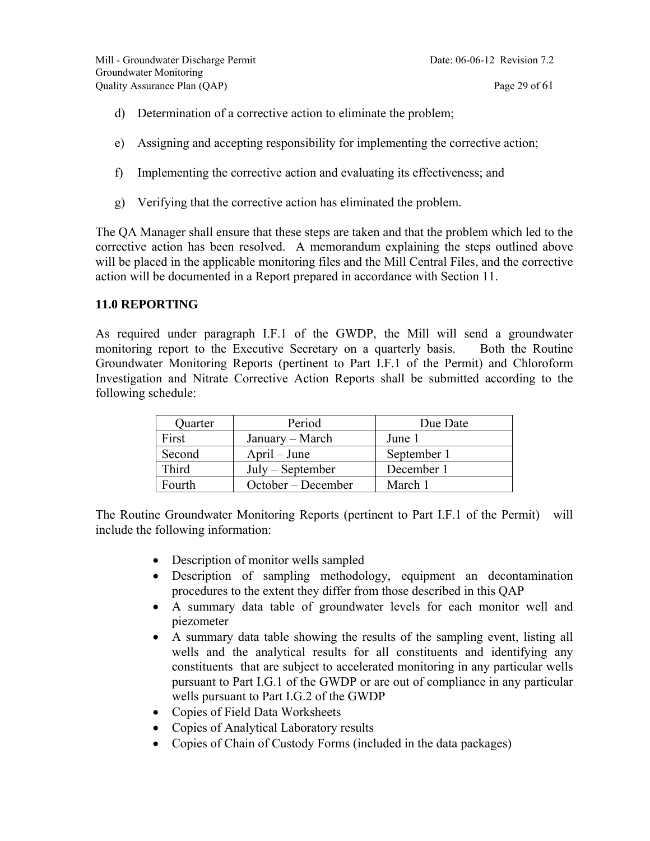- d) Determination of a corrective action to eliminate the problem;
- e) Assigning and accepting responsibility for implementing the corrective action;
- f) Implementing the corrective action and evaluating its effectiveness; and
- g) Verifying that the corrective action has eliminated the problem.

The QA Manager shall ensure that these steps are taken and that the problem which led to the corrective action has been resolved. A memorandum explaining the steps outlined above will be placed in the applicable monitoring files and the Mill Central Files, and the corrective action will be documented in a Report prepared in accordance with Section 11.

#### **11.0 REPORTING**

As required under paragraph I.F.1 of the GWDP, the Mill will send a groundwater monitoring report to the Executive Secretary on a quarterly basis. Both the Routine Groundwater Monitoring Reports (pertinent to Part I.F.1 of the Permit) and Chloroform Investigation and Nitrate Corrective Action Reports shall be submitted according to the following schedule:

| Quarter | Period             | Due Date    |
|---------|--------------------|-------------|
| First   | January – March    | June 1      |
| Second  | $April - June$     | September 1 |
| Third   | $July - September$ | December 1  |
| Fourth  | October – December | March 1     |

The Routine Groundwater Monitoring Reports (pertinent to Part I.F.1 of the Permit) will include the following information:

- Description of monitor wells sampled
- Description of sampling methodology, equipment an decontamination procedures to the extent they differ from those described in this QAP
- A summary data table of groundwater levels for each monitor well and piezometer
- A summary data table showing the results of the sampling event, listing all wells and the analytical results for all constituents and identifying any constituents that are subject to accelerated monitoring in any particular wells pursuant to Part I.G.1 of the GWDP or are out of compliance in any particular wells pursuant to Part I.G.2 of the GWDP
- Copies of Field Data Worksheets
- Copies of Analytical Laboratory results
- Copies of Chain of Custody Forms (included in the data packages)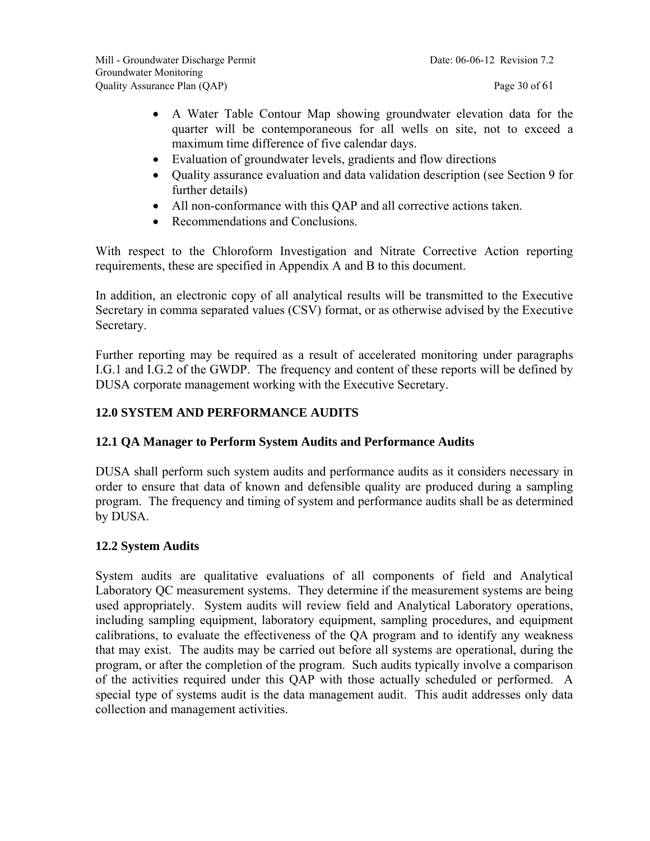- A Water Table Contour Map showing groundwater elevation data for the quarter will be contemporaneous for all wells on site, not to exceed a maximum time difference of five calendar days.
- Evaluation of groundwater levels, gradients and flow directions
- Quality assurance evaluation and data validation description (see Section 9 for further details)
- All non-conformance with this QAP and all corrective actions taken.
- Recommendations and Conclusions.

With respect to the Chloroform Investigation and Nitrate Corrective Action reporting requirements, these are specified in Appendix A and B to this document.

In addition, an electronic copy of all analytical results will be transmitted to the Executive Secretary in comma separated values (CSV) format, or as otherwise advised by the Executive Secretary.

Further reporting may be required as a result of accelerated monitoring under paragraphs I.G.1 and I.G.2 of the GWDP. The frequency and content of these reports will be defined by DUSA corporate management working with the Executive Secretary.

#### **12.0 SYSTEM AND PERFORMANCE AUDITS**

#### **12.1 QA Manager to Perform System Audits and Performance Audits**

DUSA shall perform such system audits and performance audits as it considers necessary in order to ensure that data of known and defensible quality are produced during a sampling program. The frequency and timing of system and performance audits shall be as determined by DUSA.

#### **12.2 System Audits**

System audits are qualitative evaluations of all components of field and Analytical Laboratory QC measurement systems. They determine if the measurement systems are being used appropriately. System audits will review field and Analytical Laboratory operations, including sampling equipment, laboratory equipment, sampling procedures, and equipment calibrations, to evaluate the effectiveness of the QA program and to identify any weakness that may exist. The audits may be carried out before all systems are operational, during the program, or after the completion of the program. Such audits typically involve a comparison of the activities required under this QAP with those actually scheduled or performed. A special type of systems audit is the data management audit. This audit addresses only data collection and management activities.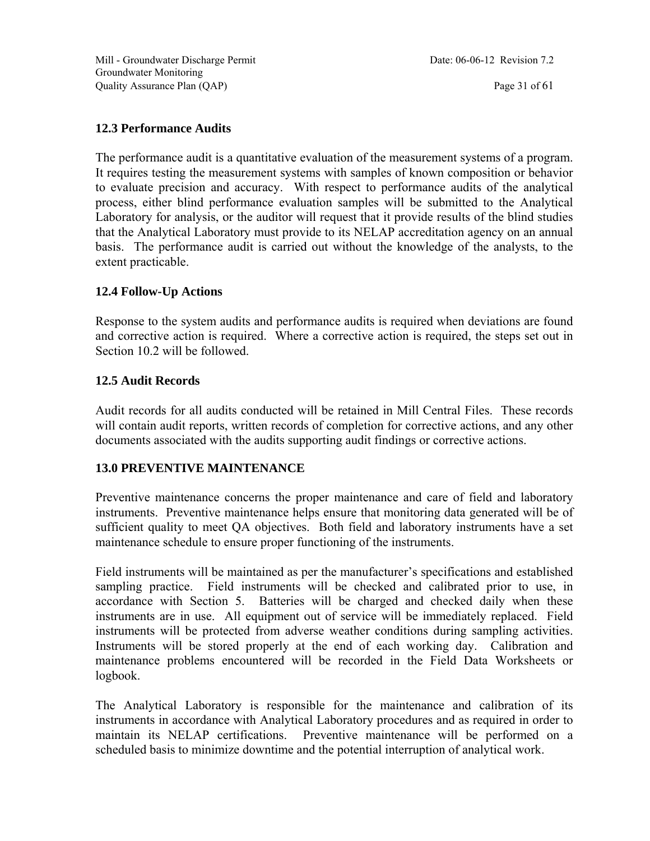#### **12.3 Performance Audits**

The performance audit is a quantitative evaluation of the measurement systems of a program. It requires testing the measurement systems with samples of known composition or behavior to evaluate precision and accuracy. With respect to performance audits of the analytical process, either blind performance evaluation samples will be submitted to the Analytical Laboratory for analysis, or the auditor will request that it provide results of the blind studies that the Analytical Laboratory must provide to its NELAP accreditation agency on an annual basis. The performance audit is carried out without the knowledge of the analysts, to the extent practicable.

#### **12.4 Follow-Up Actions**

Response to the system audits and performance audits is required when deviations are found and corrective action is required. Where a corrective action is required, the steps set out in Section 10.2 will be followed.

#### **12.5 Audit Records**

Audit records for all audits conducted will be retained in Mill Central Files. These records will contain audit reports, written records of completion for corrective actions, and any other documents associated with the audits supporting audit findings or corrective actions.

#### **13.0 PREVENTIVE MAINTENANCE**

Preventive maintenance concerns the proper maintenance and care of field and laboratory instruments. Preventive maintenance helps ensure that monitoring data generated will be of sufficient quality to meet QA objectives. Both field and laboratory instruments have a set maintenance schedule to ensure proper functioning of the instruments.

Field instruments will be maintained as per the manufacturer's specifications and established sampling practice. Field instruments will be checked and calibrated prior to use, in accordance with Section 5. Batteries will be charged and checked daily when these instruments are in use. All equipment out of service will be immediately replaced. Field instruments will be protected from adverse weather conditions during sampling activities. Instruments will be stored properly at the end of each working day. Calibration and maintenance problems encountered will be recorded in the Field Data Worksheets or logbook.

The Analytical Laboratory is responsible for the maintenance and calibration of its instruments in accordance with Analytical Laboratory procedures and as required in order to maintain its NELAP certifications. Preventive maintenance will be performed on a scheduled basis to minimize downtime and the potential interruption of analytical work.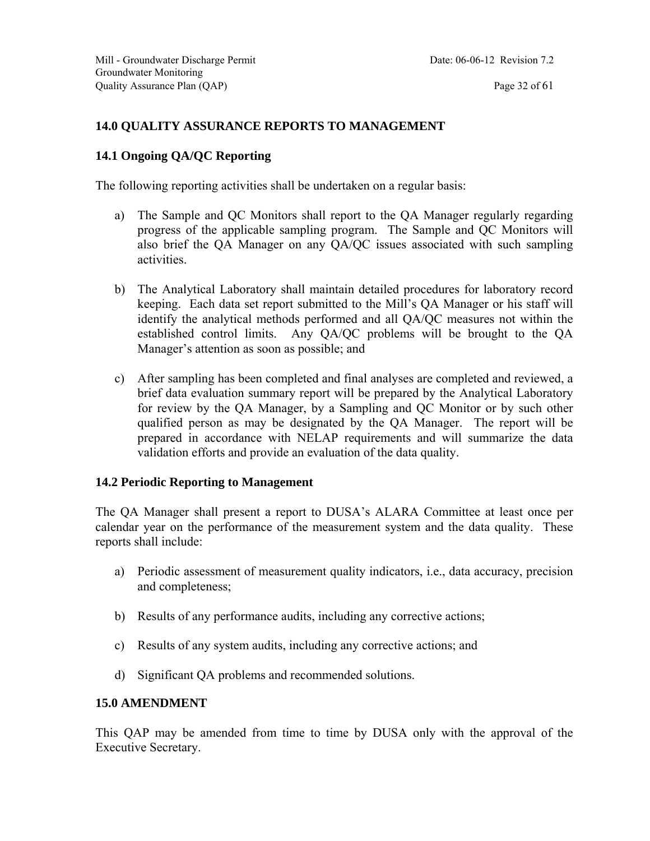#### **14.0 QUALITY ASSURANCE REPORTS TO MANAGEMENT**

#### **14.1 Ongoing QA/QC Reporting**

The following reporting activities shall be undertaken on a regular basis:

- a) The Sample and QC Monitors shall report to the QA Manager regularly regarding progress of the applicable sampling program. The Sample and QC Monitors will also brief the QA Manager on any QA/QC issues associated with such sampling activities.
- b) The Analytical Laboratory shall maintain detailed procedures for laboratory record keeping. Each data set report submitted to the Mill's QA Manager or his staff will identify the analytical methods performed and all QA/QC measures not within the established control limits. Any QA/QC problems will be brought to the QA Manager's attention as soon as possible; and
- c) After sampling has been completed and final analyses are completed and reviewed, a brief data evaluation summary report will be prepared by the Analytical Laboratory for review by the QA Manager, by a Sampling and QC Monitor or by such other qualified person as may be designated by the QA Manager. The report will be prepared in accordance with NELAP requirements and will summarize the data validation efforts and provide an evaluation of the data quality.

#### **14.2 Periodic Reporting to Management**

The QA Manager shall present a report to DUSA's ALARA Committee at least once per calendar year on the performance of the measurement system and the data quality. These reports shall include:

- a) Periodic assessment of measurement quality indicators, i.e., data accuracy, precision and completeness;
- b) Results of any performance audits, including any corrective actions;
- c) Results of any system audits, including any corrective actions; and
- d) Significant QA problems and recommended solutions.

#### **15.0 AMENDMENT**

This QAP may be amended from time to time by DUSA only with the approval of the Executive Secretary.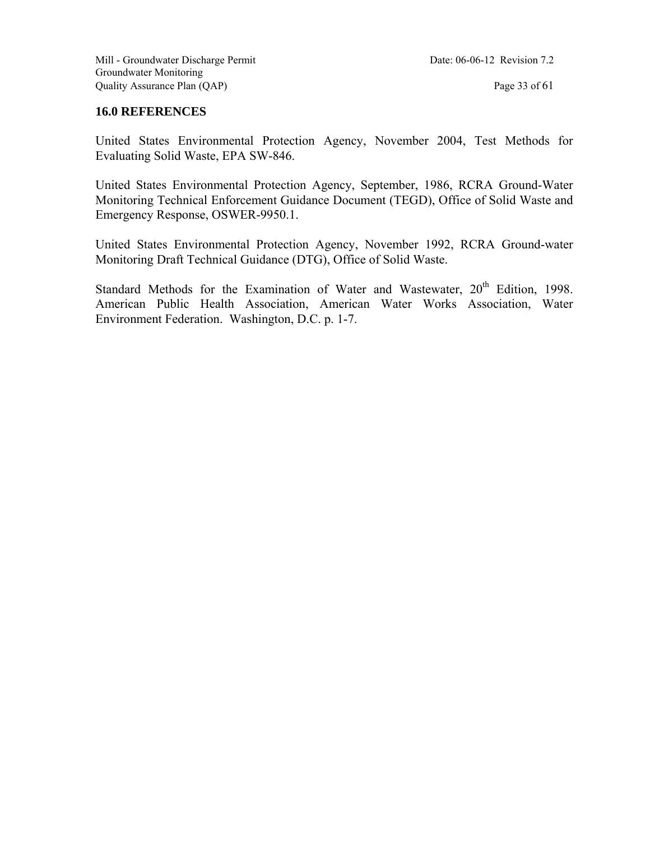#### **16.0 REFERENCES**

United States Environmental Protection Agency, November 2004, Test Methods for Evaluating Solid Waste, EPA SW-846.

United States Environmental Protection Agency, September, 1986, RCRA Ground-Water Monitoring Technical Enforcement Guidance Document (TEGD), Office of Solid Waste and Emergency Response, OSWER-9950.1.

United States Environmental Protection Agency, November 1992, RCRA Ground-water Monitoring Draft Technical Guidance (DTG), Office of Solid Waste.

Standard Methods for the Examination of Water and Wastewater, 20<sup>th</sup> Edition, 1998. American Public Health Association, American Water Works Association, Water Environment Federation. Washington, D.C. p. 1-7.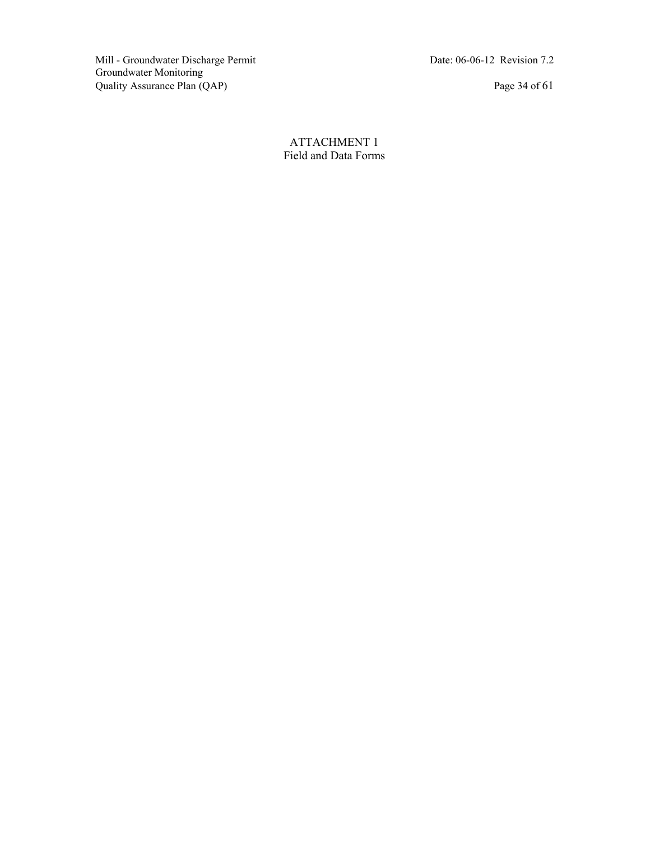Mill - Groundwater Discharge Permit Date: 06-06-12 Revision 7.2 Groundwater Monitoring Quality Assurance Plan (QAP) Page 34 of 61

ATTACHMENT 1 Field and Data Forms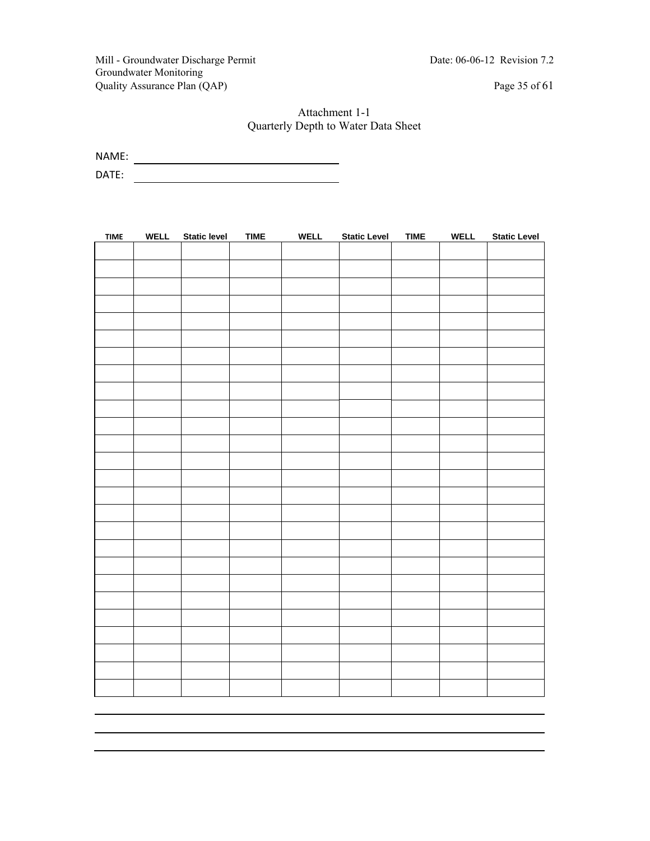Mill - Groundwater Discharge Permit Date: 06-06-12 Revision 7.2 Groundwater Monitoring Quality Assurance Plan (QAP) Page 35 of 61

#### Attachment 1-1 Quarterly Depth to Water Data Sheet

NAME:

DATE:

| <b>TIME</b> | <b>WELL</b> | <b>Static level</b> | <b>TIME</b> | <b>WELL</b> | <b>Static Level</b> | <b>TIME</b> | <b>WELL</b> | <b>Static Level</b> |
|-------------|-------------|---------------------|-------------|-------------|---------------------|-------------|-------------|---------------------|
|             |             |                     |             |             |                     |             |             |                     |
|             |             |                     |             |             |                     |             |             |                     |
|             |             |                     |             |             |                     |             |             |                     |
|             |             |                     |             |             |                     |             |             |                     |
|             |             |                     |             |             |                     |             |             |                     |
|             |             |                     |             |             |                     |             |             |                     |
|             |             |                     |             |             |                     |             |             |                     |
|             |             |                     |             |             |                     |             |             |                     |
|             |             |                     |             |             |                     |             |             |                     |
|             |             |                     |             |             |                     |             |             |                     |
|             |             |                     |             |             |                     |             |             |                     |
|             |             |                     |             |             |                     |             |             |                     |
|             |             |                     |             |             |                     |             |             |                     |
|             |             |                     |             |             |                     |             |             |                     |
|             |             |                     |             |             |                     |             |             |                     |
|             |             |                     |             |             |                     |             |             |                     |
|             |             |                     |             |             |                     |             |             |                     |
|             |             |                     |             |             |                     |             |             |                     |
|             |             |                     |             |             |                     |             |             |                     |
|             |             |                     |             |             |                     |             |             |                     |
|             |             |                     |             |             |                     |             |             |                     |
|             |             |                     |             |             |                     |             |             |                     |
|             |             |                     |             |             |                     |             |             |                     |
|             |             |                     |             |             |                     |             |             |                     |
|             |             |                     |             |             |                     |             |             |                     |
|             |             |                     |             |             |                     |             |             |                     |
|             |             |                     |             |             |                     |             |             |                     |
|             |             |                     |             |             |                     |             |             |                     |
|             |             |                     |             |             |                     |             |             |                     |
|             |             |                     |             |             |                     |             |             |                     |
|             |             |                     |             |             |                     |             |             |                     |
|             |             |                     |             |             |                     |             |             |                     |
|             |             |                     |             |             |                     |             |             |                     |
|             |             |                     |             |             |                     |             |             |                     |
|             |             |                     |             |             |                     |             |             |                     |
|             |             |                     |             |             |                     |             |             |                     |
|             |             |                     |             |             |                     |             |             |                     |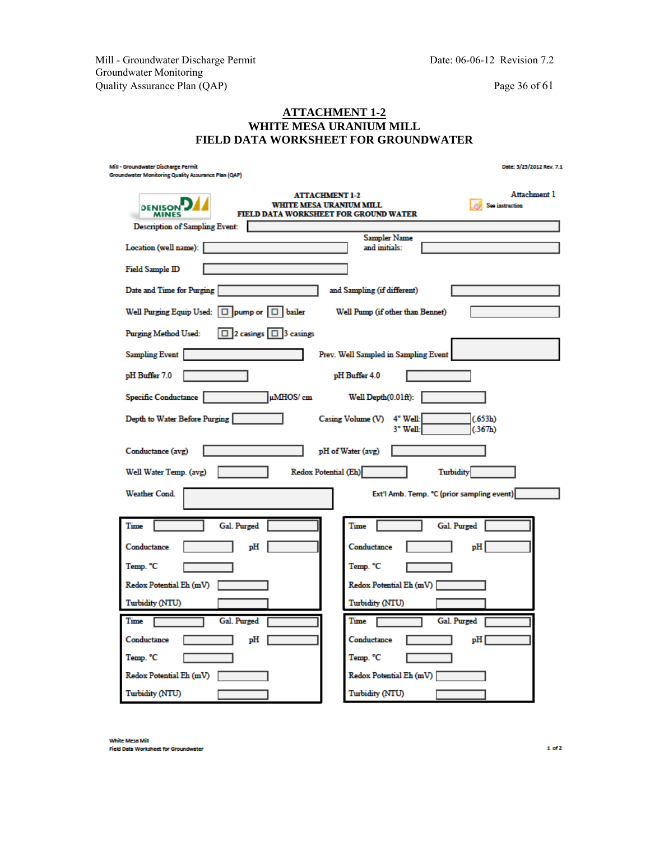Mill - Groundwater Discharge Permit Date: 06-06-12 Revision 7.2 Groundwater Monitoring Quality Assurance Plan (QAP) Page 36 of 61

#### **ATTACHMENT 1-2 WHITE MESA URANIUM MILL FIELD DATA WORKSHEET FOR GROUNDWATER**

| Mill - Groundwater Discharge Permit<br>Groundwater Monitoring Quality Assurance Plan (QAP) | Date: 5/25/2012 Rev. 7.1                                                                                                                   |
|--------------------------------------------------------------------------------------------|--------------------------------------------------------------------------------------------------------------------------------------------|
| <b>DENISON</b><br><b>MINES</b>                                                             | Attachment 1<br><b>ATTACHMENT 1-2</b><br><b>WHITE MESA URANIUM MILL</b><br>See instruction<br><b>FIELD DATA WORKSHEET FOR GROUND WATER</b> |
| Description of Sampling Event:                                                             |                                                                                                                                            |
| Location (well name):                                                                      | Sampler Name<br>and initials:                                                                                                              |
| <b>Field Sample ID</b>                                                                     |                                                                                                                                            |
| Date and Time for Purging                                                                  | and Sampling (if different)                                                                                                                |
| Well Purging Equip Used: $\Box$ pump or $\Box$ bailer                                      | Well Pump (if other than Bennet)                                                                                                           |
| $\boxed{ \Box \ }$ 2 casings $\boxed{ \Box \ }$ 3 casings<br><b>Purging Method Used:</b>   |                                                                                                                                            |
| <b>Sampling Event</b>                                                                      | Prev. Well Sampled in Sampling Event                                                                                                       |
| pH Buffer 7.0                                                                              | pH Buffer 4.0                                                                                                                              |
| µMHOS/ cm<br>Specific Conductance                                                          | Well $Depth(0.01ft)$ :                                                                                                                     |
| Depth to Water Before Purging                                                              | Casing Volume (V) 4" Well:<br>(.653h)<br>3" Well:<br>(.367h)                                                                               |
| Conductance (avg)                                                                          | pH of Water (avg)                                                                                                                          |
| Well Water Temp. (avg)                                                                     | Redox Potential (Eh)<br><b>Turbidity</b>                                                                                                   |
| <b>Weather Cond</b>                                                                        | Ext'l Amb. Temp. °C (prior sampling event)                                                                                                 |
| Time<br>Gal. Purged                                                                        | Time<br>Gal. Purged                                                                                                                        |
| Conductance<br>ъH                                                                          | ъH<br>Conductance                                                                                                                          |
| Temp. °C                                                                                   | Temp. °C                                                                                                                                   |
| Redox Potential Eh (mV)                                                                    | Redox Potential Eh (mV)                                                                                                                    |
| Turbidity (NTU)                                                                            | Turbidity (NTU)                                                                                                                            |
| Time<br>Gal. Purged                                                                        | Time<br>Gal. Purged                                                                                                                        |
| Conductance<br>рH                                                                          | Conductance<br>pН                                                                                                                          |
| Temp. °C                                                                                   | Temp. °C                                                                                                                                   |
| Redox Potential Eh (mV)                                                                    | Redox Potential Eh (mV)                                                                                                                    |
| Turbidity (NTU)                                                                            | Turbidity (NTU)                                                                                                                            |

White Mesa Mill **Field Data Worksheet for Groundwater**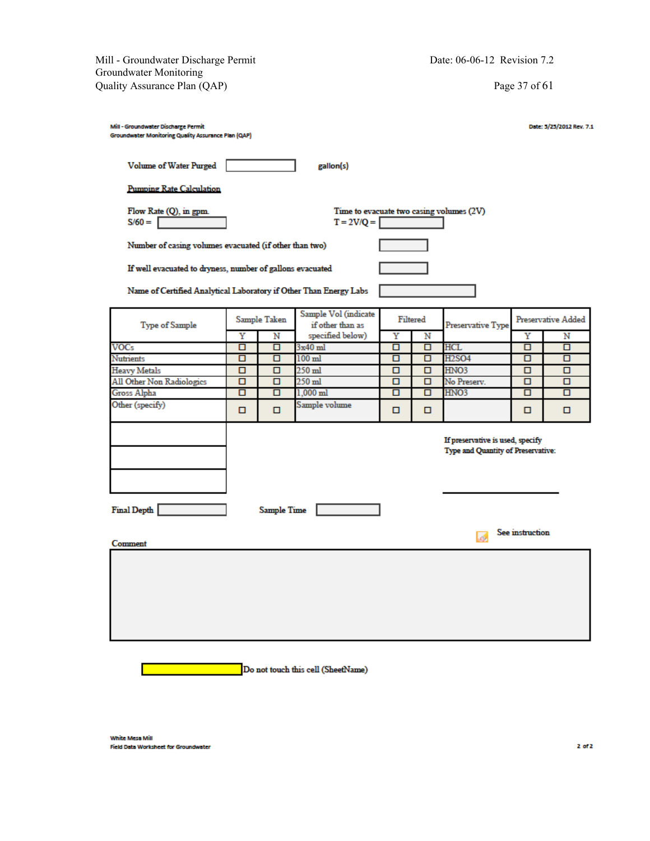Mill - Groundwater Discharge Permit Date: 06-06-12 Revision 7.2 Groundwater Monitoring Quality Assurance Plan (QAP) Page 37 of 61

| Mill - Groundwater Discharge Permit<br>Groundwater Monitoring Quality Assurance Plan (QAP) |   |              |                                          |   |          |                                                                        |   | Date: 5/25/2012 Rev. 7.1 |
|--------------------------------------------------------------------------------------------|---|--------------|------------------------------------------|---|----------|------------------------------------------------------------------------|---|--------------------------|
| <b>Volume of Water Purged</b>                                                              |   |              | gallon(s)                                |   |          |                                                                        |   |                          |
| <b>Pumping Rate Calculation</b>                                                            |   |              |                                          |   |          |                                                                        |   |                          |
| Flow Rate (Q), in gpm.<br>$S/60 =$                                                         |   |              | $T = 2V/Q =$                             |   |          | Time to evacuate two casing volumes (2V)                               |   |                          |
| Number of casing volumes evacuated (if other than two)                                     |   |              |                                          |   |          |                                                                        |   |                          |
| If well evacuated to dryness, number of gallons evacuated                                  |   |              |                                          |   |          |                                                                        |   |                          |
| Name of Certified Analytical Laboratory if Other Than Energy Labs                          |   |              |                                          |   |          |                                                                        |   |                          |
| <b>Type of Sample</b>                                                                      |   | Sample Taken | Sample Vol (indicate<br>if other than as |   | Filtered | Preservative Type                                                      |   | Preservative Added       |
|                                                                                            | Υ | N            | specified below)                         | Y | Ν        |                                                                        | Υ | Ν                        |
| <b>VOCs</b>                                                                                | п | о            | $3x40$ ml                                | п | ▫        | <b>HCL</b>                                                             | о | о                        |
| <b>Nutrients</b>                                                                           | п | о            | $100$ ml                                 | п | □        | <b>H2SO4</b>                                                           | п | о                        |
| <b>Heavy Metals</b>                                                                        | о | ▫            | $250$ ml                                 | о | ▫        | HNO3                                                                   | о | 0.                       |
| All Other Non Radiologics                                                                  | о | о            | $250$ ml                                 | п | □        | No Preserv.                                                            | о | о                        |
| Gross Alpha                                                                                | о | ▫            | $1.000$ ml                               | о | ▫        | HNO3                                                                   | о | 0.                       |
| Other (specify)<br>Sample volume<br>о<br>▫<br>о<br>▫<br>0<br>0                             |   |              |                                          |   |          |                                                                        |   |                          |
|                                                                                            |   |              |                                          |   |          | If preservative is used, specify<br>Type and Quantity of Preservative: |   |                          |
| Final Depth<br><b>Sample Time</b><br>See instruction                                       |   |              |                                          |   |          |                                                                        |   |                          |
| Comment                                                                                    |   |              |                                          |   |          | Ló.                                                                    |   |                          |
|                                                                                            |   |              |                                          |   |          |                                                                        |   |                          |

Do not touch this cell (SheetName)

White Mesa Mill Field Data Worksheet for Groundwater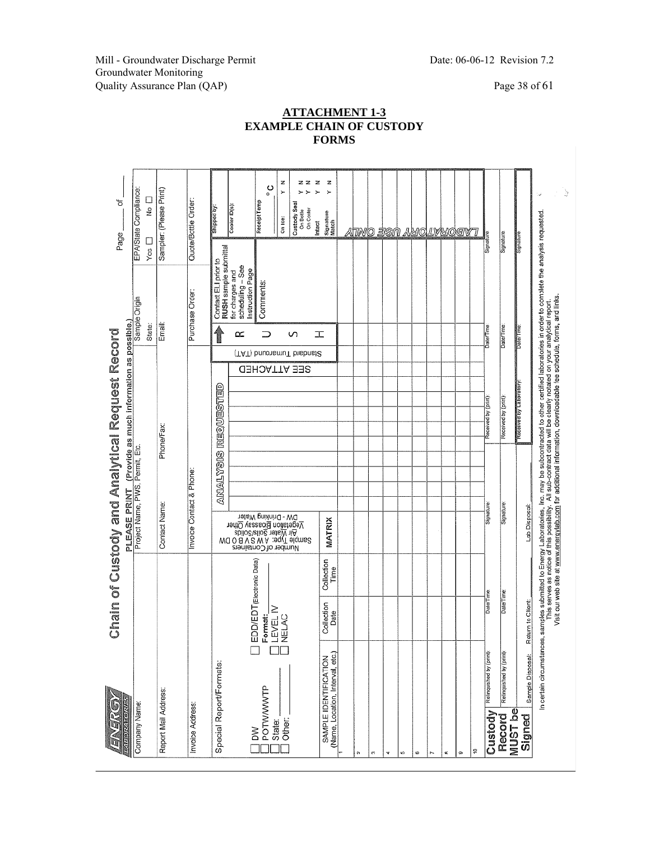Mill - Groundwater Discharge Permit Date: 06-06-12 Revision 7.2 Groundwater Monitoring Quality Assurance Plan (QAP) Page 38 of 61

 $\overline{\phantom{a}}$ 

#### **ATTACHMENT 1-3 EXAMPLE CHAIN OF CUSTODY FORMS**

|                              |                                                           |                                                                          |                    | Chain of Custody and Analytical Request Record<br>PLEASE PRINT                                                                                                                                                                        |                 |            | (Provide as much information as possible.) |                     |                               |                                                                                                                                                  | Page          | ৳                                                                                |  |
|------------------------------|-----------------------------------------------------------|--------------------------------------------------------------------------|--------------------|---------------------------------------------------------------------------------------------------------------------------------------------------------------------------------------------------------------------------------------|-----------------|------------|--------------------------------------------|---------------------|-------------------------------|--------------------------------------------------------------------------------------------------------------------------------------------------|---------------|----------------------------------------------------------------------------------|--|
| Company Name:                |                                                           |                                                                          |                    | Project Name, PWS, Permit, Etc.                                                                                                                                                                                                       |                 |            |                                            |                     |                               | Sample Origin                                                                                                                                    |               | EPA/State Compliance:                                                            |  |
|                              |                                                           |                                                                          |                    |                                                                                                                                                                                                                                       |                 |            |                                            |                     | State:                        |                                                                                                                                                  | Yes $\square$ | ロ<br>2                                                                           |  |
| Report Mail Address          |                                                           |                                                                          |                    | Contact Name:                                                                                                                                                                                                                         |                 | Phone/Fax: |                                            |                     | Email:                        |                                                                                                                                                  |               | Sampler: (Please Print)                                                          |  |
| Invoice Address:             |                                                           |                                                                          |                    | Invoice Contact & Phone:                                                                                                                                                                                                              |                 |            |                                            |                     |                               | Purchase Order:                                                                                                                                  |               | Quote/Bottle Order:                                                              |  |
|                              | Special Report/Formats:                                   |                                                                          |                    |                                                                                                                                                                                                                                       | <b>ANALYSIS</b> |            | REQUESTED                                  |                     |                               | RUSH sample submittal<br>Contact ELI prior to                                                                                                    |               | Shipped by                                                                       |  |
| δŇ                           |                                                           |                                                                          |                    | Number of Containers                                                                                                                                                                                                                  |                 |            |                                            |                     | ∝                             | scheduling - See<br>Instruction Page<br>for charges and                                                                                          |               | Cooler ID(s)                                                                     |  |
| POTWWWTP<br>State:           |                                                           | ] EDD/EDT(Electronic Data)<br>  F <b>ormat:</b><br>] LEVEL IV<br>] NELAC |                    |                                                                                                                                                                                                                                       |                 |            |                                            |                     | ⊃                             | <b>Comments:</b>                                                                                                                                 |               | ပ္ပ<br>Receipt Temp                                                              |  |
| Other:                       |                                                           |                                                                          |                    | DM - Dunking Water<br>Medition Bioassay Other<br>Water Soits/Solids<br>All Water Soits/Solids<br>Sample Type: A W S V B O DW<br>Sample Type: A W S V B O DW                                                                           |                 |            |                                            | <b>GEE ATTACHED</b> | n<br>(TAT) bnuonsmuT bnsbnst2 |                                                                                                                                                  |               | z<br>22<br>z<br>><br>Custody Seal<br>On Cooler<br>On Bottle<br>On toe:<br>Intact |  |
|                              | (Name, Location, Interval, etc.)<br>SAMPLE IDENTIFICATION | Collection<br>Date                                                       | Collection<br>Time | MATRIX                                                                                                                                                                                                                                |                 |            |                                            |                     | エ                             |                                                                                                                                                  |               | z<br>Signature<br>Match                                                          |  |
|                              |                                                           |                                                                          |                    |                                                                                                                                                                                                                                       |                 |            |                                            |                     |                               |                                                                                                                                                  |               |                                                                                  |  |
| t.                           |                                                           |                                                                          |                    |                                                                                                                                                                                                                                       |                 |            |                                            |                     |                               |                                                                                                                                                  |               | atino jisn                                                                       |  |
| C)                           |                                                           |                                                                          |                    |                                                                                                                                                                                                                                       |                 |            |                                            |                     |                               |                                                                                                                                                  |               |                                                                                  |  |
| v                            |                                                           |                                                                          |                    |                                                                                                                                                                                                                                       |                 |            |                                            |                     |                               |                                                                                                                                                  |               |                                                                                  |  |
| ĸ,                           |                                                           |                                                                          |                    |                                                                                                                                                                                                                                       |                 |            |                                            |                     |                               |                                                                                                                                                  |               |                                                                                  |  |
| 6                            |                                                           |                                                                          |                    |                                                                                                                                                                                                                                       |                 |            |                                            |                     |                               |                                                                                                                                                  |               |                                                                                  |  |
| ь                            |                                                           |                                                                          |                    |                                                                                                                                                                                                                                       |                 |            |                                            |                     |                               |                                                                                                                                                  |               |                                                                                  |  |
| œ                            |                                                           |                                                                          |                    |                                                                                                                                                                                                                                       |                 |            |                                            |                     |                               |                                                                                                                                                  |               |                                                                                  |  |
| ø                            |                                                           |                                                                          |                    |                                                                                                                                                                                                                                       |                 |            |                                            |                     |                               |                                                                                                                                                  |               | <u>AUCLVUOTVT</u>                                                                |  |
| ÷                            |                                                           |                                                                          |                    |                                                                                                                                                                                                                                       |                 |            |                                            |                     |                               |                                                                                                                                                  |               |                                                                                  |  |
| Custody                      | Relinquished by (print)                                   | Date/Time                                                                |                    | Signature                                                                                                                                                                                                                             |                 |            | Received by (print)                        |                     | Date/Time                     |                                                                                                                                                  | Signature     |                                                                                  |  |
| MUST <sub>be</sub><br>Record | Relinquished by (print)                                   | Date/Time                                                                |                    | Signature                                                                                                                                                                                                                             |                 |            | Received by (print)                        |                     | Date/Time                     |                                                                                                                                                  | Signature     |                                                                                  |  |
| Signed                       | Sample Disposal:                                          | Return to Client:                                                        |                    | Lab Disposal:                                                                                                                                                                                                                         |                 |            | Received by Laboratory                     |                     | Date/Time                     |                                                                                                                                                  | Signature:    |                                                                                  |  |
|                              | In certain circumstances,                                 |                                                                          |                    | Visit our web site at www.energylab.com for additional information, downloadable fee schedule, forms, and links<br>This serves as notice of this possibility. All sub-contract data will be clearly notated on your analytical report |                 |            |                                            |                     |                               | samples submitted to Energy Laboratories, Inc. may be subcontracted to other certified laboratories in order to complete the analysis requested. |               | à<br>.,                                                                          |  |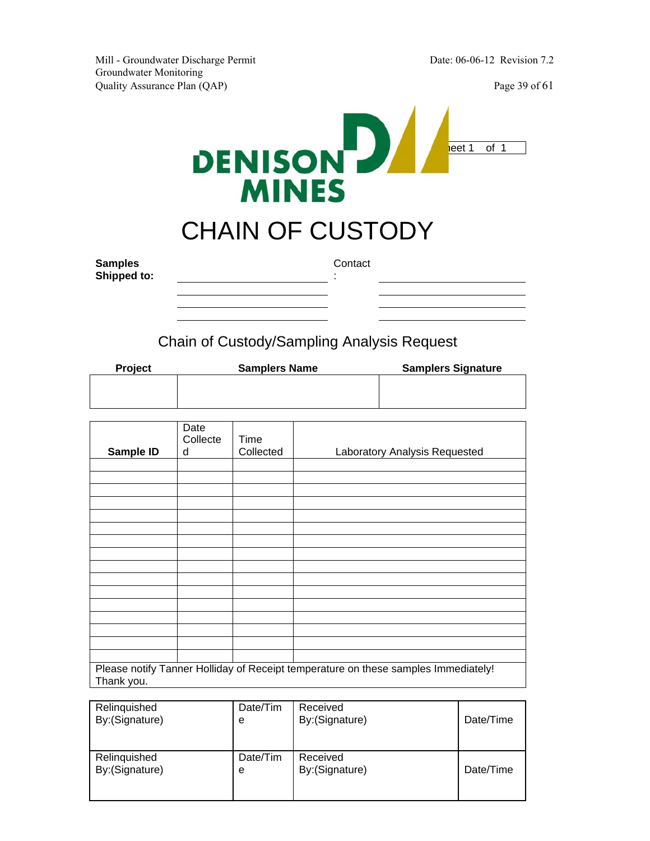

## CHAIN OF CUSTODY

**Samples Shipped to:**  **Contact** 

:

Chain of Custody/Sampling Analysis Request

| <b>Project</b> | <b>Samplers Name</b> | <b>Samplers Signature</b> |
|----------------|----------------------|---------------------------|
|                |                      |                           |
|                |                      |                           |
|                |                      |                           |

| Sample ID  | Date<br>Collecte<br>d | Time<br>Collected | Laboratory Analysis Requested                                                      |
|------------|-----------------------|-------------------|------------------------------------------------------------------------------------|
|            |                       |                   |                                                                                    |
|            |                       |                   |                                                                                    |
|            |                       |                   |                                                                                    |
|            |                       |                   |                                                                                    |
|            |                       |                   |                                                                                    |
|            |                       |                   |                                                                                    |
|            |                       |                   |                                                                                    |
|            |                       |                   |                                                                                    |
|            |                       |                   |                                                                                    |
|            |                       |                   |                                                                                    |
|            |                       |                   |                                                                                    |
|            |                       |                   |                                                                                    |
|            |                       |                   |                                                                                    |
|            |                       |                   |                                                                                    |
|            |                       |                   |                                                                                    |
|            |                       |                   |                                                                                    |
|            |                       |                   |                                                                                    |
| Thank you. |                       |                   | Please notify Tanner Holliday of Receipt temperature on these samples Immediately! |

| Relinquished    | Date/Tim | Received        | Date/Time |
|-----------------|----------|-----------------|-----------|
| By: (Signature) | e        | By: (Signature) |           |
| Relinquished    | Date/Tim | Received        | Date/Time |
| By:(Signature)  | e        | By: (Signature) |           |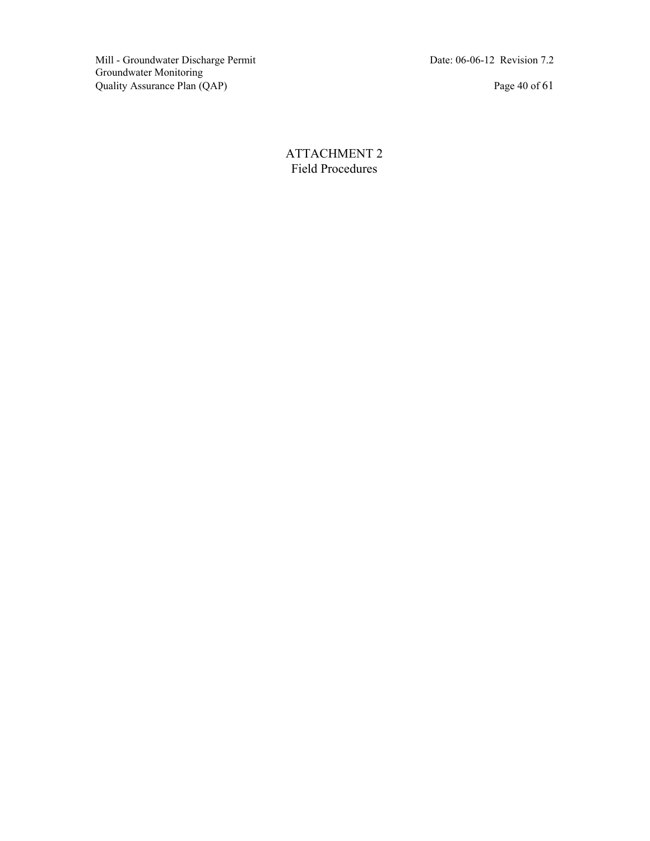Mill - Groundwater Discharge Permit Date: 06-06-12 Revision 7.2 Groundwater Monitoring Quality Assurance Plan (QAP) Page 40 of 61

ATTACHMENT 2 Field Procedures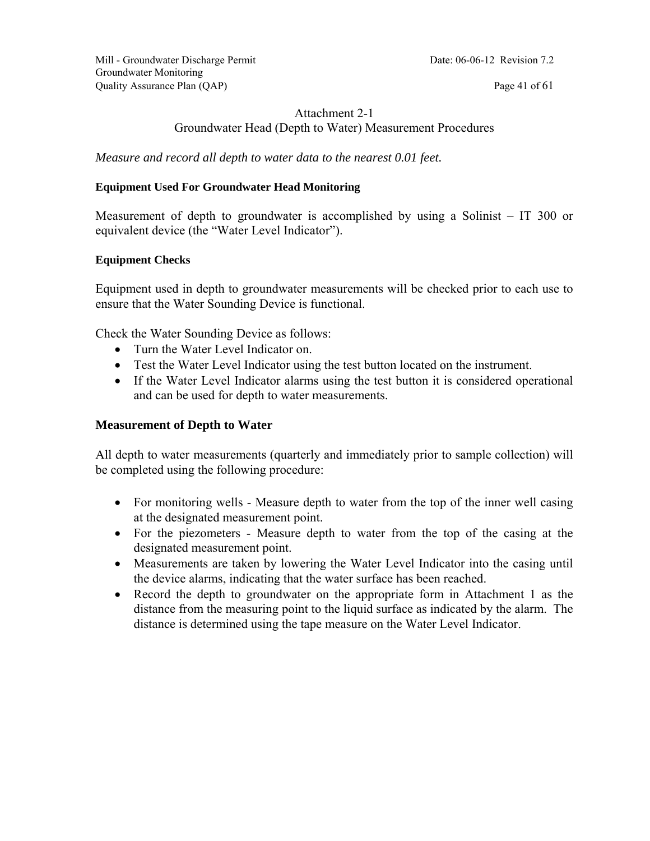Mill - Groundwater Discharge Permit Date: 06-06-12 Revision 7.2 Groundwater Monitoring Quality Assurance Plan (QAP) Page 41 of 61

#### Attachment 2-1 Groundwater Head (Depth to Water) Measurement Procedures

*Measure and record all depth to water data to the nearest 0.01 feet.* 

#### **Equipment Used For Groundwater Head Monitoring**

Measurement of depth to groundwater is accomplished by using a Solinist – IT 300 or equivalent device (the "Water Level Indicator").

#### **Equipment Checks**

Equipment used in depth to groundwater measurements will be checked prior to each use to ensure that the Water Sounding Device is functional.

Check the Water Sounding Device as follows:

- Turn the Water Level Indicator on.
- Test the Water Level Indicator using the test button located on the instrument.
- If the Water Level Indicator alarms using the test button it is considered operational and can be used for depth to water measurements.

#### **Measurement of Depth to Water**

All depth to water measurements (quarterly and immediately prior to sample collection) will be completed using the following procedure:

- For monitoring wells Measure depth to water from the top of the inner well casing at the designated measurement point.
- For the piezometers Measure depth to water from the top of the casing at the designated measurement point.
- Measurements are taken by lowering the Water Level Indicator into the casing until the device alarms, indicating that the water surface has been reached.
- Record the depth to groundwater on the appropriate form in Attachment 1 as the distance from the measuring point to the liquid surface as indicated by the alarm. The distance is determined using the tape measure on the Water Level Indicator.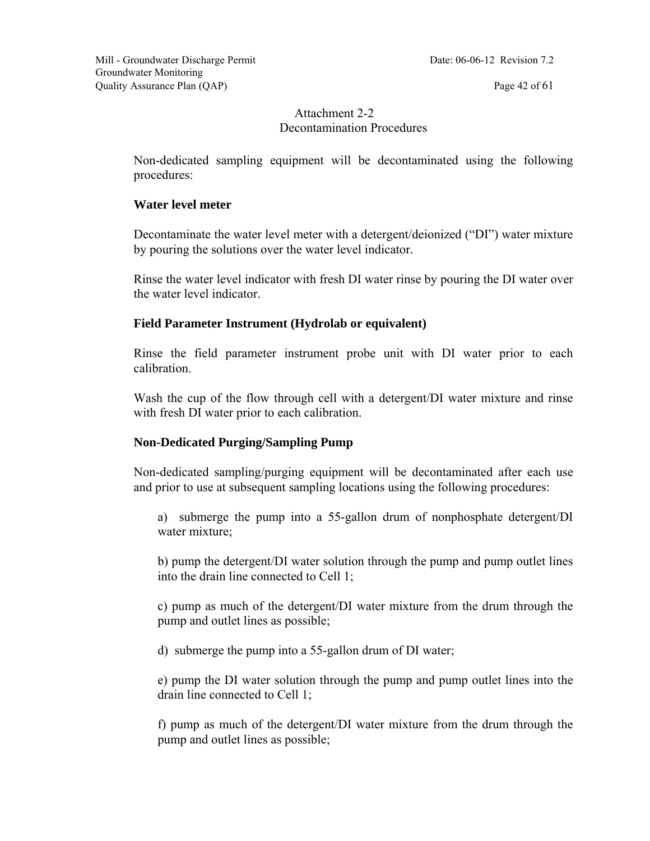#### Attachment 2-2 Decontamination Procedures

Non-dedicated sampling equipment will be decontaminated using the following procedures:

#### **Water level meter**

Decontaminate the water level meter with a detergent/deionized ("DI") water mixture by pouring the solutions over the water level indicator.

Rinse the water level indicator with fresh DI water rinse by pouring the DI water over the water level indicator.

#### **Field Parameter Instrument (Hydrolab or equivalent)**

Rinse the field parameter instrument probe unit with DI water prior to each calibration.

Wash the cup of the flow through cell with a detergent/DI water mixture and rinse with fresh DI water prior to each calibration.

#### **Non-Dedicated Purging/Sampling Pump**

Non-dedicated sampling/purging equipment will be decontaminated after each use and prior to use at subsequent sampling locations using the following procedures:

a) submerge the pump into a 55-gallon drum of nonphosphate detergent/DI water mixture;

b) pump the detergent/DI water solution through the pump and pump outlet lines into the drain line connected to Cell 1;

c) pump as much of the detergent/DI water mixture from the drum through the pump and outlet lines as possible;

d) submerge the pump into a 55-gallon drum of DI water;

e) pump the DI water solution through the pump and pump outlet lines into the drain line connected to Cell 1;

f) pump as much of the detergent/DI water mixture from the drum through the pump and outlet lines as possible;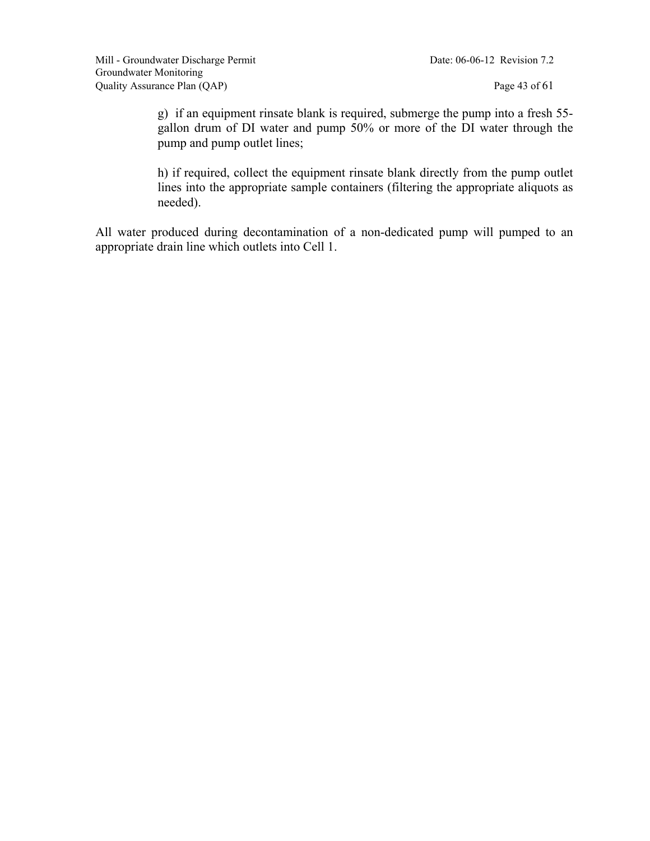g) if an equipment rinsate blank is required, submerge the pump into a fresh 55 gallon drum of DI water and pump 50% or more of the DI water through the pump and pump outlet lines;

h) if required, collect the equipment rinsate blank directly from the pump outlet lines into the appropriate sample containers (filtering the appropriate aliquots as needed).

All water produced during decontamination of a non-dedicated pump will pumped to an appropriate drain line which outlets into Cell 1.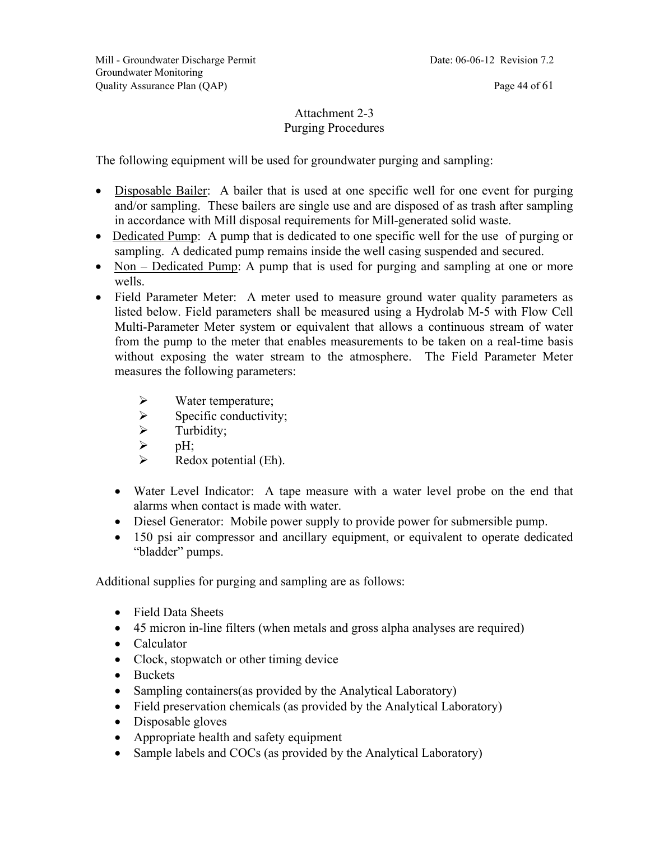#### Attachment 2-3 Purging Procedures

The following equipment will be used for groundwater purging and sampling:

- Disposable Bailer: A bailer that is used at one specific well for one event for purging and/or sampling. These bailers are single use and are disposed of as trash after sampling in accordance with Mill disposal requirements for Mill-generated solid waste.
- Dedicated Pump: A pump that is dedicated to one specific well for the use of purging or sampling. A dedicated pump remains inside the well casing suspended and secured.
- Non Dedicated Pump: A pump that is used for purging and sampling at one or more wells.
- Field Parameter Meter: A meter used to measure ground water quality parameters as listed below. Field parameters shall be measured using a Hydrolab M-5 with Flow Cell Multi-Parameter Meter system or equivalent that allows a continuous stream of water from the pump to the meter that enables measurements to be taken on a real-time basis without exposing the water stream to the atmosphere. The Field Parameter Meter measures the following parameters:
	- $\triangleright$  Water temperature;
	- $\triangleright$  Specific conductivity;
	- $\triangleright$  Turbidity;
	- $\triangleright$  pH;
	- $\triangleright$  Redox potential (Eh).
	- Water Level Indicator: A tape measure with a water level probe on the end that alarms when contact is made with water.
	- Diesel Generator: Mobile power supply to provide power for submersible pump.
	- 150 psi air compressor and ancillary equipment, or equivalent to operate dedicated "bladder" pumps.

Additional supplies for purging and sampling are as follows:

- Field Data Sheets
- 45 micron in-line filters (when metals and gross alpha analyses are required)
- Calculator
- Clock, stopwatch or other timing device
- Buckets
- Sampling containers (as provided by the Analytical Laboratory)
- Field preservation chemicals (as provided by the Analytical Laboratory)
- Disposable gloves
- Appropriate health and safety equipment
- Sample labels and COCs (as provided by the Analytical Laboratory)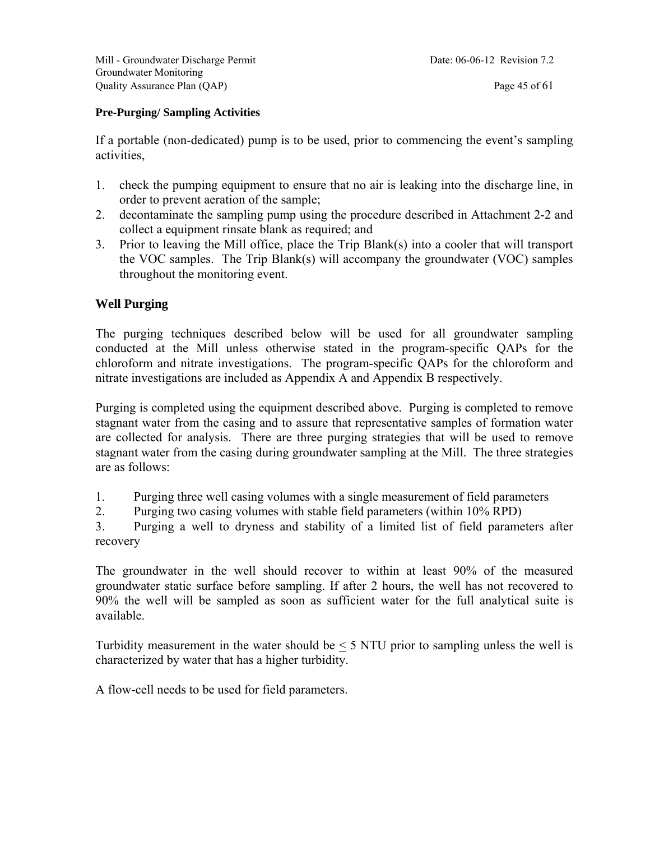#### **Pre-Purging/ Sampling Activities**

If a portable (non-dedicated) pump is to be used, prior to commencing the event's sampling activities,

- 1. check the pumping equipment to ensure that no air is leaking into the discharge line, in order to prevent aeration of the sample;
- 2. decontaminate the sampling pump using the procedure described in Attachment 2-2 and collect a equipment rinsate blank as required; and
- 3. Prior to leaving the Mill office, place the Trip Blank(s) into a cooler that will transport the VOC samples. The Trip Blank(s) will accompany the groundwater (VOC) samples throughout the monitoring event.

#### **Well Purging**

The purging techniques described below will be used for all groundwater sampling conducted at the Mill unless otherwise stated in the program-specific QAPs for the chloroform and nitrate investigations. The program-specific QAPs for the chloroform and nitrate investigations are included as Appendix A and Appendix B respectively.

Purging is completed using the equipment described above. Purging is completed to remove stagnant water from the casing and to assure that representative samples of formation water are collected for analysis. There are three purging strategies that will be used to remove stagnant water from the casing during groundwater sampling at the Mill. The three strategies are as follows:

- 1. Purging three well casing volumes with a single measurement of field parameters
- 2. Purging two casing volumes with stable field parameters (within 10% RPD)

3. Purging a well to dryness and stability of a limited list of field parameters after recovery

The groundwater in the well should recover to within at least 90% of the measured groundwater static surface before sampling. If after 2 hours, the well has not recovered to 90% the well will be sampled as soon as sufficient water for the full analytical suite is available.

Turbidity measurement in the water should be  $\leq$  5 NTU prior to sampling unless the well is characterized by water that has a higher turbidity.

A flow-cell needs to be used for field parameters.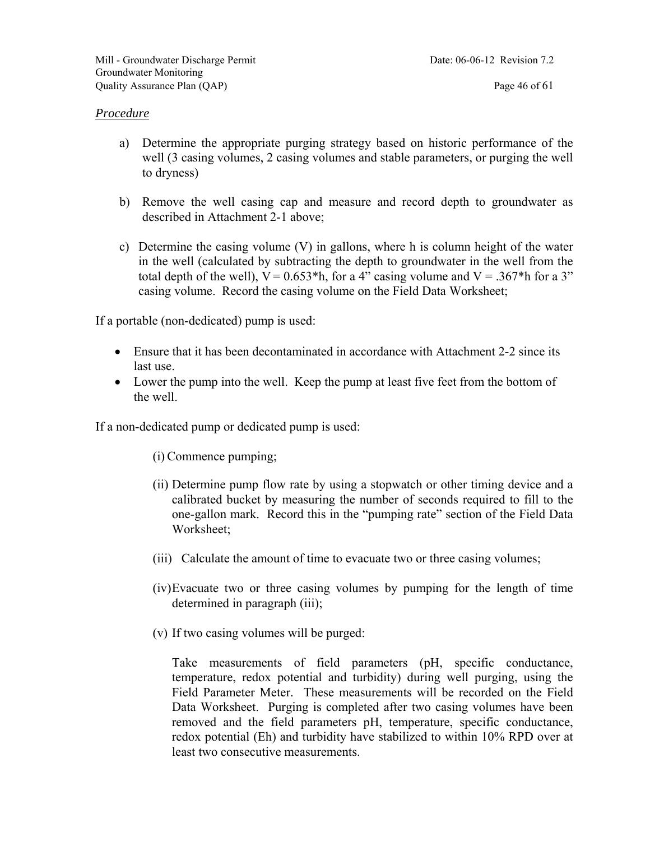- a) Determine the appropriate purging strategy based on historic performance of the well (3 casing volumes, 2 casing volumes and stable parameters, or purging the well to dryness)
- b) Remove the well casing cap and measure and record depth to groundwater as described in Attachment 2-1 above;
- c) Determine the casing volume (V) in gallons, where h is column height of the water in the well (calculated by subtracting the depth to groundwater in the well from the total depth of the well),  $V = 0.653*h$ , for a 4" casing volume and  $V = 0.367*h$  for a 3" casing volume. Record the casing volume on the Field Data Worksheet;

If a portable (non-dedicated) pump is used:

- Ensure that it has been decontaminated in accordance with Attachment 2-2 since its last use.
- Lower the pump into the well. Keep the pump at least five feet from the bottom of the well.

If a non-dedicated pump or dedicated pump is used:

(i) Commence pumping;

- (ii) Determine pump flow rate by using a stopwatch or other timing device and a calibrated bucket by measuring the number of seconds required to fill to the one-gallon mark. Record this in the "pumping rate" section of the Field Data Worksheet;
- (iii) Calculate the amount of time to evacuate two or three casing volumes;
- (iv)Evacuate two or three casing volumes by pumping for the length of time determined in paragraph (iii);
- (v) If two casing volumes will be purged:

Take measurements of field parameters (pH, specific conductance, temperature, redox potential and turbidity) during well purging, using the Field Parameter Meter. These measurements will be recorded on the Field Data Worksheet. Purging is completed after two casing volumes have been removed and the field parameters pH, temperature, specific conductance, redox potential (Eh) and turbidity have stabilized to within 10% RPD over at least two consecutive measurements.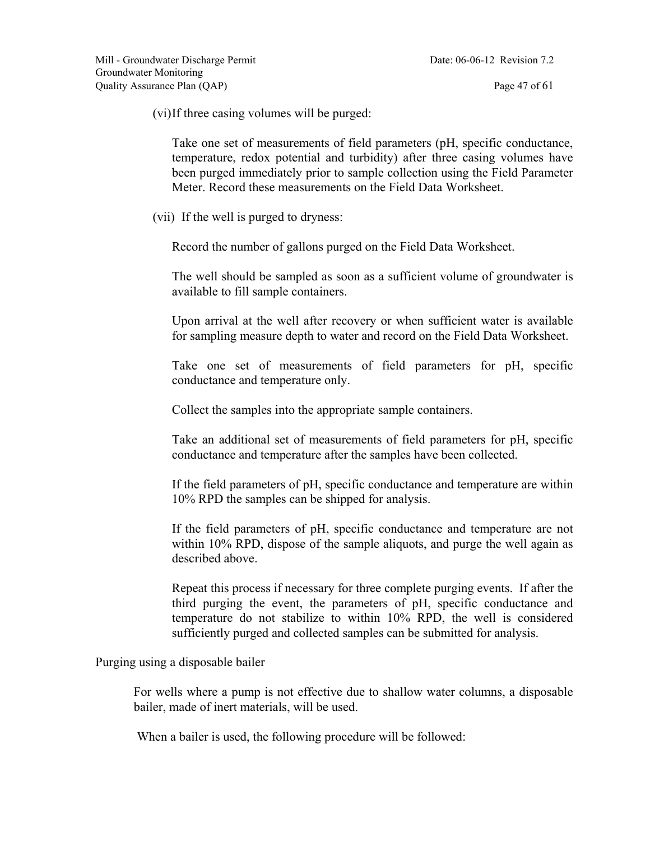(vi)If three casing volumes will be purged:

Take one set of measurements of field parameters (pH, specific conductance, temperature, redox potential and turbidity) after three casing volumes have been purged immediately prior to sample collection using the Field Parameter Meter. Record these measurements on the Field Data Worksheet.

(vii) If the well is purged to dryness:

Record the number of gallons purged on the Field Data Worksheet.

The well should be sampled as soon as a sufficient volume of groundwater is available to fill sample containers.

Upon arrival at the well after recovery or when sufficient water is available for sampling measure depth to water and record on the Field Data Worksheet.

Take one set of measurements of field parameters for pH, specific conductance and temperature only.

Collect the samples into the appropriate sample containers.

Take an additional set of measurements of field parameters for pH, specific conductance and temperature after the samples have been collected.

If the field parameters of pH, specific conductance and temperature are within 10% RPD the samples can be shipped for analysis.

If the field parameters of pH, specific conductance and temperature are not within 10% RPD, dispose of the sample aliquots, and purge the well again as described above.

Repeat this process if necessary for three complete purging events. If after the third purging the event, the parameters of pH, specific conductance and temperature do not stabilize to within 10% RPD, the well is considered sufficiently purged and collected samples can be submitted for analysis.

Purging using a disposable bailer

For wells where a pump is not effective due to shallow water columns, a disposable bailer, made of inert materials, will be used.

When a bailer is used, the following procedure will be followed: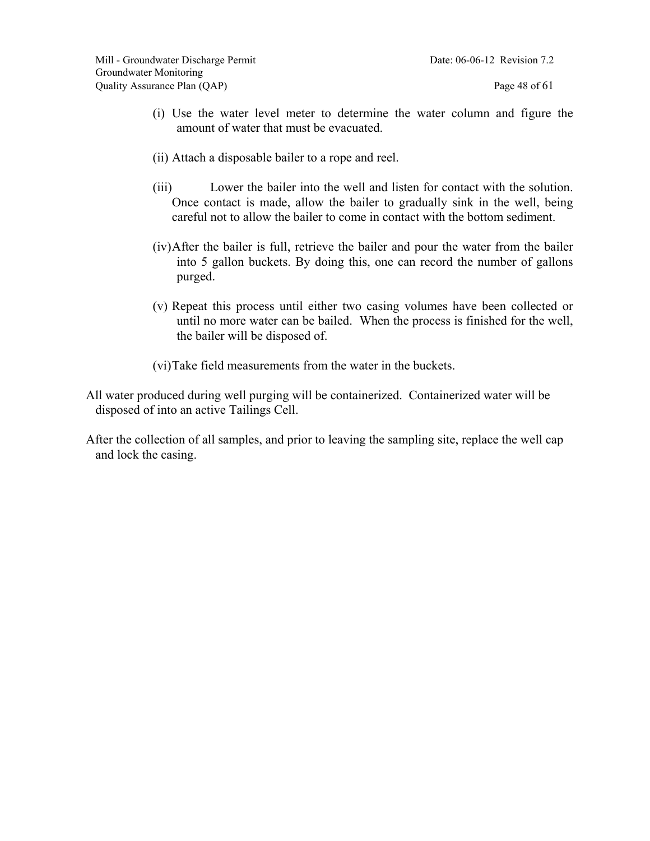- (i) Use the water level meter to determine the water column and figure the amount of water that must be evacuated.
- (ii) Attach a disposable bailer to a rope and reel.
- (iii) Lower the bailer into the well and listen for contact with the solution. Once contact is made, allow the bailer to gradually sink in the well, being careful not to allow the bailer to come in contact with the bottom sediment.
- (iv)After the bailer is full, retrieve the bailer and pour the water from the bailer into 5 gallon buckets. By doing this, one can record the number of gallons purged.
- (v) Repeat this process until either two casing volumes have been collected or until no more water can be bailed. When the process is finished for the well, the bailer will be disposed of.
- (vi)Take field measurements from the water in the buckets.
- All water produced during well purging will be containerized. Containerized water will be disposed of into an active Tailings Cell.
- After the collection of all samples, and prior to leaving the sampling site, replace the well cap and lock the casing.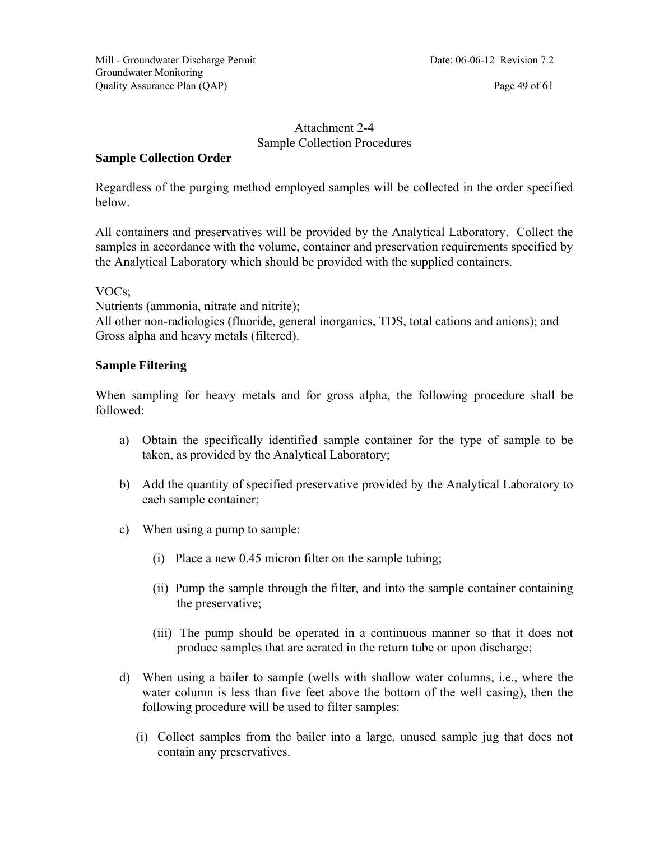#### Attachment 2-4 Sample Collection Procedures

#### **Sample Collection Order**

Regardless of the purging method employed samples will be collected in the order specified below.

All containers and preservatives will be provided by the Analytical Laboratory. Collect the samples in accordance with the volume, container and preservation requirements specified by the Analytical Laboratory which should be provided with the supplied containers.

#### VOCs;

Nutrients (ammonia, nitrate and nitrite);

All other non-radiologics (fluoride, general inorganics, TDS, total cations and anions); and Gross alpha and heavy metals (filtered).

#### **Sample Filtering**

When sampling for heavy metals and for gross alpha, the following procedure shall be followed:

- a) Obtain the specifically identified sample container for the type of sample to be taken, as provided by the Analytical Laboratory;
- b) Add the quantity of specified preservative provided by the Analytical Laboratory to each sample container;
- c) When using a pump to sample:
	- (i) Place a new 0.45 micron filter on the sample tubing;
	- (ii) Pump the sample through the filter, and into the sample container containing the preservative;
	- (iii) The pump should be operated in a continuous manner so that it does not produce samples that are aerated in the return tube or upon discharge;
- d) When using a bailer to sample (wells with shallow water columns, i.e., where the water column is less than five feet above the bottom of the well casing), then the following procedure will be used to filter samples:
	- (i) Collect samples from the bailer into a large, unused sample jug that does not contain any preservatives.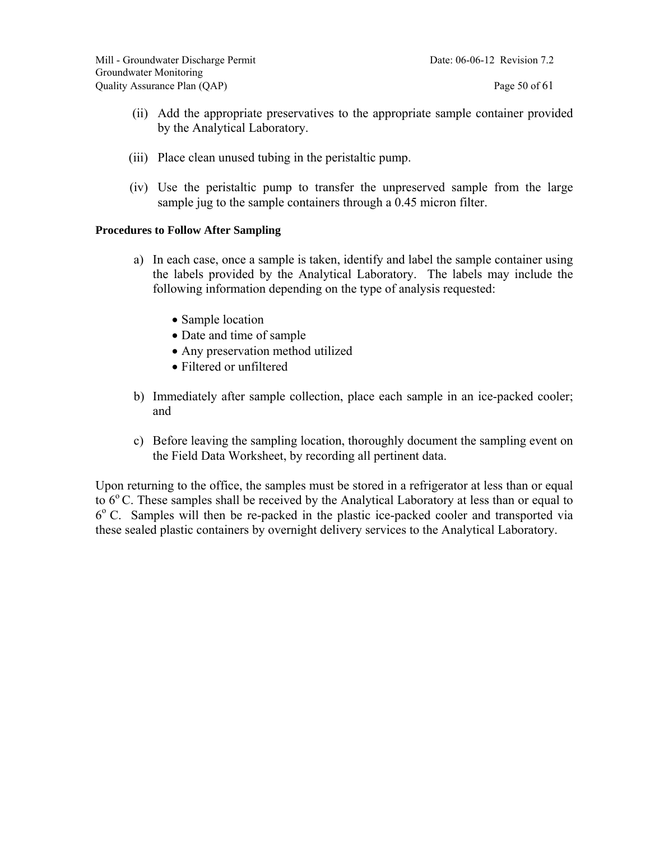- (ii) Add the appropriate preservatives to the appropriate sample container provided by the Analytical Laboratory.
- (iii) Place clean unused tubing in the peristaltic pump.
- (iv) Use the peristaltic pump to transfer the unpreserved sample from the large sample jug to the sample containers through a 0.45 micron filter.

#### **Procedures to Follow After Sampling**

- a) In each case, once a sample is taken, identify and label the sample container using the labels provided by the Analytical Laboratory. The labels may include the following information depending on the type of analysis requested:
	- Sample location
	- Date and time of sample
	- Any preservation method utilized
	- Filtered or unfiltered
- b) Immediately after sample collection, place each sample in an ice-packed cooler; and
- c) Before leaving the sampling location, thoroughly document the sampling event on the Field Data Worksheet, by recording all pertinent data.

Upon returning to the office, the samples must be stored in a refrigerator at less than or equal to  $6^{\circ}$  C. These samples shall be received by the Analytical Laboratory at less than or equal to  $6^{\circ}$  C. Samples will then be re-packed in the plastic ice-packed cooler and transported via these sealed plastic containers by overnight delivery services to the Analytical Laboratory.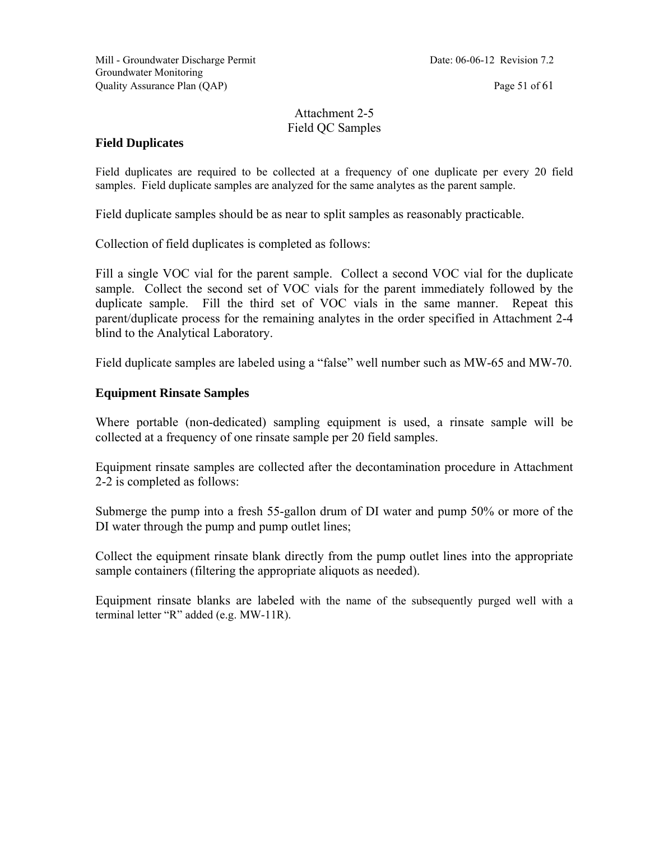#### Attachment 2-5 Field QC Samples

#### **Field Duplicates**

Field duplicates are required to be collected at a frequency of one duplicate per every 20 field samples. Field duplicate samples are analyzed for the same analytes as the parent sample.

Field duplicate samples should be as near to split samples as reasonably practicable.

Collection of field duplicates is completed as follows:

Fill a single VOC vial for the parent sample. Collect a second VOC vial for the duplicate sample. Collect the second set of VOC vials for the parent immediately followed by the duplicate sample. Fill the third set of VOC vials in the same manner. Repeat this parent/duplicate process for the remaining analytes in the order specified in Attachment 2-4 blind to the Analytical Laboratory.

Field duplicate samples are labeled using a "false" well number such as MW-65 and MW-70.

#### **Equipment Rinsate Samples**

Where portable (non-dedicated) sampling equipment is used, a rinsate sample will be collected at a frequency of one rinsate sample per 20 field samples.

Equipment rinsate samples are collected after the decontamination procedure in Attachment 2-2 is completed as follows:

Submerge the pump into a fresh 55-gallon drum of DI water and pump 50% or more of the DI water through the pump and pump outlet lines;

Collect the equipment rinsate blank directly from the pump outlet lines into the appropriate sample containers (filtering the appropriate aliquots as needed).

Equipment rinsate blanks are labeled with the name of the subsequently purged well with a terminal letter "R" added (e.g. MW-11R).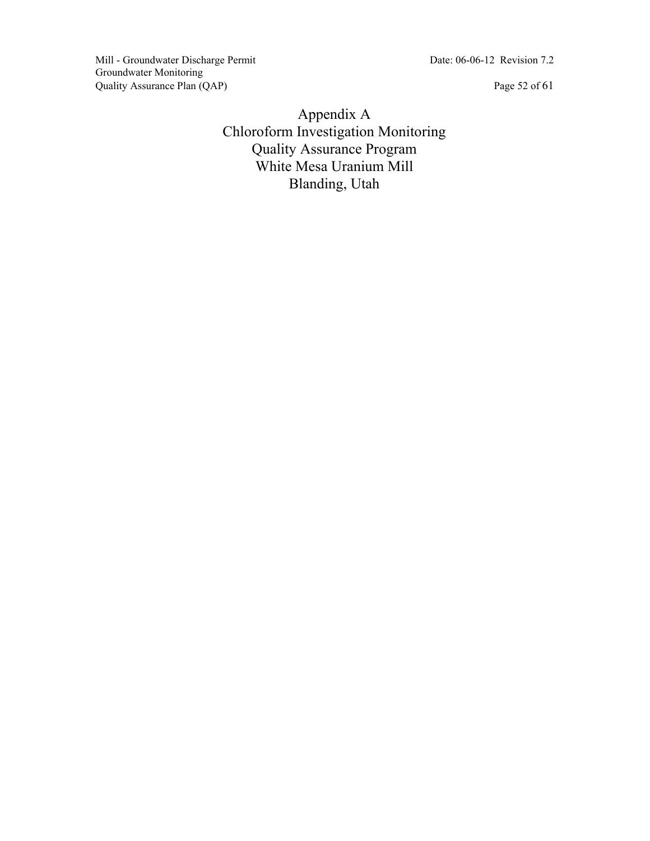Mill - Groundwater Discharge Permit Date: 06-06-12 Revision 7.2 Groundwater Monitoring Quality Assurance Plan (QAP) Page 52 of 61

Appendix A Chloroform Investigation Monitoring Quality Assurance Program White Mesa Uranium Mill Blanding, Utah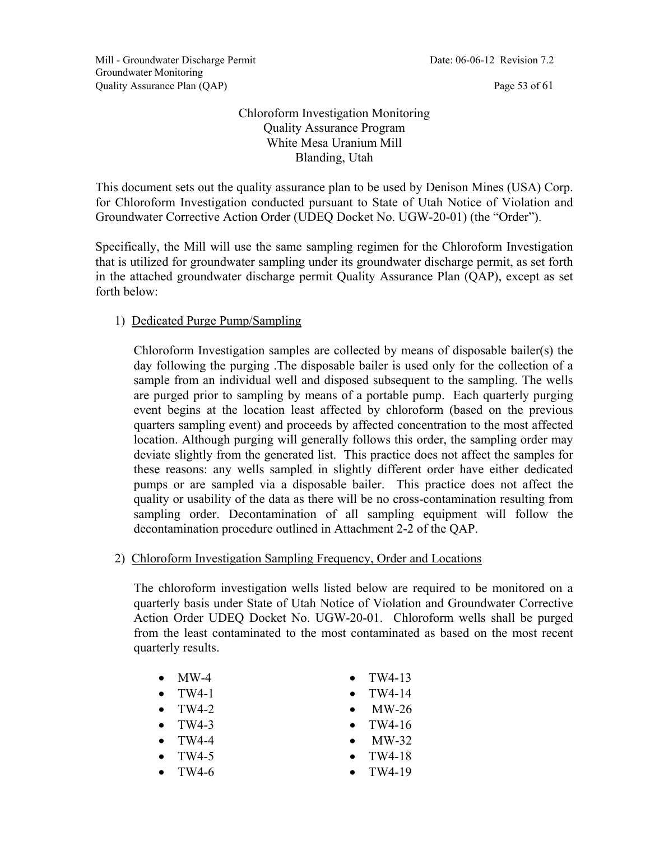#### Chloroform Investigation Monitoring Quality Assurance Program White Mesa Uranium Mill Blanding, Utah

This document sets out the quality assurance plan to be used by Denison Mines (USA) Corp. for Chloroform Investigation conducted pursuant to State of Utah Notice of Violation and Groundwater Corrective Action Order (UDEQ Docket No. UGW-20-01) (the "Order").

Specifically, the Mill will use the same sampling regimen for the Chloroform Investigation that is utilized for groundwater sampling under its groundwater discharge permit, as set forth in the attached groundwater discharge permit Quality Assurance Plan (QAP), except as set forth below:

#### 1) Dedicated Purge Pump/Sampling

Chloroform Investigation samples are collected by means of disposable bailer(s) the day following the purging .The disposable bailer is used only for the collection of a sample from an individual well and disposed subsequent to the sampling. The wells are purged prior to sampling by means of a portable pump. Each quarterly purging event begins at the location least affected by chloroform (based on the previous quarters sampling event) and proceeds by affected concentration to the most affected location. Although purging will generally follows this order, the sampling order may deviate slightly from the generated list. This practice does not affect the samples for these reasons: any wells sampled in slightly different order have either dedicated pumps or are sampled via a disposable bailer. This practice does not affect the quality or usability of the data as there will be no cross-contamination resulting from sampling order. Decontamination of all sampling equipment will follow the decontamination procedure outlined in Attachment 2-2 of the QAP.

2) Chloroform Investigation Sampling Frequency, Order and Locations

The chloroform investigation wells listed below are required to be monitored on a quarterly basis under State of Utah Notice of Violation and Groundwater Corrective Action Order UDEQ Docket No. UGW-20-01. Chloroform wells shall be purged from the least contaminated to the most contaminated as based on the most recent quarterly results.

- $\bullet$  MW-4
- $\bullet$  TW4-1
- $\bullet$  TW4-2
- $\bullet$  TW4-3
- $\bullet$  TW4-4
- $\bullet$  TW4-5
- $\bullet$  TW4-6
- $\bullet$  TW4-13
- $\bullet$  TW4-14
- MW-26
- $\bullet$  TW4-16
- MW-32
- $\bullet$  TW4-18
- $\bullet$  TW4-19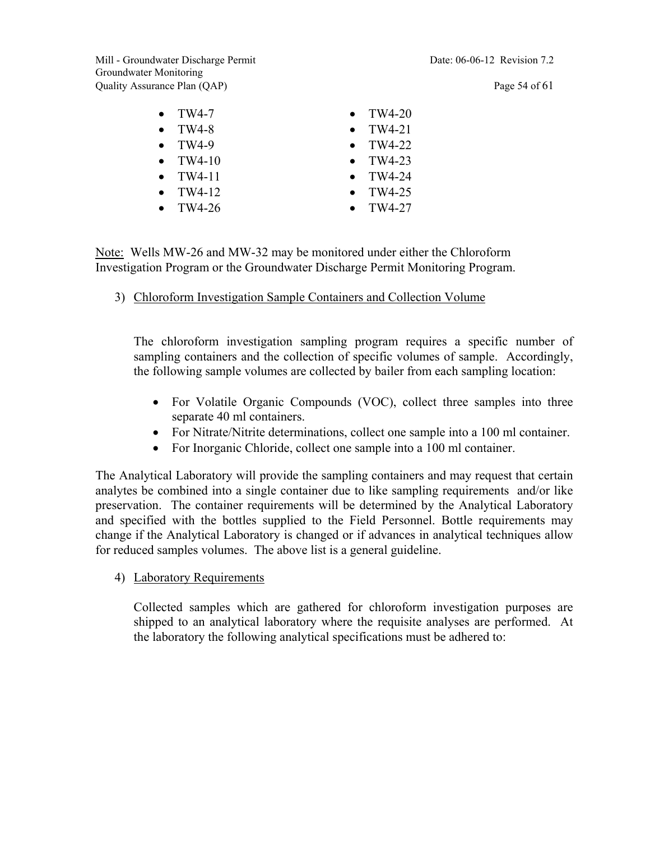Mill - Groundwater Discharge Permit Date: 06-06-12 Revision 7.2 Groundwater Monitoring Quality Assurance Plan (QAP) Page 54 of 61

| $\bullet$ TW4-7  | $\bullet$ TW4-20 |
|------------------|------------------|
| $\bullet$ TW4-8  | $\bullet$ TW4-21 |
| $\bullet$ TW4-9  | $\bullet$ TW4-22 |
| $\bullet$ TW4-10 | $\bullet$ TW4-23 |
| $\bullet$ TW4-11 | $\bullet$ TW4-24 |
| $\bullet$ TW4-12 | $\bullet$ TW4-25 |
| TW4-26           | TW4-27           |
|                  |                  |

Note: Wells MW-26 and MW-32 may be monitored under either the Chloroform Investigation Program or the Groundwater Discharge Permit Monitoring Program.

3) Chloroform Investigation Sample Containers and Collection Volume

The chloroform investigation sampling program requires a specific number of sampling containers and the collection of specific volumes of sample. Accordingly, the following sample volumes are collected by bailer from each sampling location:

- For Volatile Organic Compounds (VOC), collect three samples into three separate 40 ml containers.
- For Nitrate/Nitrite determinations, collect one sample into a 100 ml container.
- For Inorganic Chloride, collect one sample into a 100 ml container.

The Analytical Laboratory will provide the sampling containers and may request that certain analytes be combined into a single container due to like sampling requirements and/or like preservation. The container requirements will be determined by the Analytical Laboratory and specified with the bottles supplied to the Field Personnel. Bottle requirements may change if the Analytical Laboratory is changed or if advances in analytical techniques allow for reduced samples volumes. The above list is a general guideline.

4) Laboratory Requirements

Collected samples which are gathered for chloroform investigation purposes are shipped to an analytical laboratory where the requisite analyses are performed. At the laboratory the following analytical specifications must be adhered to: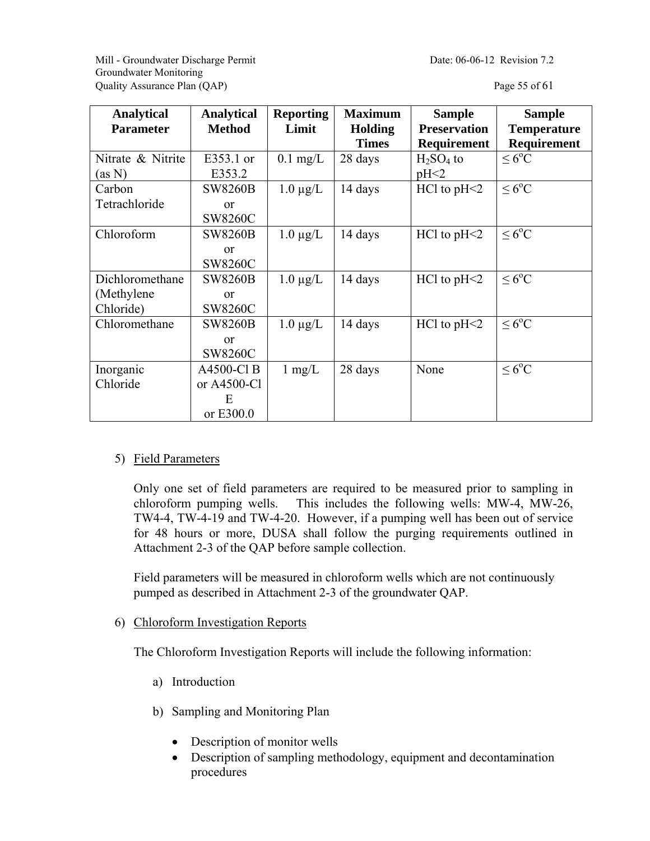Mill - Groundwater Discharge Permit Date: 06-06-12 Revision 7.2 Groundwater Monitoring Quality Assurance Plan (QAP) Page 55 of 61

| <b>Analytical</b><br><b>Parameter</b> | <b>Analytical</b><br><b>Method</b> | <b>Reporting</b><br>Limit | <b>Maximum</b><br><b>Holding</b><br><b>Times</b> | <b>Sample</b><br><b>Preservation</b><br>Requirement | <b>Sample</b><br><b>Temperature</b><br><b>Requirement</b> |
|---------------------------------------|------------------------------------|---------------------------|--------------------------------------------------|-----------------------------------------------------|-----------------------------------------------------------|
| Nitrate & Nitrite                     | E353.1 or                          | $0.1$ mg/L                | 28 days                                          | $H2SO4$ to                                          | $\leq 6^{\circ}C$                                         |
| (as N)                                | E353.2                             |                           |                                                  | pH <sub>2</sub>                                     |                                                           |
| Carbon                                | <b>SW8260B</b>                     | $1.0 \mu g/L$             | 14 days                                          | $HC1$ to $pH<2$                                     | $\leq 6^{\circ}C$                                         |
| Tetrachloride                         | $\alpha$                           |                           |                                                  |                                                     |                                                           |
|                                       | <b>SW8260C</b>                     |                           |                                                  |                                                     |                                                           |
| Chloroform                            | <b>SW8260B</b>                     | $1.0 \mu g/L$             | 14 days                                          | $HC1$ to $pH<2$                                     | $\leq 6^{\circ}C$                                         |
|                                       | $\alpha$                           |                           |                                                  |                                                     |                                                           |
|                                       | SW8260C                            |                           |                                                  |                                                     |                                                           |
| Dichloromethane                       | <b>SW8260B</b>                     | $1.0 \mu g/L$             | 14 days                                          | $HC1$ to $pH<2$                                     | $\leq 6^{\circ}C$                                         |
| (Methylene)                           | $\alpha$                           |                           |                                                  |                                                     |                                                           |
| Chloride)                             | <b>SW8260C</b>                     |                           |                                                  |                                                     |                                                           |
| Chloromethane                         | <b>SW8260B</b>                     | $1.0 \mu g/L$             | 14 days                                          | $HC1$ to $pH<2$                                     | $\leq 6^{\circ}C$                                         |
|                                       | $\alpha$                           |                           |                                                  |                                                     |                                                           |
|                                       | SW8260C                            |                           |                                                  |                                                     |                                                           |
| Inorganic                             | A4500-Cl B                         | $1 \text{ mg/L}$          | 28 days                                          | None                                                | $\leq 6^{\circ}C$                                         |
| Chloride                              | or A4500-Cl                        |                           |                                                  |                                                     |                                                           |
|                                       | E                                  |                           |                                                  |                                                     |                                                           |
|                                       | or E300.0                          |                           |                                                  |                                                     |                                                           |

#### 5) Field Parameters

Only one set of field parameters are required to be measured prior to sampling in chloroform pumping wells. This includes the following wells: MW-4, MW-26, TW4-4, TW-4-19 and TW-4-20. However, if a pumping well has been out of service for 48 hours or more, DUSA shall follow the purging requirements outlined in Attachment 2-3 of the QAP before sample collection.

Field parameters will be measured in chloroform wells which are not continuously pumped as described in Attachment 2-3 of the groundwater QAP.

#### 6) Chloroform Investigation Reports

The Chloroform Investigation Reports will include the following information:

- a) Introduction
- b) Sampling and Monitoring Plan
	- Description of monitor wells
	- Description of sampling methodology, equipment and decontamination procedures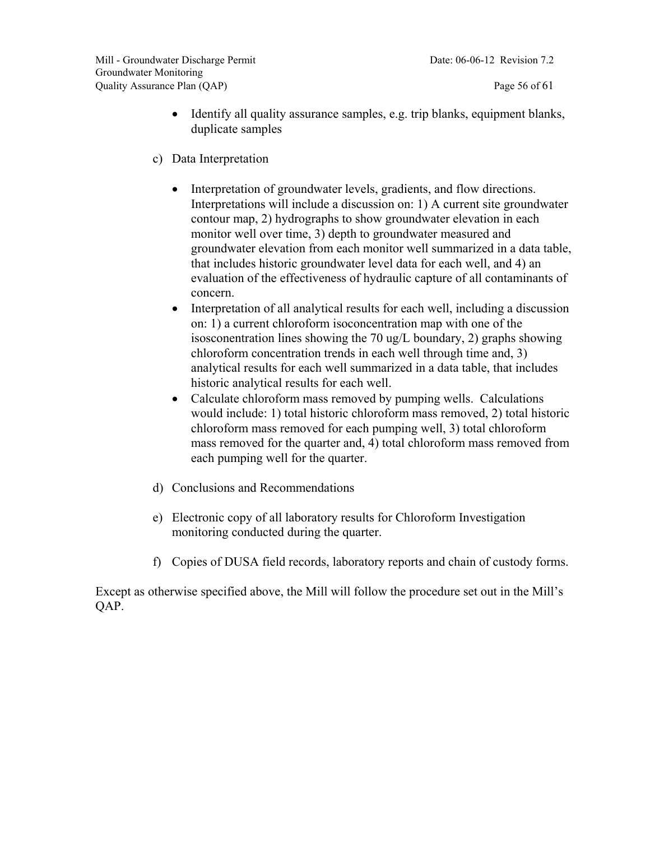- Identify all quality assurance samples, e.g. trip blanks, equipment blanks, duplicate samples
- c) Data Interpretation
	- Interpretation of groundwater levels, gradients, and flow directions. Interpretations will include a discussion on: 1) A current site groundwater contour map, 2) hydrographs to show groundwater elevation in each monitor well over time, 3) depth to groundwater measured and groundwater elevation from each monitor well summarized in a data table, that includes historic groundwater level data for each well, and 4) an evaluation of the effectiveness of hydraulic capture of all contaminants of concern.
	- Interpretation of all analytical results for each well, including a discussion on: 1) a current chloroform isoconcentration map with one of the isosconentration lines showing the 70 ug/L boundary, 2) graphs showing chloroform concentration trends in each well through time and, 3) analytical results for each well summarized in a data table, that includes historic analytical results for each well.
	- Calculate chloroform mass removed by pumping wells. Calculations would include: 1) total historic chloroform mass removed, 2) total historic chloroform mass removed for each pumping well, 3) total chloroform mass removed for the quarter and, 4) total chloroform mass removed from each pumping well for the quarter.
- d) Conclusions and Recommendations
- e) Electronic copy of all laboratory results for Chloroform Investigation monitoring conducted during the quarter.
- f) Copies of DUSA field records, laboratory reports and chain of custody forms.

Except as otherwise specified above, the Mill will follow the procedure set out in the Mill's QAP.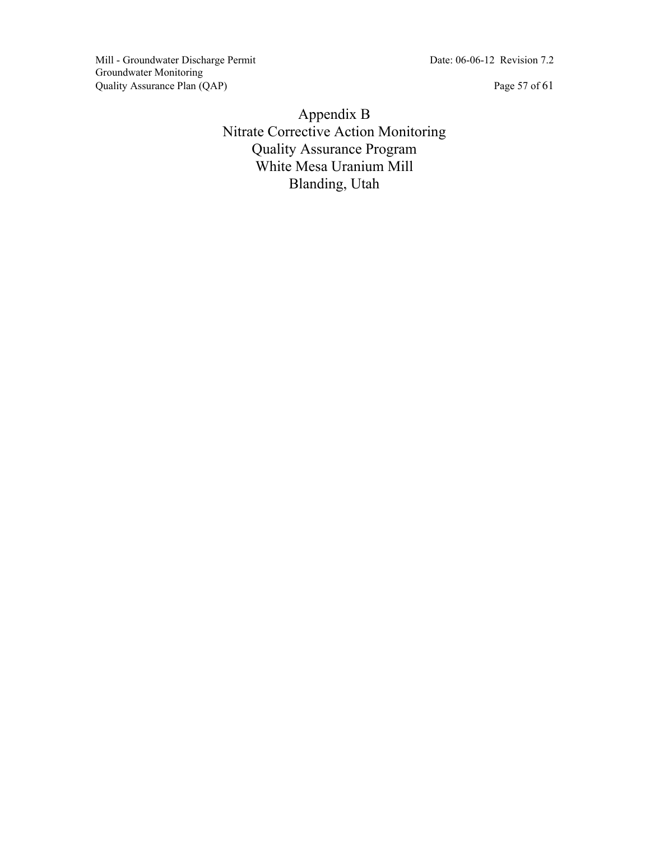Mill - Groundwater Discharge Permit Date: 06-06-12 Revision 7.2 Groundwater Monitoring Quality Assurance Plan (QAP) Page 57 of 61

Appendix B Nitrate Corrective Action Monitoring Quality Assurance Program White Mesa Uranium Mill Blanding, Utah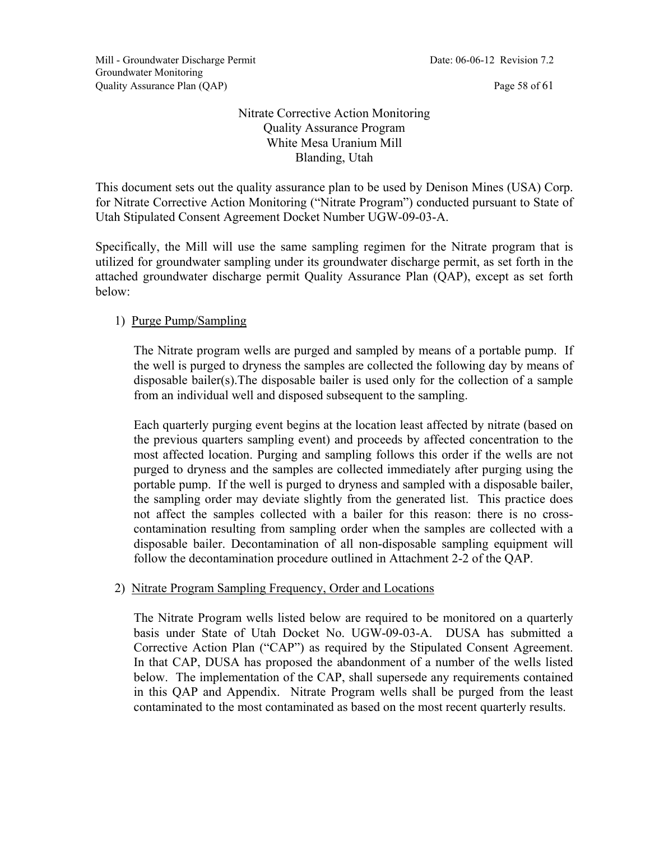#### Nitrate Corrective Action Monitoring Quality Assurance Program White Mesa Uranium Mill Blanding, Utah

This document sets out the quality assurance plan to be used by Denison Mines (USA) Corp. for Nitrate Corrective Action Monitoring ("Nitrate Program") conducted pursuant to State of Utah Stipulated Consent Agreement Docket Number UGW-09-03-A.

Specifically, the Mill will use the same sampling regimen for the Nitrate program that is utilized for groundwater sampling under its groundwater discharge permit, as set forth in the attached groundwater discharge permit Quality Assurance Plan (QAP), except as set forth below:

#### 1) Purge Pump/Sampling

The Nitrate program wells are purged and sampled by means of a portable pump. If the well is purged to dryness the samples are collected the following day by means of disposable bailer(s).The disposable bailer is used only for the collection of a sample from an individual well and disposed subsequent to the sampling.

Each quarterly purging event begins at the location least affected by nitrate (based on the previous quarters sampling event) and proceeds by affected concentration to the most affected location. Purging and sampling follows this order if the wells are not purged to dryness and the samples are collected immediately after purging using the portable pump. If the well is purged to dryness and sampled with a disposable bailer, the sampling order may deviate slightly from the generated list. This practice does not affect the samples collected with a bailer for this reason: there is no crosscontamination resulting from sampling order when the samples are collected with a disposable bailer. Decontamination of all non-disposable sampling equipment will follow the decontamination procedure outlined in Attachment 2-2 of the QAP.

#### 2) Nitrate Program Sampling Frequency, Order and Locations

The Nitrate Program wells listed below are required to be monitored on a quarterly basis under State of Utah Docket No. UGW-09-03-A. DUSA has submitted a Corrective Action Plan ("CAP") as required by the Stipulated Consent Agreement. In that CAP, DUSA has proposed the abandonment of a number of the wells listed below. The implementation of the CAP, shall supersede any requirements contained in this QAP and Appendix. Nitrate Program wells shall be purged from the least contaminated to the most contaminated as based on the most recent quarterly results.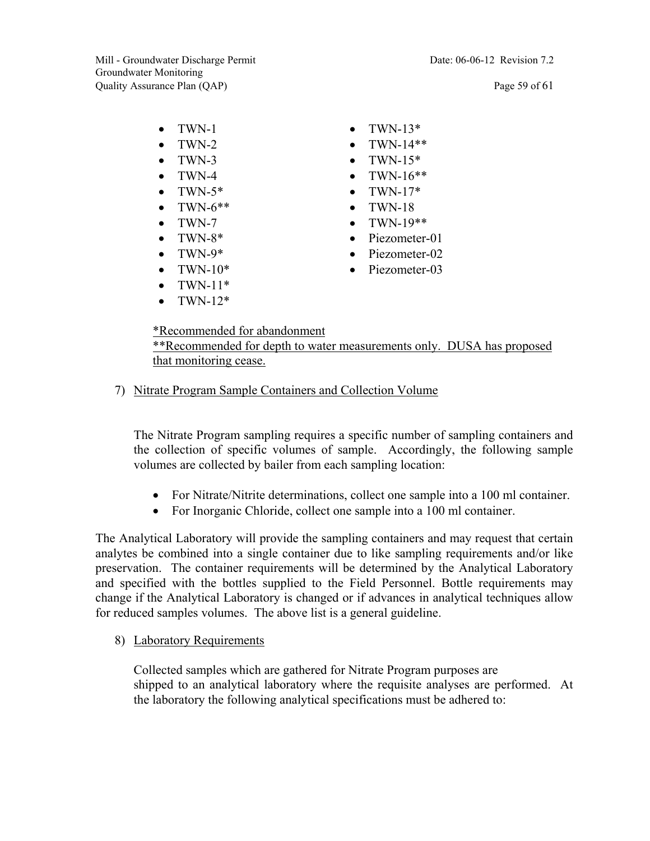Mill - Groundwater Discharge Permit Date: 06-06-12 Revision 7.2 Groundwater Monitoring Quality Assurance Plan (QAP) Page 59 of 61

- $\bullet$  TWN-1
- TWN-2
- TWN-3
- $\bullet$  TWN-4
- $\bullet$  TWN-5\*
- $\bullet$  TWN-6\*\*
- $\bullet$  TWN-7
- $\bullet$  TWN-8\*
- $\bullet$  TWN-9\*
- $\bullet$  TWN-10\*
- $\bullet$  TWN-11\*
- $\bullet$  TWN-12\*
- $\bullet$  TWN-13\*
- TWN-14\*\*
- TWN-15\*
- $\bullet$  TWN-16\*\*
- $\bullet$  TWN-17\*
- $\bullet$  TWN-18
- $\bullet$  TWN-19\*\*
- Piezometer-01
- Piezometer-02
- Piezometer-03

\*Recommended for abandonment \*\*Recommended for depth to water measurements only. DUSA has proposed that monitoring cease.

#### 7) Nitrate Program Sample Containers and Collection Volume

The Nitrate Program sampling requires a specific number of sampling containers and the collection of specific volumes of sample. Accordingly, the following sample volumes are collected by bailer from each sampling location:

- For Nitrate/Nitrite determinations, collect one sample into a 100 ml container.
- For Inorganic Chloride, collect one sample into a 100 ml container.

The Analytical Laboratory will provide the sampling containers and may request that certain analytes be combined into a single container due to like sampling requirements and/or like preservation. The container requirements will be determined by the Analytical Laboratory and specified with the bottles supplied to the Field Personnel. Bottle requirements may change if the Analytical Laboratory is changed or if advances in analytical techniques allow for reduced samples volumes. The above list is a general guideline.

8) Laboratory Requirements

Collected samples which are gathered for Nitrate Program purposes are shipped to an analytical laboratory where the requisite analyses are performed. At the laboratory the following analytical specifications must be adhered to: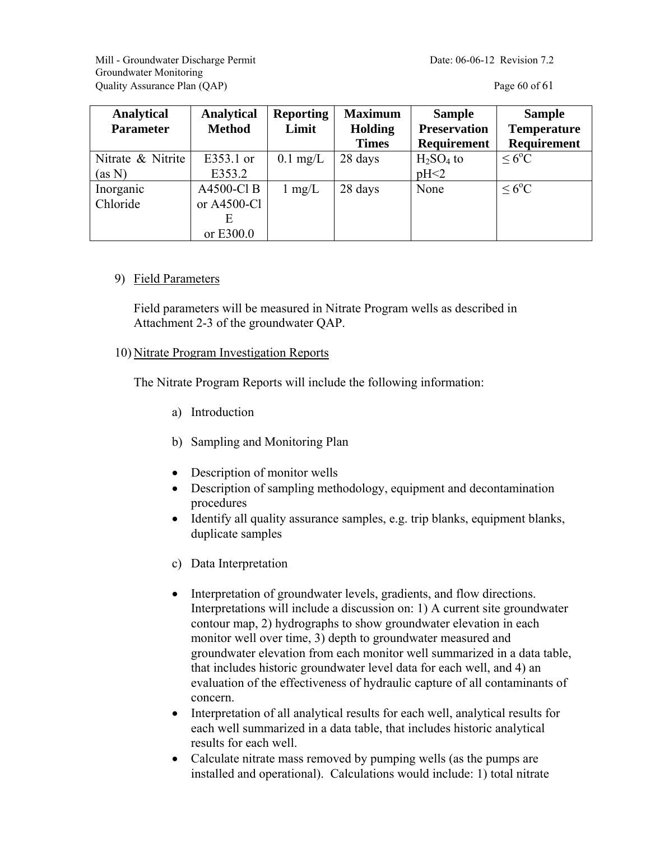Mill - Groundwater Discharge Permit Date: 06-06-12 Revision 7.2 Groundwater Monitoring Quality Assurance Plan (QAP) **Page 60 of 61** 

| <b>Analytical</b><br><b>Parameter</b> | <b>Analytical</b><br><b>Method</b>          | <b>Reporting</b><br>Limit | <b>Maximum</b><br><b>Holding</b><br><b>Times</b> | <b>Sample</b><br><b>Preservation</b><br><b>Requirement</b> | <b>Sample</b><br><b>Temperature</b><br><b>Requirement</b> |
|---------------------------------------|---------------------------------------------|---------------------------|--------------------------------------------------|------------------------------------------------------------|-----------------------------------------------------------|
| Nitrate & Nitrite<br>(as N)           | E353.1 or<br>E353.2                         | $0.1 \text{ mg/L}$        | 28 days                                          | $H2SO4$ to<br>pH<2                                         | $\rm < 6^{\circ}C$                                        |
| Inorganic<br>Chloride                 | A4500-Cl B<br>or A4500-Cl<br>Е<br>or E300.0 | $1 \text{ mg/L}$          | 28 days                                          | None                                                       | $\rm < 6^{\circ}C$                                        |

#### 9) Field Parameters

Field parameters will be measured in Nitrate Program wells as described in Attachment 2-3 of the groundwater QAP.

#### 10) Nitrate Program Investigation Reports

The Nitrate Program Reports will include the following information:

- a) Introduction
- b) Sampling and Monitoring Plan
- Description of monitor wells
- Description of sampling methodology, equipment and decontamination procedures
- Identify all quality assurance samples, e.g. trip blanks, equipment blanks, duplicate samples
- c) Data Interpretation
- Interpretation of groundwater levels, gradients, and flow directions. Interpretations will include a discussion on: 1) A current site groundwater contour map, 2) hydrographs to show groundwater elevation in each monitor well over time, 3) depth to groundwater measured and groundwater elevation from each monitor well summarized in a data table, that includes historic groundwater level data for each well, and 4) an evaluation of the effectiveness of hydraulic capture of all contaminants of concern.
- Interpretation of all analytical results for each well, analytical results for each well summarized in a data table, that includes historic analytical results for each well.
- Calculate nitrate mass removed by pumping wells (as the pumps are installed and operational). Calculations would include: 1) total nitrate